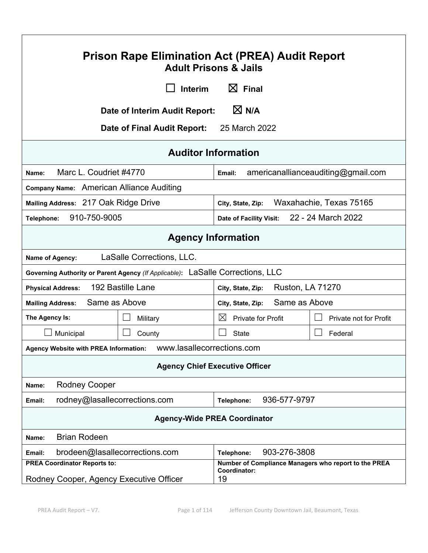| <b>Prison Rape Elimination Act (PREA) Audit Report</b><br><b>Adult Prisons &amp; Jails</b>                                                                   |                                |                                          |                                    |  |
|--------------------------------------------------------------------------------------------------------------------------------------------------------------|--------------------------------|------------------------------------------|------------------------------------|--|
|                                                                                                                                                              | <b>Interim</b>                 | $\boxtimes$ Final                        |                                    |  |
|                                                                                                                                                              | Date of Interim Audit Report:  | $\boxtimes$ N/A                          |                                    |  |
|                                                                                                                                                              | Date of Final Audit Report:    | 25 March 2022                            |                                    |  |
|                                                                                                                                                              | <b>Auditor Information</b>     |                                          |                                    |  |
| Marc L. Coudriet #4770<br>Name:                                                                                                                              |                                | Email:                                   | americanallianceauditing@gmail.com |  |
| Company Name: American Alliance Auditing                                                                                                                     |                                |                                          |                                    |  |
| Mailing Address: 217 Oak Ridge Drive                                                                                                                         |                                | City, State, Zip:                        | Waxahachie, Texas 75165            |  |
| 910-750-9005<br>Telephone:                                                                                                                                   |                                | Date of Facility Visit:                  | 22 - 24 March 2022                 |  |
| <b>Agency Information</b>                                                                                                                                    |                                |                                          |                                    |  |
| LaSalle Corrections, LLC.<br>Name of Agency:                                                                                                                 |                                |                                          |                                    |  |
| Governing Authority or Parent Agency (If Applicable): LaSalle Corrections, LLC                                                                               |                                |                                          |                                    |  |
| 192 Bastille Lane<br><b>Ruston, LA 71270</b><br><b>Physical Address:</b><br>City, State, Zip:                                                                |                                |                                          |                                    |  |
| Same as Above<br><b>Mailing Address:</b>                                                                                                                     |                                | Same as Above<br>City, State, Zip:       |                                    |  |
| The Agency Is:                                                                                                                                               | Military                       | $\boxtimes$<br><b>Private for Profit</b> | Private not for Profit             |  |
| Municipal                                                                                                                                                    | $\sim$<br>County               | State                                    | Federal                            |  |
| Agency Website with PREA Information:    WWW.lasallecorrections.com                                                                                          |                                |                                          |                                    |  |
| <b>Agency Chief Executive Officer</b>                                                                                                                        |                                |                                          |                                    |  |
| <b>Rodney Cooper</b><br>Name:                                                                                                                                |                                |                                          |                                    |  |
| rodney@lasallecorrections.com<br>936-577-9797<br>Telephone:<br>Email:                                                                                        |                                |                                          |                                    |  |
| <b>Agency-Wide PREA Coordinator</b>                                                                                                                          |                                |                                          |                                    |  |
| <b>Brian Rodeen</b><br>Name:                                                                                                                                 |                                |                                          |                                    |  |
| Email:                                                                                                                                                       | brodeen@lasallecorrections.com | 903-276-3808<br>Telephone:               |                                    |  |
| Number of Compliance Managers who report to the PREA<br><b>PREA Coordinator Reports to:</b><br>Coordinator:<br>Rodney Cooper, Agency Executive Officer<br>19 |                                |                                          |                                    |  |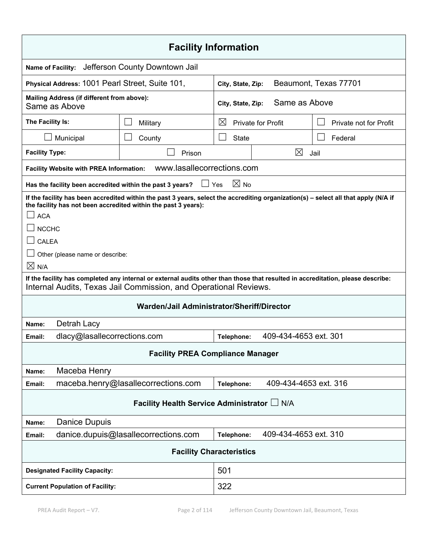| <b>Facility Information</b>                                                                                                                                                                                                                                                                        |                                             |                                                                         |                                        |                       |                        |
|----------------------------------------------------------------------------------------------------------------------------------------------------------------------------------------------------------------------------------------------------------------------------------------------------|---------------------------------------------|-------------------------------------------------------------------------|----------------------------------------|-----------------------|------------------------|
| <b>Name of Facility:</b>                                                                                                                                                                                                                                                                           |                                             | Jefferson County Downtown Jail                                          |                                        |                       |                        |
| Physical Address: 1001 Pearl Street, Suite 101,                                                                                                                                                                                                                                                    |                                             |                                                                         | City, State, Zip:                      |                       | Beaumont, Texas 77701  |
| Mailing Address (if different from above):<br>Same as Above                                                                                                                                                                                                                                        |                                             |                                                                         | City, State, Zip:                      | Same as Above         |                        |
| The Facility Is:                                                                                                                                                                                                                                                                                   |                                             | Military                                                                | $\bowtie$<br><b>Private for Profit</b> |                       | Private not for Profit |
| Municipal                                                                                                                                                                                                                                                                                          |                                             | County                                                                  | <b>State</b>                           |                       | Federal                |
| <b>Facility Type:</b>                                                                                                                                                                                                                                                                              |                                             | Prison                                                                  |                                        | $\boxtimes$           | Jail                   |
| <b>Facility Website with PREA Information:</b>                                                                                                                                                                                                                                                     |                                             | www.lasallecorrections.com                                              |                                        |                       |                        |
|                                                                                                                                                                                                                                                                                                    |                                             | $\Box$ Yes<br>Has the facility been accredited within the past 3 years? | $\boxtimes$ No                         |                       |                        |
| If the facility has been accredited within the past 3 years, select the accrediting organization(s) - select all that apply (N/A if<br>the facility has not been accredited within the past 3 years):<br><b>ACA</b><br><b>NCCHC</b><br>CALEA<br>Other (please name or describe:<br>$\boxtimes$ N/A |                                             |                                                                         |                                        |                       |                        |
| If the facility has completed any internal or external audits other than those that resulted in accreditation, please describe:<br>Internal Audits, Texas Jail Commission, and Operational Reviews.                                                                                                |                                             |                                                                         |                                        |                       |                        |
| Warden/Jail Administrator/Sheriff/Director                                                                                                                                                                                                                                                         |                                             |                                                                         |                                        |                       |                        |
| Detrah Lacy<br>Name:                                                                                                                                                                                                                                                                               |                                             |                                                                         |                                        |                       |                        |
| Email:                                                                                                                                                                                                                                                                                             |                                             | dlacy@lasallecorrections.com                                            | Telephone:                             | 409-434-4653 ext. 301 |                        |
| <b>Facility PREA Compliance Manager</b>                                                                                                                                                                                                                                                            |                                             |                                                                         |                                        |                       |                        |
| Maceba Henry<br>Name:                                                                                                                                                                                                                                                                              |                                             |                                                                         |                                        |                       |                        |
| Email:                                                                                                                                                                                                                                                                                             |                                             | maceba.henry@lasallecorrections.com                                     | Telephone:                             | 409-434-4653 ext. 316 |                        |
| Facility Health Service Administrator L N/A                                                                                                                                                                                                                                                        |                                             |                                                                         |                                        |                       |                        |
| <b>Danice Dupuis</b><br>Name:                                                                                                                                                                                                                                                                      |                                             |                                                                         |                                        |                       |                        |
| Email:                                                                                                                                                                                                                                                                                             |                                             | danice.dupuis@lasallecorrections.com                                    | Telephone:                             | 409-434-4653 ext. 310 |                        |
| <b>Facility Characteristics</b>                                                                                                                                                                                                                                                                    |                                             |                                                                         |                                        |                       |                        |
|                                                                                                                                                                                                                                                                                                    | 501<br><b>Designated Facility Capacity:</b> |                                                                         |                                        |                       |                        |
| 322<br><b>Current Population of Facility:</b>                                                                                                                                                                                                                                                      |                                             |                                                                         |                                        |                       |                        |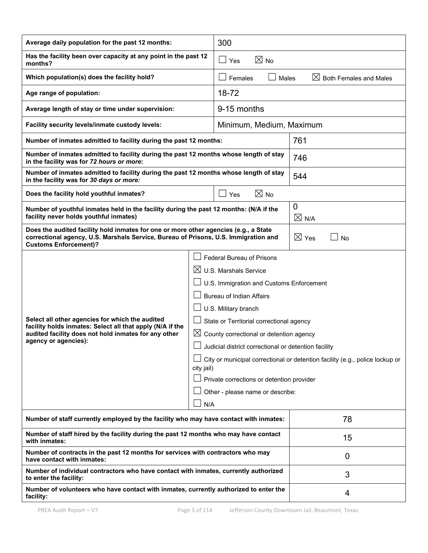| Average daily population for the past 12 months:                                                                                                                                                            |  | 300                                                                                                                                                                                                                                                                                                                                                                                                                             |                                                                              |  |
|-------------------------------------------------------------------------------------------------------------------------------------------------------------------------------------------------------------|--|---------------------------------------------------------------------------------------------------------------------------------------------------------------------------------------------------------------------------------------------------------------------------------------------------------------------------------------------------------------------------------------------------------------------------------|------------------------------------------------------------------------------|--|
| Has the facility been over capacity at any point in the past 12<br>months?                                                                                                                                  |  | $\boxtimes$ No<br>$\Box$ Yes                                                                                                                                                                                                                                                                                                                                                                                                    |                                                                              |  |
| Which population(s) does the facility hold?                                                                                                                                                                 |  | Females<br>Males                                                                                                                                                                                                                                                                                                                                                                                                                | $\boxtimes$ Both Females and Males                                           |  |
| Age range of population:                                                                                                                                                                                    |  | 18-72                                                                                                                                                                                                                                                                                                                                                                                                                           |                                                                              |  |
| Average length of stay or time under supervision:                                                                                                                                                           |  | 9-15 months                                                                                                                                                                                                                                                                                                                                                                                                                     |                                                                              |  |
| Facility security levels/inmate custody levels:                                                                                                                                                             |  | Minimum, Medium, Maximum                                                                                                                                                                                                                                                                                                                                                                                                        |                                                                              |  |
| Number of inmates admitted to facility during the past 12 months:                                                                                                                                           |  |                                                                                                                                                                                                                                                                                                                                                                                                                                 | 761                                                                          |  |
| Number of inmates admitted to facility during the past 12 months whose length of stay<br>in the facility was for 72 hours or more:                                                                          |  |                                                                                                                                                                                                                                                                                                                                                                                                                                 | 746                                                                          |  |
| Number of inmates admitted to facility during the past 12 months whose length of stay<br>in the facility was for 30 days or more:                                                                           |  |                                                                                                                                                                                                                                                                                                                                                                                                                                 | 544                                                                          |  |
| Does the facility hold youthful inmates?                                                                                                                                                                    |  | $\boxtimes$ No<br>Yes                                                                                                                                                                                                                                                                                                                                                                                                           |                                                                              |  |
| Number of youthful inmates held in the facility during the past 12 months: (N/A if the<br>facility never holds youthful inmates)                                                                            |  |                                                                                                                                                                                                                                                                                                                                                                                                                                 | 0<br>$\boxtimes$ N/A                                                         |  |
| Does the audited facility hold inmates for one or more other agencies (e.g., a State<br>correctional agency, U.S. Marshals Service, Bureau of Prisons, U.S. Immigration and<br><b>Customs Enforcement)?</b> |  | $\boxtimes$ Yes<br><b>No</b>                                                                                                                                                                                                                                                                                                                                                                                                    |                                                                              |  |
| Select all other agencies for which the audited<br>facility holds inmates: Select all that apply (N/A if the<br>audited facility does not hold inmates for any other<br>agency or agencies):<br>city jail)  |  | Federal Bureau of Prisons<br>$\boxtimes$ U.S. Marshals Service<br>U.S. Immigration and Customs Enforcement<br><b>Bureau of Indian Affairs</b><br>U.S. Military branch<br>State or Territorial correctional agency<br>$\boxtimes$ County correctional or detention agency<br>$\Box$ Judicial district correctional or detention facility<br>Private corrections or detention provider<br>Other - please name or describe:<br>N/A | City or municipal correctional or detention facility (e.g., police lockup or |  |
| Number of staff currently employed by the facility who may have contact with inmates:                                                                                                                       |  | 78                                                                                                                                                                                                                                                                                                                                                                                                                              |                                                                              |  |
| Number of staff hired by the facility during the past 12 months who may have contact<br>with inmates:                                                                                                       |  | 15                                                                                                                                                                                                                                                                                                                                                                                                                              |                                                                              |  |
| Number of contracts in the past 12 months for services with contractors who may<br>have contact with inmates:                                                                                               |  | $\overline{0}$                                                                                                                                                                                                                                                                                                                                                                                                                  |                                                                              |  |
| Number of individual contractors who have contact with inmates, currently authorized<br>to enter the facility:                                                                                              |  | 3                                                                                                                                                                                                                                                                                                                                                                                                                               |                                                                              |  |
| Number of volunteers who have contact with inmates, currently authorized to enter the<br>facility:                                                                                                          |  | 4                                                                                                                                                                                                                                                                                                                                                                                                                               |                                                                              |  |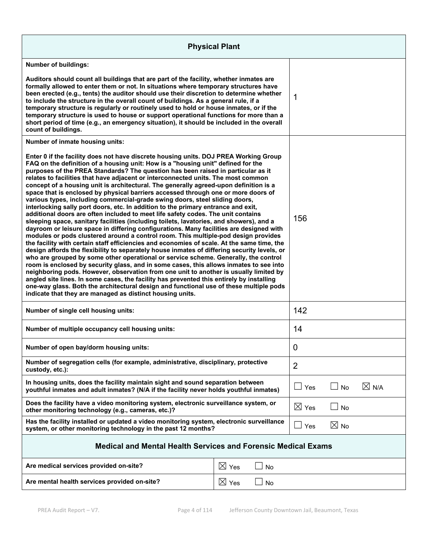| <b>Physical Plant</b>                                                                                                                                                                                                                                                                                                                                                                                                                                                                                                                                                                                                                                                                                                                                                                                                                                                                                                                                                                                                                                                                                                                                                                                                                                                                                                                                                                                                                                                                                                                                                                                                                                                                                                                                                                         |                 |           |                 |                |                 |
|-----------------------------------------------------------------------------------------------------------------------------------------------------------------------------------------------------------------------------------------------------------------------------------------------------------------------------------------------------------------------------------------------------------------------------------------------------------------------------------------------------------------------------------------------------------------------------------------------------------------------------------------------------------------------------------------------------------------------------------------------------------------------------------------------------------------------------------------------------------------------------------------------------------------------------------------------------------------------------------------------------------------------------------------------------------------------------------------------------------------------------------------------------------------------------------------------------------------------------------------------------------------------------------------------------------------------------------------------------------------------------------------------------------------------------------------------------------------------------------------------------------------------------------------------------------------------------------------------------------------------------------------------------------------------------------------------------------------------------------------------------------------------------------------------|-----------------|-----------|-----------------|----------------|-----------------|
| <b>Number of buildings:</b>                                                                                                                                                                                                                                                                                                                                                                                                                                                                                                                                                                                                                                                                                                                                                                                                                                                                                                                                                                                                                                                                                                                                                                                                                                                                                                                                                                                                                                                                                                                                                                                                                                                                                                                                                                   |                 |           |                 |                |                 |
| Auditors should count all buildings that are part of the facility, whether inmates are<br>formally allowed to enter them or not. In situations where temporary structures have<br>been erected (e.g., tents) the auditor should use their discretion to determine whether<br>to include the structure in the overall count of buildings. As a general rule, if a<br>temporary structure is regularly or routinely used to hold or house inmates, or if the<br>temporary structure is used to house or support operational functions for more than a<br>short period of time (e.g., an emergency situation), it should be included in the overall<br>count of buildings.                                                                                                                                                                                                                                                                                                                                                                                                                                                                                                                                                                                                                                                                                                                                                                                                                                                                                                                                                                                                                                                                                                                       |                 |           | 1               |                |                 |
| Number of inmate housing units:                                                                                                                                                                                                                                                                                                                                                                                                                                                                                                                                                                                                                                                                                                                                                                                                                                                                                                                                                                                                                                                                                                                                                                                                                                                                                                                                                                                                                                                                                                                                                                                                                                                                                                                                                               |                 |           |                 |                |                 |
| Enter 0 if the facility does not have discrete housing units. DOJ PREA Working Group<br>FAQ on the definition of a housing unit: How is a "housing unit" defined for the<br>purposes of the PREA Standards? The question has been raised in particular as it<br>relates to facilities that have adjacent or interconnected units. The most common<br>concept of a housing unit is architectural. The generally agreed-upon definition is a<br>space that is enclosed by physical barriers accessed through one or more doors of<br>various types, including commercial-grade swing doors, steel sliding doors,<br>interlocking sally port doors, etc. In addition to the primary entrance and exit,<br>additional doors are often included to meet life safety codes. The unit contains<br>sleeping space, sanitary facilities (including toilets, lavatories, and showers), and a<br>dayroom or leisure space in differing configurations. Many facilities are designed with<br>modules or pods clustered around a control room. This multiple-pod design provides<br>the facility with certain staff efficiencies and economies of scale. At the same time, the<br>design affords the flexibility to separately house inmates of differing security levels, or<br>who are grouped by some other operational or service scheme. Generally, the control<br>room is enclosed by security glass, and in some cases, this allows inmates to see into<br>neighboring pods. However, observation from one unit to another is usually limited by<br>angled site lines. In some cases, the facility has prevented this entirely by installing<br>one-way glass. Both the architectural design and functional use of these multiple pods<br>indicate that they are managed as distinct housing units. |                 |           | 156             |                |                 |
| Number of single cell housing units:                                                                                                                                                                                                                                                                                                                                                                                                                                                                                                                                                                                                                                                                                                                                                                                                                                                                                                                                                                                                                                                                                                                                                                                                                                                                                                                                                                                                                                                                                                                                                                                                                                                                                                                                                          |                 |           | 142             |                |                 |
| Number of multiple occupancy cell housing units:                                                                                                                                                                                                                                                                                                                                                                                                                                                                                                                                                                                                                                                                                                                                                                                                                                                                                                                                                                                                                                                                                                                                                                                                                                                                                                                                                                                                                                                                                                                                                                                                                                                                                                                                              |                 | 14        |                 |                |                 |
| Number of open bay/dorm housing units:                                                                                                                                                                                                                                                                                                                                                                                                                                                                                                                                                                                                                                                                                                                                                                                                                                                                                                                                                                                                                                                                                                                                                                                                                                                                                                                                                                                                                                                                                                                                                                                                                                                                                                                                                        |                 |           | 0               |                |                 |
| Number of segregation cells (for example, administrative, disciplinary, protective<br>custody, etc.):                                                                                                                                                                                                                                                                                                                                                                                                                                                                                                                                                                                                                                                                                                                                                                                                                                                                                                                                                                                                                                                                                                                                                                                                                                                                                                                                                                                                                                                                                                                                                                                                                                                                                         |                 |           | $\overline{2}$  |                |                 |
| In housing units, does the facility maintain sight and sound separation between<br>youthful inmates and adult inmates? (N/A if the facility never holds youthful inmates)                                                                                                                                                                                                                                                                                                                                                                                                                                                                                                                                                                                                                                                                                                                                                                                                                                                                                                                                                                                                                                                                                                                                                                                                                                                                                                                                                                                                                                                                                                                                                                                                                     |                 |           | $\perp$<br>Yes  | No             | $\boxtimes$ N/A |
| Does the facility have a video monitoring system, electronic surveillance system, or<br>other monitoring technology (e.g., cameras, etc.)?                                                                                                                                                                                                                                                                                                                                                                                                                                                                                                                                                                                                                                                                                                                                                                                                                                                                                                                                                                                                                                                                                                                                                                                                                                                                                                                                                                                                                                                                                                                                                                                                                                                    |                 |           | $\boxtimes$ Yes | No             |                 |
| Has the facility installed or updated a video monitoring system, electronic surveillance<br>system, or other monitoring technology in the past 12 months?                                                                                                                                                                                                                                                                                                                                                                                                                                                                                                                                                                                                                                                                                                                                                                                                                                                                                                                                                                                                                                                                                                                                                                                                                                                                                                                                                                                                                                                                                                                                                                                                                                     |                 |           | Yes             | $\boxtimes$ No |                 |
| <b>Medical and Mental Health Services and Forensic Medical Exams</b>                                                                                                                                                                                                                                                                                                                                                                                                                                                                                                                                                                                                                                                                                                                                                                                                                                                                                                                                                                                                                                                                                                                                                                                                                                                                                                                                                                                                                                                                                                                                                                                                                                                                                                                          |                 |           |                 |                |                 |
| Are medical services provided on-site?                                                                                                                                                                                                                                                                                                                                                                                                                                                                                                                                                                                                                                                                                                                                                                                                                                                                                                                                                                                                                                                                                                                                                                                                                                                                                                                                                                                                                                                                                                                                                                                                                                                                                                                                                        | $\boxtimes$ Yes | <b>No</b> |                 |                |                 |
| Are mental health services provided on-site?                                                                                                                                                                                                                                                                                                                                                                                                                                                                                                                                                                                                                                                                                                                                                                                                                                                                                                                                                                                                                                                                                                                                                                                                                                                                                                                                                                                                                                                                                                                                                                                                                                                                                                                                                  | $\boxtimes$ Yes | No        |                 |                |                 |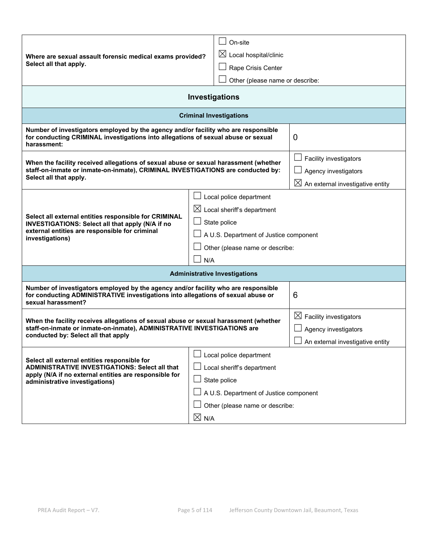|                                                                                                                                                                                              |                 | On-site                                |                                              |  |
|----------------------------------------------------------------------------------------------------------------------------------------------------------------------------------------------|-----------------|----------------------------------------|----------------------------------------------|--|
| Where are sexual assault forensic medical exams provided?                                                                                                                                    |                 | $\boxtimes$ Local hospital/clinic      |                                              |  |
| Select all that apply.                                                                                                                                                                       |                 | Rape Crisis Center                     |                                              |  |
|                                                                                                                                                                                              |                 | Other (please name or describe:        |                                              |  |
|                                                                                                                                                                                              |                 |                                        |                                              |  |
| Investigations                                                                                                                                                                               |                 |                                        |                                              |  |
|                                                                                                                                                                                              |                 | <b>Criminal Investigations</b>         |                                              |  |
| Number of investigators employed by the agency and/or facility who are responsible<br>for conducting CRIMINAL investigations into allegations of sexual abuse or sexual<br>harassment:       |                 | 0                                      |                                              |  |
| When the facility received allegations of sexual abuse or sexual harassment (whether                                                                                                         |                 |                                        | Facility investigators                       |  |
| staff-on-inmate or inmate-on-inmate), CRIMINAL INVESTIGATIONS are conducted by:                                                                                                              |                 |                                        | Agency investigators                         |  |
| Select all that apply.                                                                                                                                                                       |                 |                                        | $\boxtimes$ An external investigative entity |  |
|                                                                                                                                                                                              |                 | Local police department                |                                              |  |
|                                                                                                                                                                                              |                 | $\boxtimes$ Local sheriff's department |                                              |  |
| Select all external entities responsible for CRIMINAL<br>INVESTIGATIONS: Select all that apply (N/A if no                                                                                    |                 | State police                           |                                              |  |
| external entities are responsible for criminal<br>investigations)                                                                                                                            |                 | A U.S. Department of Justice component |                                              |  |
|                                                                                                                                                                                              |                 | Other (please name or describe:        |                                              |  |
|                                                                                                                                                                                              |                 | N/A                                    |                                              |  |
| <b>Administrative Investigations</b>                                                                                                                                                         |                 |                                        |                                              |  |
| Number of investigators employed by the agency and/or facility who are responsible<br>for conducting ADMINISTRATIVE investigations into allegations of sexual abuse or<br>sexual harassment? |                 | 6                                      |                                              |  |
|                                                                                                                                                                                              |                 |                                        | $\boxtimes$ Facility investigators           |  |
| When the facility receives allegations of sexual abuse or sexual harassment (whether<br>staff-on-inmate or inmate-on-inmate), ADMINISTRATIVE INVESTIGATIONS are                              |                 |                                        | Agency investigators                         |  |
| conducted by: Select all that apply                                                                                                                                                          |                 |                                        | An external investigative entity             |  |
|                                                                                                                                                                                              |                 | Local police department                |                                              |  |
| Select all external entities responsible for<br><b>ADMINISTRATIVE INVESTIGATIONS: Select all that</b>                                                                                        |                 | Local sheriff's department             |                                              |  |
| apply (N/A if no external entities are responsible for<br>administrative investigations)                                                                                                     | State police    |                                        |                                              |  |
|                                                                                                                                                                                              |                 | A U.S. Department of Justice component |                                              |  |
|                                                                                                                                                                                              |                 | Other (please name or describe:        |                                              |  |
|                                                                                                                                                                                              | $\boxtimes$ N/A |                                        |                                              |  |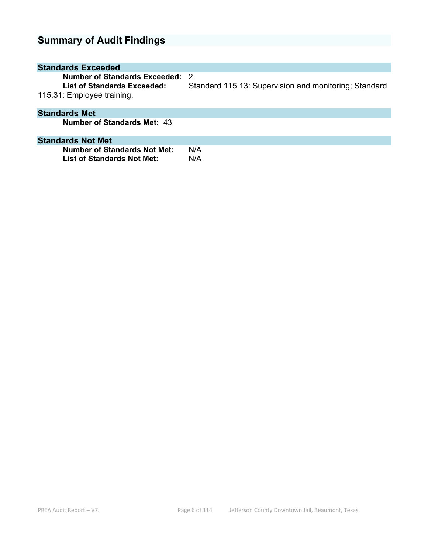# **Summary of Audit Findings**

| <b>Standards Exceeded</b>                                                                         |                                                              |
|---------------------------------------------------------------------------------------------------|--------------------------------------------------------------|
| Number of Standards Exceeded:<br><b>List of Standards Exceeded:</b><br>115.31: Employee training. | - 2<br>Standard 115.13: Supervision and monitoring; Standard |
| <b>Standards Met</b>                                                                              |                                                              |
| <b>Number of Standards Met: 43</b>                                                                |                                                              |
| <b>Standards Not Met</b>                                                                          |                                                              |
| <b>Number of Standards Not Met:</b><br>List of Standards Not Met:                                 | N/A<br>N/A                                                   |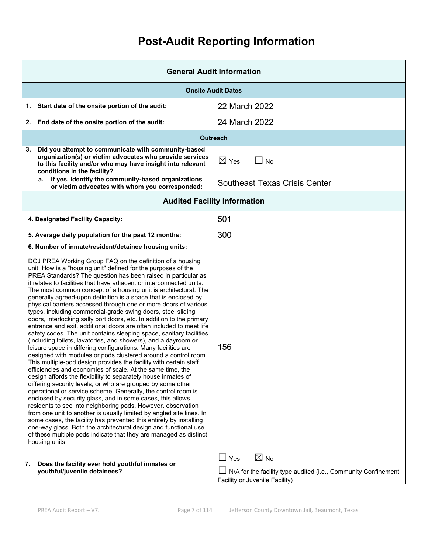# **Post-Audit Reporting Information**

| <b>General Audit Information</b>                                                                                                                                                                                                                                                                                                                                                                                                                                                                                                                                                                                                                                                                                                                                                                                                                                                                                                                                                                                                                                                                                                                                                                                                                                                                                                                                                                                                                                                                                                                                                                                                                                                                                                                                                                            |                                                                                                                                  |  |
|-------------------------------------------------------------------------------------------------------------------------------------------------------------------------------------------------------------------------------------------------------------------------------------------------------------------------------------------------------------------------------------------------------------------------------------------------------------------------------------------------------------------------------------------------------------------------------------------------------------------------------------------------------------------------------------------------------------------------------------------------------------------------------------------------------------------------------------------------------------------------------------------------------------------------------------------------------------------------------------------------------------------------------------------------------------------------------------------------------------------------------------------------------------------------------------------------------------------------------------------------------------------------------------------------------------------------------------------------------------------------------------------------------------------------------------------------------------------------------------------------------------------------------------------------------------------------------------------------------------------------------------------------------------------------------------------------------------------------------------------------------------------------------------------------------------|----------------------------------------------------------------------------------------------------------------------------------|--|
| <b>Onsite Audit Dates</b>                                                                                                                                                                                                                                                                                                                                                                                                                                                                                                                                                                                                                                                                                                                                                                                                                                                                                                                                                                                                                                                                                                                                                                                                                                                                                                                                                                                                                                                                                                                                                                                                                                                                                                                                                                                   |                                                                                                                                  |  |
| 1. Start date of the onsite portion of the audit:                                                                                                                                                                                                                                                                                                                                                                                                                                                                                                                                                                                                                                                                                                                                                                                                                                                                                                                                                                                                                                                                                                                                                                                                                                                                                                                                                                                                                                                                                                                                                                                                                                                                                                                                                           | 22 March 2022                                                                                                                    |  |
| 2. End date of the onsite portion of the audit:                                                                                                                                                                                                                                                                                                                                                                                                                                                                                                                                                                                                                                                                                                                                                                                                                                                                                                                                                                                                                                                                                                                                                                                                                                                                                                                                                                                                                                                                                                                                                                                                                                                                                                                                                             | 24 March 2022                                                                                                                    |  |
|                                                                                                                                                                                                                                                                                                                                                                                                                                                                                                                                                                                                                                                                                                                                                                                                                                                                                                                                                                                                                                                                                                                                                                                                                                                                                                                                                                                                                                                                                                                                                                                                                                                                                                                                                                                                             | <b>Outreach</b>                                                                                                                  |  |
| Did you attempt to communicate with community-based<br>3.<br>organization(s) or victim advocates who provide services<br>to this facility and/or who may have insight into relevant<br>conditions in the facility?                                                                                                                                                                                                                                                                                                                                                                                                                                                                                                                                                                                                                                                                                                                                                                                                                                                                                                                                                                                                                                                                                                                                                                                                                                                                                                                                                                                                                                                                                                                                                                                          | $\boxtimes$ Yes<br><b>No</b>                                                                                                     |  |
| If yes, identify the community-based organizations<br>a.<br>or victim advocates with whom you corresponded:                                                                                                                                                                                                                                                                                                                                                                                                                                                                                                                                                                                                                                                                                                                                                                                                                                                                                                                                                                                                                                                                                                                                                                                                                                                                                                                                                                                                                                                                                                                                                                                                                                                                                                 | <b>Southeast Texas Crisis Center</b>                                                                                             |  |
| <b>Audited Facility Information</b>                                                                                                                                                                                                                                                                                                                                                                                                                                                                                                                                                                                                                                                                                                                                                                                                                                                                                                                                                                                                                                                                                                                                                                                                                                                                                                                                                                                                                                                                                                                                                                                                                                                                                                                                                                         |                                                                                                                                  |  |
| 4. Designated Facility Capacity:                                                                                                                                                                                                                                                                                                                                                                                                                                                                                                                                                                                                                                                                                                                                                                                                                                                                                                                                                                                                                                                                                                                                                                                                                                                                                                                                                                                                                                                                                                                                                                                                                                                                                                                                                                            | 501                                                                                                                              |  |
| 5. Average daily population for the past 12 months:                                                                                                                                                                                                                                                                                                                                                                                                                                                                                                                                                                                                                                                                                                                                                                                                                                                                                                                                                                                                                                                                                                                                                                                                                                                                                                                                                                                                                                                                                                                                                                                                                                                                                                                                                         | 300                                                                                                                              |  |
| 6. Number of inmate/resident/detainee housing units:<br>DOJ PREA Working Group FAQ on the definition of a housing<br>unit: How is a "housing unit" defined for the purposes of the<br>PREA Standards? The question has been raised in particular as<br>it relates to facilities that have adjacent or interconnected units.<br>The most common concept of a housing unit is architectural. The<br>generally agreed-upon definition is a space that is enclosed by<br>physical barriers accessed through one or more doors of various<br>types, including commercial-grade swing doors, steel sliding<br>doors, interlocking sally port doors, etc. In addition to the primary<br>entrance and exit, additional doors are often included to meet life<br>safety codes. The unit contains sleeping space, sanitary facilities<br>(including toilets, lavatories, and showers), and a dayroom or<br>leisure space in differing configurations. Many facilities are<br>designed with modules or pods clustered around a control room.<br>This multiple-pod design provides the facility with certain staff<br>efficiencies and economies of scale. At the same time, the<br>design affords the flexibility to separately house inmates of<br>differing security levels, or who are grouped by some other<br>operational or service scheme. Generally, the control room is<br>enclosed by security glass, and in some cases, this allows<br>residents to see into neighboring pods. However, observation<br>from one unit to another is usually limited by angled site lines. In<br>some cases, the facility has prevented this entirely by installing<br>one-way glass. Both the architectural design and functional use<br>of these multiple pods indicate that they are managed as distinct<br>housing units. | 156                                                                                                                              |  |
| Does the facility ever hold youthful inmates or<br>7.<br>youthful/juvenile detainees?                                                                                                                                                                                                                                                                                                                                                                                                                                                                                                                                                                                                                                                                                                                                                                                                                                                                                                                                                                                                                                                                                                                                                                                                                                                                                                                                                                                                                                                                                                                                                                                                                                                                                                                       | $\boxtimes$ No<br>$\Box$ Yes<br>N/A for the facility type audited (i.e., Community Confinement<br>Facility or Juvenile Facility) |  |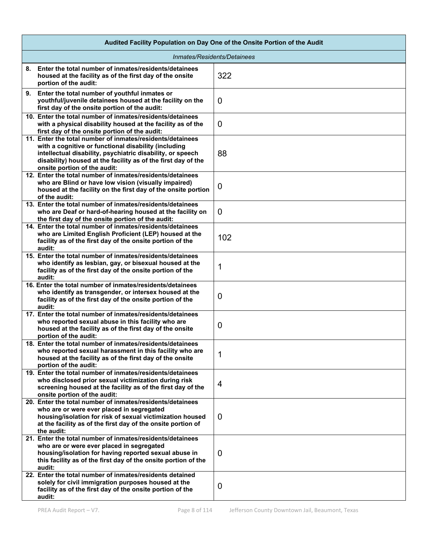| Audited Facility Population on Day One of the Onsite Portion of the Audit                                                                                                                                                                                                        |                |  |  |
|----------------------------------------------------------------------------------------------------------------------------------------------------------------------------------------------------------------------------------------------------------------------------------|----------------|--|--|
| Inmates/Residents/Detainees                                                                                                                                                                                                                                                      |                |  |  |
| 8. Enter the total number of inmates/residents/detainees<br>housed at the facility as of the first day of the onsite<br>portion of the audit:                                                                                                                                    | 322            |  |  |
| 9. Enter the total number of youthful inmates or<br>youthful/juvenile detainees housed at the facility on the<br>first day of the onsite portion of the audit:                                                                                                                   | $\overline{0}$ |  |  |
| 10. Enter the total number of inmates/residents/detainees<br>with a physical disability housed at the facility as of the<br>first day of the onsite portion of the audit:                                                                                                        | $\overline{0}$ |  |  |
| 11. Enter the total number of inmates/residents/detainees<br>with a cognitive or functional disability (including<br>intellectual disability, psychiatric disability, or speech<br>disability) housed at the facility as of the first day of the<br>onsite portion of the audit: | 88             |  |  |
| 12. Enter the total number of inmates/residents/detainees<br>who are Blind or have low vision (visually impaired)<br>housed at the facility on the first day of the onsite portion<br>of the audit:                                                                              | $\mathbf 0$    |  |  |
| 13. Enter the total number of inmates/residents/detainees<br>who are Deaf or hard-of-hearing housed at the facility on<br>the first day of the onsite portion of the audit:                                                                                                      | $\overline{0}$ |  |  |
| 14. Enter the total number of inmates/residents/detainees<br>who are Limited English Proficient (LEP) housed at the<br>facility as of the first day of the onsite portion of the<br>audit:                                                                                       | 102            |  |  |
| 15. Enter the total number of inmates/residents/detainees<br>who identify as lesbian, gay, or bisexual housed at the<br>facility as of the first day of the onsite portion of the<br>audit:                                                                                      | 1              |  |  |
| 16. Enter the total number of inmates/residents/detainees<br>who identify as transgender, or intersex housed at the<br>facility as of the first day of the onsite portion of the<br>audit:                                                                                       | 0              |  |  |
| 17. Enter the total number of inmates/residents/detainees<br>who reported sexual abuse in this facility who are<br>housed at the facility as of the first day of the onsite<br>portion of the audit:                                                                             | 0              |  |  |
| 18. Enter the total number of inmates/residents/detainees<br>who reported sexual harassment in this facility who are<br>housed at the facility as of the first day of the onsite<br>portion of the audit:                                                                        | 1              |  |  |
| 19. Enter the total number of inmates/residents/detainees<br>who disclosed prior sexual victimization during risk<br>screening housed at the facility as of the first day of the<br>onsite portion of the audit:                                                                 | 4              |  |  |
| 20. Enter the total number of inmates/residents/detainees<br>who are or were ever placed in segregated<br>housing/isolation for risk of sexual victimization housed<br>at the facility as of the first day of the onsite portion of<br>the audit:                                | $\overline{0}$ |  |  |
| 21. Enter the total number of inmates/residents/detainees<br>who are or were ever placed in segregated<br>housing/isolation for having reported sexual abuse in<br>this facility as of the first day of the onsite portion of the<br>audit:                                      | 0              |  |  |
| 22. Enter the total number of inmates/residents detained<br>solely for civil immigration purposes housed at the<br>facility as of the first day of the onsite portion of the<br>audit:                                                                                           | $\overline{0}$ |  |  |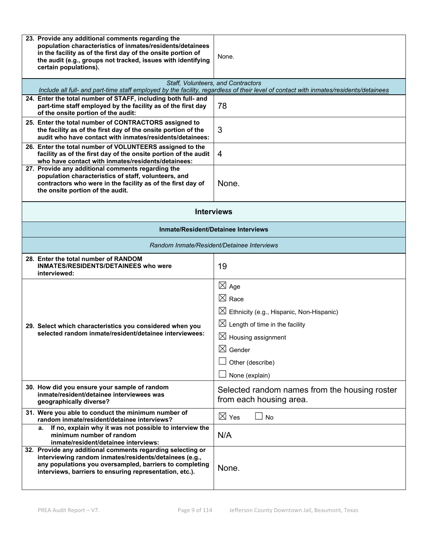| 23. Provide any additional comments regarding the<br>population characteristics of inmates/residents/detainees<br>in the facility as of the first day of the onsite portion of<br>the audit (e.g., groups not tracked, issues with identifying<br>certain populations). | None.                                                                                                                                                                                                                                   |  |
|-------------------------------------------------------------------------------------------------------------------------------------------------------------------------------------------------------------------------------------------------------------------------|-----------------------------------------------------------------------------------------------------------------------------------------------------------------------------------------------------------------------------------------|--|
|                                                                                                                                                                                                                                                                         | Staff, Volunteers, and Contractors<br>Include all full- and part-time staff employed by the facility, regardless of their level of contact with inmates/residents/detainees                                                             |  |
| 24. Enter the total number of STAFF, including both full- and<br>part-time staff employed by the facility as of the first day<br>of the onsite portion of the audit:                                                                                                    | 78                                                                                                                                                                                                                                      |  |
| 25. Enter the total number of CONTRACTORS assigned to<br>the facility as of the first day of the onsite portion of the<br>audit who have contact with inmates/residents/detainees:                                                                                      | 3                                                                                                                                                                                                                                       |  |
| 26. Enter the total number of VOLUNTEERS assigned to the<br>facility as of the first day of the onsite portion of the audit<br>who have contact with inmates/residents/detainees:                                                                                       | 4                                                                                                                                                                                                                                       |  |
| 27. Provide any additional comments regarding the<br>population characteristics of staff, volunteers, and<br>contractors who were in the facility as of the first day of<br>the onsite portion of the audit.                                                            | None.                                                                                                                                                                                                                                   |  |
| <b>Interviews</b>                                                                                                                                                                                                                                                       |                                                                                                                                                                                                                                         |  |
| <b>Inmate/Resident/Detainee Interviews</b>                                                                                                                                                                                                                              |                                                                                                                                                                                                                                         |  |
| Random Inmate/Resident/Detainee Interviews                                                                                                                                                                                                                              |                                                                                                                                                                                                                                         |  |
| 28. Enter the total number of RANDOM<br><b>INMATES/RESIDENTS/DETAINEES who were</b><br>interviewed:                                                                                                                                                                     | 19                                                                                                                                                                                                                                      |  |
| 29. Select which characteristics you considered when you<br>selected random inmate/resident/detainee interviewees:                                                                                                                                                      | $\boxtimes$ Age<br>$\boxtimes$ Race<br>$\boxtimes$ Ethnicity (e.g., Hispanic, Non-Hispanic)<br>$\boxtimes$ Length of time in the facility<br>$\boxtimes$ Housing assignment<br>$\boxtimes$ Gender<br>Other (describe)<br>None (explain) |  |
| 30. How did you ensure your sample of random<br>inmate/resident/detainee interviewees was<br>geographically diverse?                                                                                                                                                    | Selected random names from the housing roster<br>from each housing area.                                                                                                                                                                |  |
| 31. Were you able to conduct the minimum number of<br>random inmate/resident/detainee interviews?                                                                                                                                                                       | $\boxtimes$ Yes<br><b>No</b>                                                                                                                                                                                                            |  |
| If no, explain why it was not possible to interview the<br>а.<br>minimum number of random<br>inmate/resident/detainee interviews:                                                                                                                                       | N/A                                                                                                                                                                                                                                     |  |
| 32. Provide any additional comments regarding selecting or<br>interviewing random inmates/residents/detainees (e.g.,<br>any populations you oversampled, barriers to completing<br>interviews, barriers to ensuring representation, etc.).                              | None.                                                                                                                                                                                                                                   |  |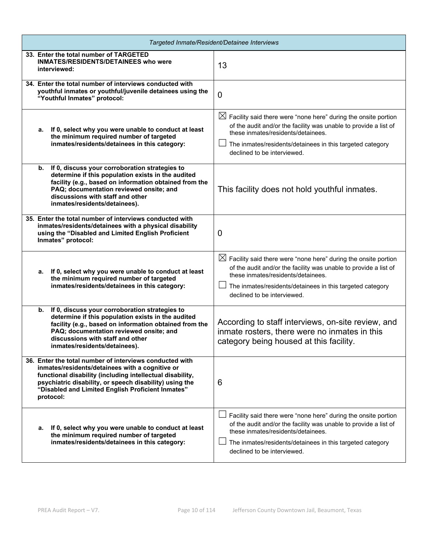| Targeted Inmate/Resident/Detainee Interviews                                                                                                                                                                                                                                                         |                                                                                                                                                                                                                                                                                  |  |  |
|------------------------------------------------------------------------------------------------------------------------------------------------------------------------------------------------------------------------------------------------------------------------------------------------------|----------------------------------------------------------------------------------------------------------------------------------------------------------------------------------------------------------------------------------------------------------------------------------|--|--|
| 33. Enter the total number of TARGETED<br><b>INMATES/RESIDENTS/DETAINEES who were</b><br>interviewed:                                                                                                                                                                                                | 13                                                                                                                                                                                                                                                                               |  |  |
| 34. Enter the total number of interviews conducted with<br>youthful inmates or youthful/juvenile detainees using the<br>"Youthful Inmates" protocol:                                                                                                                                                 | $\overline{0}$                                                                                                                                                                                                                                                                   |  |  |
| If 0, select why you were unable to conduct at least<br>а.<br>the minimum required number of targeted<br>inmates/residents/detainees in this category:                                                                                                                                               | $\boxtimes$ Facility said there were "none here" during the onsite portion<br>of the audit and/or the facility was unable to provide a list of<br>these inmates/residents/detainees.<br>The inmates/residents/detainees in this targeted category<br>declined to be interviewed. |  |  |
| If 0, discuss your corroboration strategies to<br>b.<br>determine if this population exists in the audited<br>facility (e.g., based on information obtained from the<br>PAQ; documentation reviewed onsite; and<br>discussions with staff and other<br>inmates/residents/detainees).                 | This facility does not hold youthful inmates.                                                                                                                                                                                                                                    |  |  |
| 35. Enter the total number of interviews conducted with<br>inmates/residents/detainees with a physical disability<br>using the "Disabled and Limited English Proficient<br>Inmates" protocol:                                                                                                        | 0                                                                                                                                                                                                                                                                                |  |  |
| If 0, select why you were unable to conduct at least<br>а.<br>the minimum required number of targeted<br>inmates/residents/detainees in this category:                                                                                                                                               | $\boxtimes$ Facility said there were "none here" during the onsite portion<br>of the audit and/or the facility was unable to provide a list of<br>these inmates/residents/detainees.<br>The inmates/residents/detainees in this targeted category<br>declined to be interviewed. |  |  |
| b. If 0, discuss your corroboration strategies to<br>determine if this population exists in the audited<br>facility (e.g., based on information obtained from the<br>PAQ; documentation reviewed onsite; and<br>discussions with staff and other<br>inmates/residents/detainees).                    | According to staff interviews, on-site review, and<br>inmate rosters, there were no inmates in this<br>category being housed at this facility.                                                                                                                                   |  |  |
| 36. Enter the total number of interviews conducted with<br>inmates/residents/detainees with a cognitive or<br>functional disability (including intellectual disability,<br>psychiatric disability, or speech disability) using the<br>"Disabled and Limited English Proficient Inmates"<br>protocol: | 6                                                                                                                                                                                                                                                                                |  |  |
| If 0, select why you were unable to conduct at least<br>а.<br>the minimum required number of targeted<br>inmates/residents/detainees in this category:                                                                                                                                               | Facility said there were "none here" during the onsite portion<br>of the audit and/or the facility was unable to provide a list of<br>these inmates/residents/detainees.<br>The inmates/residents/detainees in this targeted category<br>declined to be interviewed.             |  |  |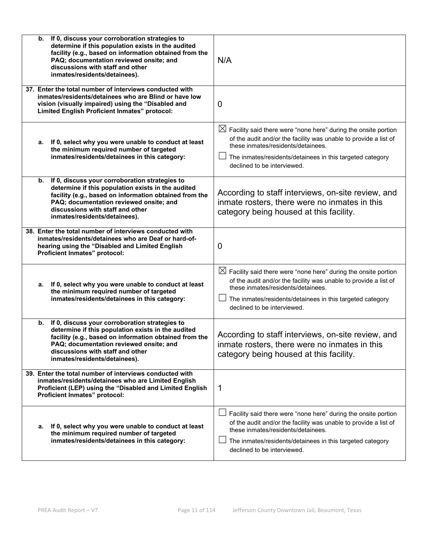| If 0, discuss your corroboration strategies to<br>b.<br>determine if this population exists in the audited<br>facility (e.g., based on information obtained from the<br>PAQ; documentation reviewed onsite; and<br>discussions with staff and other<br>inmates/residents/detainees). | N/A                                                                                                                                                                                                                                                                              |
|--------------------------------------------------------------------------------------------------------------------------------------------------------------------------------------------------------------------------------------------------------------------------------------|----------------------------------------------------------------------------------------------------------------------------------------------------------------------------------------------------------------------------------------------------------------------------------|
| 37. Enter the total number of interviews conducted with<br>inmates/residents/detainees who are Blind or have low<br>vision (visually impaired) using the "Disabled and<br>Limited English Proficient Inmates" protocol:                                                              | $\boldsymbol{0}$                                                                                                                                                                                                                                                                 |
| a. If 0, select why you were unable to conduct at least<br>the minimum required number of targeted<br>inmates/residents/detainees in this category:                                                                                                                                  | $\boxtimes$ Facility said there were "none here" during the onsite portion<br>of the audit and/or the facility was unable to provide a list of<br>these inmates/residents/detainees.<br>The inmates/residents/detainees in this targeted category<br>declined to be interviewed. |
| If 0, discuss your corroboration strategies to<br>b.<br>determine if this population exists in the audited<br>facility (e.g., based on information obtained from the<br>PAQ; documentation reviewed onsite; and<br>discussions with staff and other<br>inmates/residents/detainees). | According to staff interviews, on-site review, and<br>inmate rosters, there were no inmates in this<br>category being housed at this facility.                                                                                                                                   |
| 38. Enter the total number of interviews conducted with<br>inmates/residents/detainees who are Deaf or hard-of-<br>hearing using the "Disabled and Limited English<br>Proficient Inmates" protocol:                                                                                  | 0                                                                                                                                                                                                                                                                                |
| a. If 0, select why you were unable to conduct at least<br>the minimum required number of targeted<br>inmates/residents/detainees in this category:                                                                                                                                  | $\boxtimes$ Facility said there were "none here" during the onsite portion<br>of the audit and/or the facility was unable to provide a list of<br>these inmates/residents/detainees.<br>The inmates/residents/detainees in this targeted category<br>declined to be interviewed. |
| If 0, discuss your corroboration strategies to<br>b.<br>determine if this population exists in the audited<br>facility (e.g., based on information obtained from the<br>PAQ; documentation reviewed onsite; and<br>discussions with staff and other<br>inmates/residents/detainees). | According to staff interviews, on-site review, and<br>inmate rosters, there were no inmates in this<br>category being housed at this facility.                                                                                                                                   |
| 39. Enter the total number of interviews conducted with<br>inmates/residents/detainees who are Limited English<br>Proficient (LEP) using the "Disabled and Limited English<br>Proficient Inmates" protocol:                                                                          | 1                                                                                                                                                                                                                                                                                |
| If 0, select why you were unable to conduct at least<br>а.<br>the minimum required number of targeted<br>inmates/residents/detainees in this category:                                                                                                                               | Facility said there were "none here" during the onsite portion<br>of the audit and/or the facility was unable to provide a list of<br>these inmates/residents/detainees.<br>The inmates/residents/detainees in this targeted category<br>declined to be interviewed.             |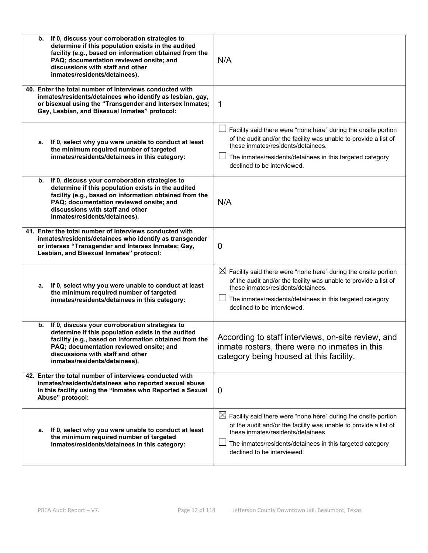| If 0, discuss your corroboration strategies to<br>b.<br>determine if this population exists in the audited<br>facility (e.g., based on information obtained from the<br>PAQ; documentation reviewed onsite; and<br>discussions with staff and other<br>inmates/residents/detainees). | N/A                                                                                                                                                                                                                                                                              |
|--------------------------------------------------------------------------------------------------------------------------------------------------------------------------------------------------------------------------------------------------------------------------------------|----------------------------------------------------------------------------------------------------------------------------------------------------------------------------------------------------------------------------------------------------------------------------------|
| 40. Enter the total number of interviews conducted with<br>inmates/residents/detainees who identify as lesbian, gay,<br>or bisexual using the "Transgender and Intersex Inmates;<br>Gay, Lesbian, and Bisexual Inmates" protocol:                                                    | 1                                                                                                                                                                                                                                                                                |
| a. If 0, select why you were unable to conduct at least<br>the minimum required number of targeted<br>inmates/residents/detainees in this category:                                                                                                                                  | Facility said there were "none here" during the onsite portion<br>of the audit and/or the facility was unable to provide a list of<br>these inmates/residents/detainees.<br>The inmates/residents/detainees in this targeted category<br>declined to be interviewed.             |
| If 0, discuss your corroboration strategies to<br>b.<br>determine if this population exists in the audited<br>facility (e.g., based on information obtained from the<br>PAQ; documentation reviewed onsite; and<br>discussions with staff and other<br>inmates/residents/detainees). | N/A                                                                                                                                                                                                                                                                              |
| 41. Enter the total number of interviews conducted with<br>inmates/residents/detainees who identify as transgender<br>or intersex "Transgender and Intersex Inmates; Gay,<br>Lesbian, and Bisexual Inmates" protocol:                                                                | 0                                                                                                                                                                                                                                                                                |
| If 0, select why you were unable to conduct at least<br>а.<br>the minimum required number of targeted<br>inmates/residents/detainees in this category:                                                                                                                               | $\boxtimes$ Facility said there were "none here" during the onsite portion<br>of the audit and/or the facility was unable to provide a list of<br>these inmates/residents/detainees.<br>The inmates/residents/detainees in this targeted category<br>declined to be interviewed. |
| If 0, discuss your corroboration strategies to<br>b.<br>determine if this population exists in the audited<br>facility (e.g., based on information obtained from the<br>PAQ; documentation reviewed onsite; and<br>discussions with staff and other<br>inmates/residents/detainees). | According to staff interviews, on-site review, and<br>inmate rosters, there were no inmates in this<br>category being housed at this facility.                                                                                                                                   |
| 42. Enter the total number of interviews conducted with<br>inmates/residents/detainees who reported sexual abuse<br>in this facility using the "Inmates who Reported a Sexual<br>Abuse" protocol:                                                                                    | 0                                                                                                                                                                                                                                                                                |
| a. If 0, select why you were unable to conduct at least<br>the minimum required number of targeted<br>inmates/residents/detainees in this category:                                                                                                                                  | $\boxtimes$ Facility said there were "none here" during the onsite portion<br>of the audit and/or the facility was unable to provide a list of<br>these inmates/residents/detainees.<br>The inmates/residents/detainees in this targeted category<br>declined to be interviewed. |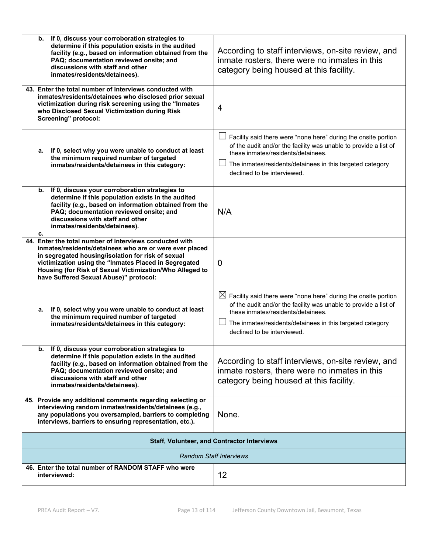| If 0, discuss your corroboration strategies to<br>b.<br>determine if this population exists in the audited<br>facility (e.g., based on information obtained from the<br>PAQ; documentation reviewed onsite; and<br>discussions with staff and other<br>inmates/residents/detainees).                                                    | According to staff interviews, on-site review, and<br>inmate rosters, there were no inmates in this<br>category being housed at this facility.                                                                                                                                   |
|-----------------------------------------------------------------------------------------------------------------------------------------------------------------------------------------------------------------------------------------------------------------------------------------------------------------------------------------|----------------------------------------------------------------------------------------------------------------------------------------------------------------------------------------------------------------------------------------------------------------------------------|
| 43. Enter the total number of interviews conducted with<br>inmates/residents/detainees who disclosed prior sexual<br>victimization during risk screening using the "Inmates<br>who Disclosed Sexual Victimization during Risk<br>Screening" protocol:                                                                                   | 4                                                                                                                                                                                                                                                                                |
| a. If 0, select why you were unable to conduct at least<br>the minimum required number of targeted<br>inmates/residents/detainees in this category:                                                                                                                                                                                     | Facility said there were "none here" during the onsite portion<br>of the audit and/or the facility was unable to provide a list of<br>these inmates/residents/detainees.<br>The inmates/residents/detainees in this targeted category<br>declined to be interviewed.             |
| If 0, discuss your corroboration strategies to<br>b.<br>determine if this population exists in the audited<br>facility (e.g., based on information obtained from the<br>PAQ; documentation reviewed onsite; and<br>discussions with staff and other<br>inmates/residents/detainees).<br>c.                                              | N/A                                                                                                                                                                                                                                                                              |
| 44. Enter the total number of interviews conducted with<br>inmates/residents/detainees who are or were ever placed<br>in segregated housing/isolation for risk of sexual<br>victimization using the "Inmates Placed in Segregated<br>Housing (for Risk of Sexual Victimization/Who Alleged to<br>have Suffered Sexual Abuse)" protocol: | $\overline{0}$                                                                                                                                                                                                                                                                   |
| a. If 0, select why you were unable to conduct at least<br>the minimum required number of targeted<br>inmates/residents/detainees in this category:                                                                                                                                                                                     | $\boxtimes$ Facility said there were "none here" during the onsite portion<br>of the audit and/or the facility was unable to provide a list of<br>these inmates/residents/detainees.<br>The inmates/residents/detainees in this targeted category<br>declined to be interviewed. |
| b. If 0, discuss your corroboration strategies to<br>determine if this population exists in the audited<br>facility (e.g., based on information obtained from the<br>PAQ; documentation reviewed onsite; and<br>discussions with staff and other<br>inmates/residents/detainees).                                                       | According to staff interviews, on-site review, and<br>inmate rosters, there were no inmates in this<br>category being housed at this facility.                                                                                                                                   |
| 45. Provide any additional comments regarding selecting or<br>interviewing random inmates/residents/detainees (e.g.,<br>any populations you oversampled, barriers to completing<br>interviews, barriers to ensuring representation, etc.).                                                                                              | None.                                                                                                                                                                                                                                                                            |
|                                                                                                                                                                                                                                                                                                                                         | <b>Staff, Volunteer, and Contractor Interviews</b>                                                                                                                                                                                                                               |
|                                                                                                                                                                                                                                                                                                                                         | <b>Random Staff Interviews</b>                                                                                                                                                                                                                                                   |
| 46. Enter the total number of RANDOM STAFF who were<br>interviewed:                                                                                                                                                                                                                                                                     | 12                                                                                                                                                                                                                                                                               |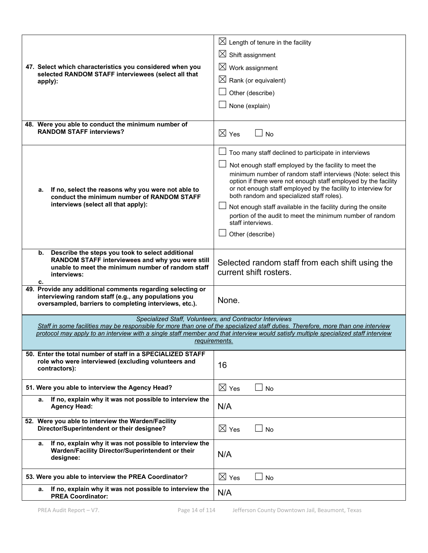| 47. Select which characteristics you considered when you<br>selected RANDOM STAFF interviewees (select all that<br>apply):                                                           | $\boxtimes$ Length of tenure in the facility<br>$\boxtimes$ Shift assignment<br>$\boxtimes$ Work assignment<br>$\boxtimes$ Rank (or equivalent)<br>Other (describe)<br>None (explain)                                                                                                                                                                                                                                                                                                                                               |
|--------------------------------------------------------------------------------------------------------------------------------------------------------------------------------------|-------------------------------------------------------------------------------------------------------------------------------------------------------------------------------------------------------------------------------------------------------------------------------------------------------------------------------------------------------------------------------------------------------------------------------------------------------------------------------------------------------------------------------------|
| 48. Were you able to conduct the minimum number of<br><b>RANDOM STAFF interviews?</b>                                                                                                | $\boxtimes$ Yes<br>$\Box$ No                                                                                                                                                                                                                                                                                                                                                                                                                                                                                                        |
| If no, select the reasons why you were not able to<br>а.<br>conduct the minimum number of RANDOM STAFF<br>interviews (select all that apply):                                        | Too many staff declined to participate in interviews<br>Not enough staff employed by the facility to meet the<br>minimum number of random staff interviews (Note: select this<br>option if there were not enough staff employed by the facility<br>or not enough staff employed by the facility to interview for<br>both random and specialized staff roles).<br>Not enough staff available in the facility during the onsite<br>portion of the audit to meet the minimum number of random<br>staff interviews.<br>Other (describe) |
| Describe the steps you took to select additional<br>b.<br>RANDOM STAFF interviewees and why you were still<br>unable to meet the minimum number of random staff<br>interviews:<br>c. | Selected random staff from each shift using the<br>current shift rosters.                                                                                                                                                                                                                                                                                                                                                                                                                                                           |
| 49. Provide any additional comments regarding selecting or<br>interviewing random staff (e.g., any populations you<br>oversampled, barriers to completing interviews, etc.).         | None.                                                                                                                                                                                                                                                                                                                                                                                                                                                                                                                               |
|                                                                                                                                                                                      | Specialized Staff, Volunteers, and Contractor Interviews<br>Staff in some facilities may be responsible for more than one of the specialized staff duties. Therefore, more than one interview                                                                                                                                                                                                                                                                                                                                       |
|                                                                                                                                                                                      | protocol may apply to an interview with a single staff member and that interview would satisfy multiple specialized staff interview                                                                                                                                                                                                                                                                                                                                                                                                 |
|                                                                                                                                                                                      | requirements.                                                                                                                                                                                                                                                                                                                                                                                                                                                                                                                       |
| 50. Enter the total number of staff in a SPECIALIZED STAFF<br>role who were interviewed (excluding volunteers and<br>contractors):                                                   | 16                                                                                                                                                                                                                                                                                                                                                                                                                                                                                                                                  |
| 51. Were you able to interview the Agency Head?                                                                                                                                      | $\boxtimes$ Yes<br><b>No</b>                                                                                                                                                                                                                                                                                                                                                                                                                                                                                                        |
| If no, explain why it was not possible to interview the<br>а.<br><b>Agency Head:</b>                                                                                                 | N/A                                                                                                                                                                                                                                                                                                                                                                                                                                                                                                                                 |
| 52. Were you able to interview the Warden/Facility<br>Director/Superintendent or their designee?                                                                                     | $\boxtimes$ Yes<br>⊿ No                                                                                                                                                                                                                                                                                                                                                                                                                                                                                                             |
| If no, explain why it was not possible to interview the<br>а.<br>Warden/Facility Director/Superintendent or their<br>designee:                                                       | N/A                                                                                                                                                                                                                                                                                                                                                                                                                                                                                                                                 |
| 53. Were you able to interview the PREA Coordinator?                                                                                                                                 | $\boxtimes$ Yes<br><b>No</b>                                                                                                                                                                                                                                                                                                                                                                                                                                                                                                        |
| If no, explain why it was not possible to interview the<br>а.<br><b>PREA Coordinator:</b>                                                                                            | N/A                                                                                                                                                                                                                                                                                                                                                                                                                                                                                                                                 |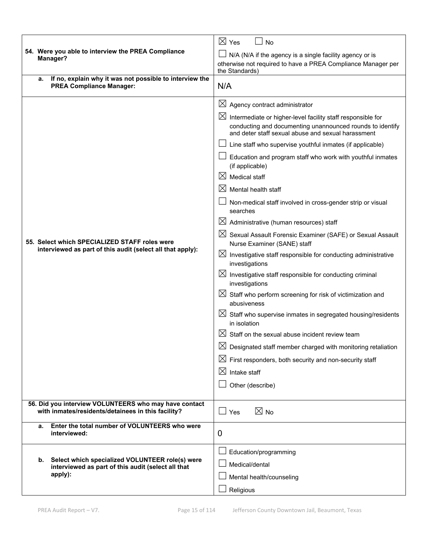|                                                                                                             | $\boxtimes$ Yes<br><b>No</b>                                                                                                                                                                  |
|-------------------------------------------------------------------------------------------------------------|-----------------------------------------------------------------------------------------------------------------------------------------------------------------------------------------------|
| 54. Were you able to interview the PREA Compliance                                                          | N/A (N/A if the agency is a single facility agency or is                                                                                                                                      |
| Manager?                                                                                                    | otherwise not required to have a PREA Compliance Manager per                                                                                                                                  |
| If no, explain why it was not possible to interview the<br>a.                                               | the Standards)                                                                                                                                                                                |
| <b>PREA Compliance Manager:</b>                                                                             | N/A                                                                                                                                                                                           |
|                                                                                                             | $\boxtimes$<br>Agency contract administrator                                                                                                                                                  |
|                                                                                                             | $\boxtimes$<br>Intermediate or higher-level facility staff responsible for<br>conducting and documenting unannounced rounds to identify<br>and deter staff sexual abuse and sexual harassment |
|                                                                                                             | Line staff who supervise youthful inmates (if applicable)                                                                                                                                     |
|                                                                                                             | Education and program staff who work with youthful inmates<br>(if applicable)                                                                                                                 |
|                                                                                                             | $\bowtie$<br><b>Medical staff</b>                                                                                                                                                             |
|                                                                                                             | $\boxtimes$<br>Mental health staff                                                                                                                                                            |
|                                                                                                             | Non-medical staff involved in cross-gender strip or visual<br>searches                                                                                                                        |
|                                                                                                             | $\boxtimes$<br>Administrative (human resources) staff                                                                                                                                         |
| 55. Select which SPECIALIZED STAFF roles were<br>interviewed as part of this audit (select all that apply): | $\boxtimes$<br>Sexual Assault Forensic Examiner (SAFE) or Sexual Assault<br>Nurse Examiner (SANE) staff                                                                                       |
|                                                                                                             | $\boxtimes$ Investigative staff responsible for conducting administrative<br>investigations                                                                                                   |
|                                                                                                             | $\boxtimes$ Investigative staff responsible for conducting criminal<br>investigations                                                                                                         |
|                                                                                                             | $\boxtimes$ Staff who perform screening for risk of victimization and<br>abusiveness                                                                                                          |
|                                                                                                             | $\boxtimes$ Staff who supervise inmates in segregated housing/residents<br>in isolation                                                                                                       |
|                                                                                                             | IХI<br>Staff on the sexual abuse incident review team                                                                                                                                         |
|                                                                                                             | Designated staff member charged with monitoring retaliation                                                                                                                                   |
|                                                                                                             | $\boxtimes$ First responders, both security and non-security staff                                                                                                                            |
|                                                                                                             | $\boxtimes$<br>Intake staff                                                                                                                                                                   |
|                                                                                                             | Other (describe)                                                                                                                                                                              |
|                                                                                                             |                                                                                                                                                                                               |
| 56. Did you interview VOLUNTEERS who may have contact<br>with inmates/residents/detainees in this facility? | $\boxtimes$ No<br>$\Box$ Yes                                                                                                                                                                  |
| Enter the total number of VOLUNTEERS who were<br>а.<br>interviewed:                                         | 0                                                                                                                                                                                             |
|                                                                                                             | Education/programming                                                                                                                                                                         |
| Select which specialized VOLUNTEER role(s) were<br>b.<br>interviewed as part of this audit (select all that | Medical/dental                                                                                                                                                                                |
| apply):                                                                                                     | Mental health/counseling                                                                                                                                                                      |
|                                                                                                             | Religious                                                                                                                                                                                     |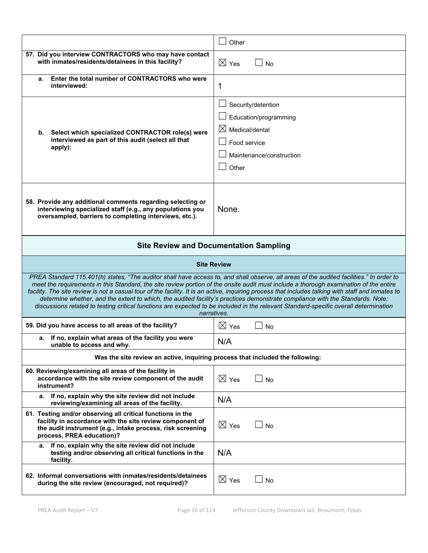|                                                                                                                                                                                                                   | Other                                                                                                                                                                                                                                                                                                                                                                                                                                                                                                                                                                                                                                                                                                                            |
|-------------------------------------------------------------------------------------------------------------------------------------------------------------------------------------------------------------------|----------------------------------------------------------------------------------------------------------------------------------------------------------------------------------------------------------------------------------------------------------------------------------------------------------------------------------------------------------------------------------------------------------------------------------------------------------------------------------------------------------------------------------------------------------------------------------------------------------------------------------------------------------------------------------------------------------------------------------|
| 57. Did you interview CONTRACTORS who may have contact<br>with inmates/residents/detainees in this facility?                                                                                                      | $\boxtimes$ Yes<br>⊿ No                                                                                                                                                                                                                                                                                                                                                                                                                                                                                                                                                                                                                                                                                                          |
| Enter the total number of CONTRACTORS who were<br>а.<br>interviewed:                                                                                                                                              | 1                                                                                                                                                                                                                                                                                                                                                                                                                                                                                                                                                                                                                                                                                                                                |
| Select which specialized CONTRACTOR role(s) were<br>b.<br>interviewed as part of this audit (select all that<br>apply):                                                                                           | Security/detention<br>Education/programming<br>$\boxtimes$<br>Medical/dental<br>Food service<br>Maintenance/construction<br>Other                                                                                                                                                                                                                                                                                                                                                                                                                                                                                                                                                                                                |
| 58. Provide any additional comments regarding selecting or<br>interviewing specialized staff (e.g., any populations you<br>oversampled, barriers to completing interviews, etc.).                                 | None.                                                                                                                                                                                                                                                                                                                                                                                                                                                                                                                                                                                                                                                                                                                            |
|                                                                                                                                                                                                                   | <b>Site Review and Documentation Sampling</b>                                                                                                                                                                                                                                                                                                                                                                                                                                                                                                                                                                                                                                                                                    |
|                                                                                                                                                                                                                   | <b>Site Review</b>                                                                                                                                                                                                                                                                                                                                                                                                                                                                                                                                                                                                                                                                                                               |
|                                                                                                                                                                                                                   | PREA Standard 115.401(h) states, "The auditor shall have access to, and shall observe, all areas of the audited facilities." In order to<br>meet the requirements in this Standard, the site review portion of the onsite audit must include a thorough examination of the entire<br>facility. The site review is not a casual tour of the facility. It is an active, inquiring process that includes talking with staff and inmates to<br>determine whether, and the extent to which, the audited facility's practices demonstrate compliance with the Standards. Note:<br>discussions related to testing critical functions are expected to be included in the relevant Standard-specific overall determination<br>narratives. |
| 59. Did you have access to all areas of the facility?                                                                                                                                                             | $\boxtimes$ Yes<br>No<br>$\perp$                                                                                                                                                                                                                                                                                                                                                                                                                                                                                                                                                                                                                                                                                                 |
| If no, explain what areas of the facility you were<br>а.<br>unable to access and why.                                                                                                                             | N/A                                                                                                                                                                                                                                                                                                                                                                                                                                                                                                                                                                                                                                                                                                                              |
| Was the site review an active, inquiring process that included the following:                                                                                                                                     |                                                                                                                                                                                                                                                                                                                                                                                                                                                                                                                                                                                                                                                                                                                                  |
| 60. Reviewing/examining all areas of the facility in<br>accordance with the site review component of the audit<br>instrument?                                                                                     | $\boxtimes$ Yes<br><b>No</b>                                                                                                                                                                                                                                                                                                                                                                                                                                                                                                                                                                                                                                                                                                     |
| If no, explain why the site review did not include<br>а.<br>reviewing/examining all areas of the facility.                                                                                                        | N/A                                                                                                                                                                                                                                                                                                                                                                                                                                                                                                                                                                                                                                                                                                                              |
| 61. Testing and/or observing all critical functions in the<br>facility in accordance with the site review component of<br>the audit instrument (e.g., intake process, risk screening<br>process, PREA education)? | $\boxtimes$ Yes<br><b>No</b>                                                                                                                                                                                                                                                                                                                                                                                                                                                                                                                                                                                                                                                                                                     |
| If no, explain why the site review did not include<br>а.<br>testing and/or observing all critical functions in the<br>facility.                                                                                   | N/A                                                                                                                                                                                                                                                                                                                                                                                                                                                                                                                                                                                                                                                                                                                              |
| 62. Informal conversations with inmates/residents/detainees<br>during the site review (encouraged, not required)?                                                                                                 | $\boxtimes$ Yes<br>No                                                                                                                                                                                                                                                                                                                                                                                                                                                                                                                                                                                                                                                                                                            |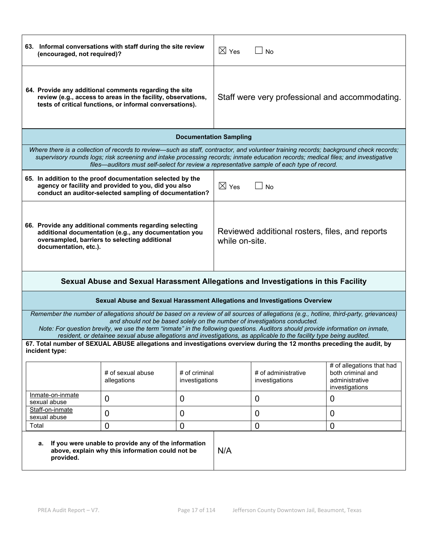| 63. Informal conversations with staff during the site review<br>(encouraged, not required)?                                                                                                                                                                                                                                                                                                                                                                                                                                                                                                                              |                                                                                                                                                                                                                                 |                                 | $\boxtimes$ Yes                                                   | $\sqcup$ No                           |                                                                                                                                       |  |
|--------------------------------------------------------------------------------------------------------------------------------------------------------------------------------------------------------------------------------------------------------------------------------------------------------------------------------------------------------------------------------------------------------------------------------------------------------------------------------------------------------------------------------------------------------------------------------------------------------------------------|---------------------------------------------------------------------------------------------------------------------------------------------------------------------------------------------------------------------------------|---------------------------------|-------------------------------------------------------------------|---------------------------------------|---------------------------------------------------------------------------------------------------------------------------------------|--|
| 64. Provide any additional comments regarding the site<br>review (e.g., access to areas in the facility, observations,<br>tests of critical functions, or informal conversations).                                                                                                                                                                                                                                                                                                                                                                                                                                       |                                                                                                                                                                                                                                 |                                 | Staff were very professional and accommodating.                   |                                       |                                                                                                                                       |  |
|                                                                                                                                                                                                                                                                                                                                                                                                                                                                                                                                                                                                                          |                                                                                                                                                                                                                                 | <b>Documentation Sampling</b>   |                                                                   |                                       |                                                                                                                                       |  |
|                                                                                                                                                                                                                                                                                                                                                                                                                                                                                                                                                                                                                          | supervisory rounds logs; risk screening and intake processing records; inmate education records; medical files; and investigative<br>files—auditors must self-select for review a representative sample of each type of record. |                                 |                                                                   |                                       | Where there is a collection of records to review—such as staff, contractor, and volunteer training records; background check records; |  |
|                                                                                                                                                                                                                                                                                                                                                                                                                                                                                                                                                                                                                          | 65. In addition to the proof documentation selected by the<br>agency or facility and provided to you, did you also<br>conduct an auditor-selected sampling of documentation?                                                    |                                 | $\boxtimes$ Yes                                                   | <b>No</b>                             |                                                                                                                                       |  |
| 66. Provide any additional comments regarding selecting<br>additional documentation (e.g., any documentation you<br>oversampled, barriers to selecting additional<br>documentation, etc.).                                                                                                                                                                                                                                                                                                                                                                                                                               |                                                                                                                                                                                                                                 |                                 | Reviewed additional rosters, files, and reports<br>while on-site. |                                       |                                                                                                                                       |  |
|                                                                                                                                                                                                                                                                                                                                                                                                                                                                                                                                                                                                                          | Sexual Abuse and Sexual Harassment Allegations and Investigations in this Facility                                                                                                                                              |                                 |                                                                   |                                       |                                                                                                                                       |  |
|                                                                                                                                                                                                                                                                                                                                                                                                                                                                                                                                                                                                                          | Sexual Abuse and Sexual Harassment Allegations and Investigations Overview                                                                                                                                                      |                                 |                                                                   |                                       |                                                                                                                                       |  |
| Remember the number of allegations should be based on a review of all sources of allegations (e.g., hotline, third-party, grievances)<br>and should not be based solely on the number of investigations conducted.<br>Note: For question brevity, we use the term "inmate" in the following questions. Auditors should provide information on inmate,<br>resident, or detainee sexual abuse allegations and investigations, as applicable to the facility type being audited.<br>67. Total number of SEXUAL ABUSE allegations and investigations overview during the 12 months preceding the audit, by<br>incident type: |                                                                                                                                                                                                                                 |                                 |                                                                   |                                       |                                                                                                                                       |  |
|                                                                                                                                                                                                                                                                                                                                                                                                                                                                                                                                                                                                                          | # of sexual abuse<br>allegations                                                                                                                                                                                                | # of criminal<br>investigations |                                                                   | # of administrative<br>investigations | # of allegations that had<br>both criminal and<br>administrative<br>investigations                                                    |  |
| Inmate-on-inmate<br>sexual abuse                                                                                                                                                                                                                                                                                                                                                                                                                                                                                                                                                                                         | 0                                                                                                                                                                                                                               | $\mathbf 0$                     |                                                                   | $\mathbf 0$                           | 0                                                                                                                                     |  |
| Staff-on-inmate<br>sexual abuse                                                                                                                                                                                                                                                                                                                                                                                                                                                                                                                                                                                          | $\overline{0}$                                                                                                                                                                                                                  | 0                               |                                                                   | 0                                     | 0                                                                                                                                     |  |
| Total                                                                                                                                                                                                                                                                                                                                                                                                                                                                                                                                                                                                                    | $\overline{0}$                                                                                                                                                                                                                  | 0                               |                                                                   | 0                                     | $\overline{0}$                                                                                                                        |  |
| If you were unable to provide any of the information<br>а.<br>above, explain why this information could not be<br>provided.                                                                                                                                                                                                                                                                                                                                                                                                                                                                                              |                                                                                                                                                                                                                                 |                                 | N/A                                                               |                                       |                                                                                                                                       |  |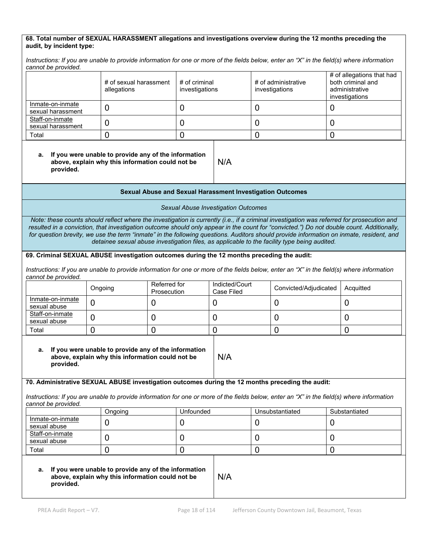#### **68. Total number of SEXUAL HARASSMENT allegations and investigations overview during the 12 months preceding the audit, by incident type:**

*Instructions: If you are unable to provide information for one or more of the fields below, enter an "X" in the field(s) where information cannot be provided.*

|                                       | # of sexual harassment<br>allegations | # of criminal<br>investigations | # of administrative<br>investigations | # of allegations that had<br>both criminal and<br>administrative<br>investigations |
|---------------------------------------|---------------------------------------|---------------------------------|---------------------------------------|------------------------------------------------------------------------------------|
| Inmate-on-inmate<br>sexual harassment |                                       |                                 |                                       |                                                                                    |
| Staff-on-inmate<br>sexual harassment  |                                       |                                 |                                       |                                                                                    |
| Total                                 |                                       |                                 |                                       |                                                                                    |

#### **a. If you were unable to provide any of the information above, explain why this information could not be provided.**

#### **Sexual Abuse and Sexual Harassment Investigation Outcomes**

N/A

*Sexual Abuse Investigation Outcomes* 

*Note: these counts should reflect where the investigation is currently (i.e., if a criminal investigation was referred for prosecution and resulted in a conviction, that investigation outcome should only appear in the count for "convicted.") Do not double count. Additionally, for question brevity, we use the term "inmate" in the following questions. Auditors should provide information on inmate, resident, and detainee sexual abuse investigation files, as applicable to the facility type being audited.*

#### **69. Criminal SEXUAL ABUSE investigation outcomes during the 12 months preceding the audit:**

*Instructions: If you are unable to provide information for one or more of the fields below, enter an "X" in the field(s) where information cannot be provided.*

|                                  | Ongoing | Referred for<br>Prosecution | Indicted/Court<br>Case Filed | Convicted/Adjudicated | Acquitted |
|----------------------------------|---------|-----------------------------|------------------------------|-----------------------|-----------|
| Inmate-on-inmate<br>sexual abuse |         |                             |                              |                       |           |
| Staff-on-inmate<br>sexual abuse  |         |                             |                              |                       |           |
| Total                            |         |                             |                              |                       |           |

N/A

#### **a. If you were unable to provide any of the information above, explain why this information could not be provided.**

#### **70. Administrative SEXUAL ABUSE investigation outcomes during the 12 months preceding the audit:**

*Instructions: If you are unable to provide information for one or more of the fields below, enter an "X" in the field(s) where information cannot be provided.*

|                                  | Ongoing | Unfounded | Unsubstantiated | Substantiated |
|----------------------------------|---------|-----------|-----------------|---------------|
| Inmate-on-inmate<br>sexual abuse |         |           |                 |               |
| Staff-on-inmate<br>sexual abuse  |         |           |                 |               |
| Total                            |         |           |                 |               |

#### **a. If you were unable to provide any of the information above, explain why this information could not be provided.**

N/A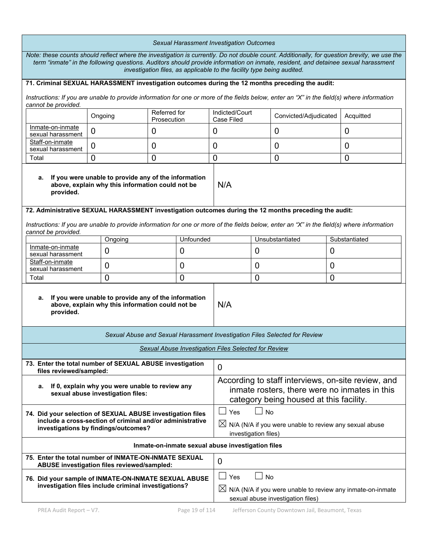| Sexual Harassment Investigation Outcomes                                                                                                                                                                                                                                                                                                                   |                |         |                                                                                                                                                |                |                                                      |                                                                        |                       |                                                                                                                                            |
|------------------------------------------------------------------------------------------------------------------------------------------------------------------------------------------------------------------------------------------------------------------------------------------------------------------------------------------------------------|----------------|---------|------------------------------------------------------------------------------------------------------------------------------------------------|----------------|------------------------------------------------------|------------------------------------------------------------------------|-----------------------|--------------------------------------------------------------------------------------------------------------------------------------------|
| Note: these counts should reflect where the investigation is currently. Do not double count. Additionally, for question brevity, we use the<br>term "inmate" in the following questions. Auditors should provide information on inmate, resident, and detainee sexual harassment<br>investigation files, as applicable to the facility type being audited. |                |         |                                                                                                                                                |                |                                                      |                                                                        |                       |                                                                                                                                            |
| 71. Criminal SEXUAL HARASSMENT investigation outcomes during the 12 months preceding the audit:                                                                                                                                                                                                                                                            |                |         |                                                                                                                                                |                |                                                      |                                                                        |                       |                                                                                                                                            |
| cannot be provided.                                                                                                                                                                                                                                                                                                                                        |                |         |                                                                                                                                                |                |                                                      |                                                                        |                       | Instructions: If you are unable to provide information for one or more of the fields below, enter an "X" in the field(s) where information |
|                                                                                                                                                                                                                                                                                                                                                            |                | Ongoing | Referred for<br>Prosecution                                                                                                                    |                | Indicted/Court<br>Case Filed                         |                                                                        | Convicted/Adjudicated | Acquitted                                                                                                                                  |
| Inmate-on-inmate<br>sexual harassment                                                                                                                                                                                                                                                                                                                      | 0              |         | 0                                                                                                                                              |                | 0                                                    |                                                                        | 0                     | 0                                                                                                                                          |
| Staff-on-inmate<br>sexual harassment                                                                                                                                                                                                                                                                                                                       | $\overline{0}$ |         | 0                                                                                                                                              |                | 0                                                    |                                                                        | 0                     | 0                                                                                                                                          |
| Total                                                                                                                                                                                                                                                                                                                                                      | $\mathbf 0$    |         | 0                                                                                                                                              |                | $\mathbf 0$                                          |                                                                        | $\mathbf 0$           | $\overline{0}$                                                                                                                             |
| If you were unable to provide any of the information<br>а.<br>above, explain why this information could not be<br>provided.                                                                                                                                                                                                                                |                |         |                                                                                                                                                | N/A            |                                                      |                                                                        |                       |                                                                                                                                            |
| 72. Administrative SEXUAL HARASSMENT investigation outcomes during the 12 months preceding the audit:                                                                                                                                                                                                                                                      |                |         |                                                                                                                                                |                |                                                      |                                                                        |                       |                                                                                                                                            |
| cannot be provided.                                                                                                                                                                                                                                                                                                                                        |                |         |                                                                                                                                                |                |                                                      |                                                                        |                       | Instructions: If you are unable to provide information for one or more of the fields below, enter an "X" in the field(s) where information |
| Inmate-on-inmate                                                                                                                                                                                                                                                                                                                                           |                | Ongoing |                                                                                                                                                | Unfounded      |                                                      |                                                                        | Unsubstantiated       | Substantiated                                                                                                                              |
| sexual harassment                                                                                                                                                                                                                                                                                                                                          |                | 0       |                                                                                                                                                | 0              |                                                      | $\overline{0}$                                                         |                       | 0                                                                                                                                          |
| Staff-on-inmate<br>sexual harassment                                                                                                                                                                                                                                                                                                                       |                | 0       |                                                                                                                                                | 0              |                                                      | $\overline{0}$                                                         |                       | 0                                                                                                                                          |
| Total                                                                                                                                                                                                                                                                                                                                                      |                | 0       |                                                                                                                                                | $\overline{0}$ |                                                      | $\overline{0}$<br>0                                                    |                       |                                                                                                                                            |
| If you were unable to provide any of the information<br>а.<br>above, explain why this information could not be<br>provided.                                                                                                                                                                                                                                |                |         | N/A                                                                                                                                            |                |                                                      |                                                                        |                       |                                                                                                                                            |
| Sexual Abuse and Sexual Harassment Investigation Files Selected for Review                                                                                                                                                                                                                                                                                 |                |         |                                                                                                                                                |                |                                                      |                                                                        |                       |                                                                                                                                            |
|                                                                                                                                                                                                                                                                                                                                                            |                |         |                                                                                                                                                |                | Sexual Abuse Investigation Files Selected for Review |                                                                        |                       |                                                                                                                                            |
| 73. Enter the total number of SEXUAL ABUSE investigation<br>files reviewed/sampled:                                                                                                                                                                                                                                                                        |                |         |                                                                                                                                                |                | $\overline{0}$                                       |                                                                        |                       |                                                                                                                                            |
| If 0, explain why you were unable to review any<br>а.<br>sexual abuse investigation files:                                                                                                                                                                                                                                                                 |                |         | According to staff interviews, on-site review, and<br>inmate rosters, there were no inmates in this<br>category being housed at this facility. |                |                                                      |                                                                        |                       |                                                                                                                                            |
| 74. Did your selection of SEXUAL ABUSE investigation files<br>include a cross-section of criminal and/or administrative<br>investigations by findings/outcomes?                                                                                                                                                                                            |                |         | Yes<br>No<br>$\blacksquare$<br>$\boxtimes$ N/A (N/A if you were unable to review any sexual abuse<br>investigation files)                      |                |                                                      |                                                                        |                       |                                                                                                                                            |
|                                                                                                                                                                                                                                                                                                                                                            |                |         |                                                                                                                                                |                | Inmate-on-inmate sexual abuse investigation files    |                                                                        |                       |                                                                                                                                            |
| 75. Enter the total number of INMATE-ON-INMATE SEXUAL<br>ABUSE investigation files reviewed/sampled:                                                                                                                                                                                                                                                       |                |         |                                                                                                                                                |                | $\overline{0}$                                       |                                                                        |                       |                                                                                                                                            |
| 76. Did your sample of INMATE-ON-INMATE SEXUAL ABUSE<br>investigation files include criminal investigations?                                                                                                                                                                                                                                               |                |         | $\Box$<br>Yes                                                                                                                                  | ⊿ No           | sexual abuse investigation files)                    | $\boxtimes$ N/A (N/A if you were unable to review any inmate-on-inmate |                       |                                                                                                                                            |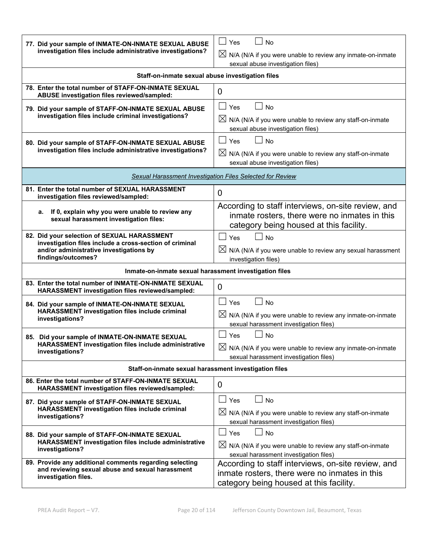| 77. Did your sample of INMATE-ON-INMATE SEXUAL ABUSE<br>investigation files include administrative investigations?                                                      | Yes<br><b>No</b><br>$\boxtimes$ N/A (N/A if you were unable to review any inmate-on-inmate<br>sexual abuse investigation files)                |
|-------------------------------------------------------------------------------------------------------------------------------------------------------------------------|------------------------------------------------------------------------------------------------------------------------------------------------|
| Staff-on-inmate sexual abuse investigation files                                                                                                                        |                                                                                                                                                |
| 78. Enter the total number of STAFF-ON-INMATE SEXUAL<br>ABUSE investigation files reviewed/sampled:                                                                     | $\overline{0}$                                                                                                                                 |
| 79. Did your sample of STAFF-ON-INMATE SEXUAL ABUSE<br>investigation files include criminal investigations?                                                             | $\Box$<br>Yes<br><b>No</b><br>$\boxtimes$ N/A (N/A if you were unable to review any staff-on-inmate<br>sexual abuse investigation files)       |
| 80. Did your sample of STAFF-ON-INMATE SEXUAL ABUSE<br>investigation files include administrative investigations?                                                       | Yes<br><b>No</b><br>$\boxtimes$ N/A (N/A if you were unable to review any staff-on-inmate<br>sexual abuse investigation files)                 |
|                                                                                                                                                                         | Sexual Harassment Investigation Files Selected for Review                                                                                      |
| 81. Enter the total number of SEXUAL HARASSMENT<br>investigation files reviewed/sampled:                                                                                | $\overline{0}$                                                                                                                                 |
| If 0, explain why you were unable to review any<br>a.<br>sexual harassment investigation files:                                                                         | According to staff interviews, on-site review, and<br>inmate rosters, there were no inmates in this<br>category being housed at this facility. |
| 82. Did your selection of SEXUAL HARASSMENT<br>investigation files include a cross-section of criminal<br>and/or administrative investigations by<br>findings/outcomes? | <b>No</b><br>Yes<br>$\boxtimes$ N/A (N/A if you were unable to review any sexual harassment<br>investigation files)                            |
| Inmate-on-inmate sexual harassment investigation files                                                                                                                  |                                                                                                                                                |
| 83. Enter the total number of INMATE-ON-INMATE SEXUAL<br>HARASSMENT investigation files reviewed/sampled:                                                               | 0                                                                                                                                              |
| 84. Did your sample of INMATE-ON-INMATE SEXUAL<br>HARASSMENT investigation files include criminal<br>investigations?                                                    | ∣ Yes<br><b>No</b><br>$\boxtimes$ N/A (N/A if you were unable to review any inmate-on-inmate<br>sexual harassment investigation files)         |
| 85. Did your sample of INMATE-ON-INMATE SEXUAL<br>HARASSMENT investigation files include administrative<br>investigations?                                              | <b>No</b><br>Yes<br>$\boxtimes$ N/A (N/A if you were unable to review any inmate-on-inmate<br>sexual harassment investigation files)           |
| Staff-on-inmate sexual harassment investigation files                                                                                                                   |                                                                                                                                                |
| 86. Enter the total number of STAFF-ON-INMATE SEXUAL<br>HARASSMENT investigation files reviewed/sampled:                                                                | 0                                                                                                                                              |
| 87. Did your sample of STAFF-ON-INMATE SEXUAL<br>HARASSMENT investigation files include criminal<br>investigations?                                                     | $\Box$ No<br>$\Box$ Yes<br>$\boxtimes$ N/A (N/A if you were unable to review any staff-on-inmate<br>sexual harassment investigation files)     |
| 88. Did your sample of STAFF-ON-INMATE SEXUAL<br>HARASSMENT investigation files include administrative<br>investigations?                                               | $\Box$ Yes<br><b>No</b><br>$\boxtimes$ N/A (N/A if you were unable to review any staff-on-inmate<br>sexual harassment investigation files)     |
| 89. Provide any additional comments regarding selecting<br>and reviewing sexual abuse and sexual harassment<br>investigation files.                                     | According to staff interviews, on-site review, and<br>inmate rosters, there were no inmates in this<br>category being housed at this facility. |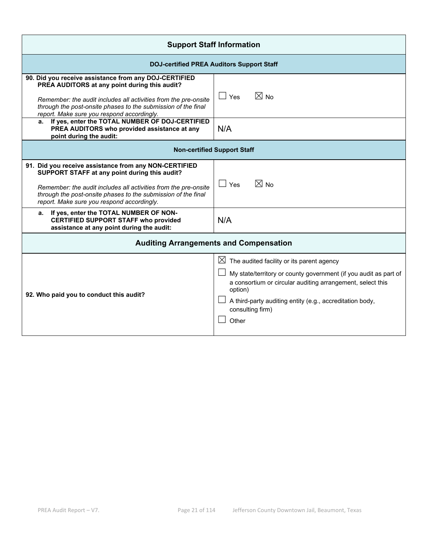| <b>Support Staff Information</b>                                                                                                                                                                                                                                                         |                                                                                                                                                                                                                                                                                             |  |  |  |  |  |
|------------------------------------------------------------------------------------------------------------------------------------------------------------------------------------------------------------------------------------------------------------------------------------------|---------------------------------------------------------------------------------------------------------------------------------------------------------------------------------------------------------------------------------------------------------------------------------------------|--|--|--|--|--|
|                                                                                                                                                                                                                                                                                          | <b>DOJ-certified PREA Auditors Support Staff</b>                                                                                                                                                                                                                                            |  |  |  |  |  |
| 90. Did you receive assistance from any DOJ-CERTIFIED<br>PREA AUDITORS at any point during this audit?<br>Remember: the audit includes all activities from the pre-onsite<br>through the post-onsite phases to the submission of the final<br>report. Make sure you respond accordingly. | $\boxtimes$ No<br>$\Box$ Yes                                                                                                                                                                                                                                                                |  |  |  |  |  |
| If yes, enter the TOTAL NUMBER OF DOJ-CERTIFIED<br>а.<br>PREA AUDITORS who provided assistance at any<br>point during the audit:                                                                                                                                                         | N/A                                                                                                                                                                                                                                                                                         |  |  |  |  |  |
|                                                                                                                                                                                                                                                                                          | <b>Non-certified Support Staff</b>                                                                                                                                                                                                                                                          |  |  |  |  |  |
| 91. Did you receive assistance from any NON-CERTIFIED<br>SUPPORT STAFF at any point during this audit?<br>Remember: the audit includes all activities from the pre-onsite<br>through the post-onsite phases to the submission of the final<br>report. Make sure you respond accordingly. | $\boxtimes$ No<br>$\Box$ Yes                                                                                                                                                                                                                                                                |  |  |  |  |  |
| If yes, enter the TOTAL NUMBER OF NON-<br>а.<br><b>CERTIFIED SUPPORT STAFF who provided</b><br>assistance at any point during the audit:                                                                                                                                                 | N/A                                                                                                                                                                                                                                                                                         |  |  |  |  |  |
|                                                                                                                                                                                                                                                                                          | <b>Auditing Arrangements and Compensation</b>                                                                                                                                                                                                                                               |  |  |  |  |  |
| 92. Who paid you to conduct this audit?                                                                                                                                                                                                                                                  | $\boxtimes$ The audited facility or its parent agency<br>My state/territory or county government (if you audit as part of<br>a consortium or circular auditing arrangement, select this<br>option)<br>A third-party auditing entity (e.g., accreditation body,<br>consulting firm)<br>Other |  |  |  |  |  |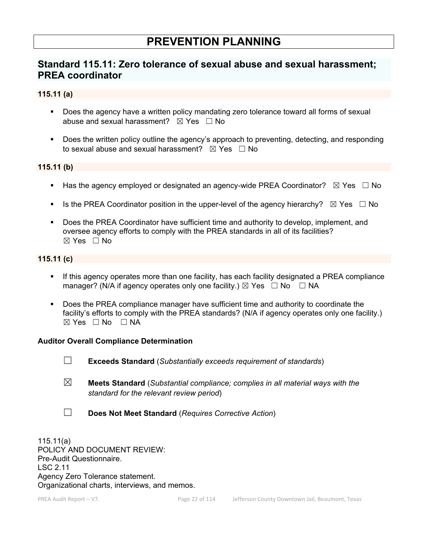# **PREVENTION PLANNING**

# **Standard 115.11: Zero tolerance of sexual abuse and sexual harassment; PREA coordinator**

# **115.11 (a)**

- Does the agency have a written policy mandating zero tolerance toward all forms of sexual abuse and sexual harassment?  $\boxtimes$  Yes  $\Box$  No
- **Does the written policy outline the agency's approach to preventing, detecting, and responding** to sexual abuse and sexual harassment?  $\boxtimes$  Yes  $\Box$  No

# **115.11 (b)**

- Has the agency employed or designated an agency-wide PREA Coordinator?  $\boxtimes$  Yes  $\Box$  No
- Is the PREA Coordinator position in the upper-level of the agency hierarchy?  $\boxtimes$  Yes  $\Box$  No
- Does the PREA Coordinator have sufficient time and authority to develop, implement, and oversee agency efforts to comply with the PREA standards in all of its facilities?  $\boxtimes$  Yes  $\Box$  No

# **115.11 (c)**

- If this agency operates more than one facility, has each facility designated a PREA compliance manager? (N/A if agency operates only one facility.)  $\boxtimes$  Yes  $\Box$  No  $\Box$  NA
- Does the PREA compliance manager have sufficient time and authority to coordinate the facility's efforts to comply with the PREA standards? (N/A if agency operates only one facility.)  $\boxtimes$  Yes  $\Box$  No  $\Box$  NA

## **Auditor Overall Compliance Determination**

- ☐ **Exceeds Standard** (*Substantially exceeds requirement of standards*)
- ☒ **Meets Standard** (*Substantial compliance; complies in all material ways with the standard for the relevant review period*)
- ☐ **Does Not Meet Standard** (*Requires Corrective Action*)

115.11(a) POLICY AND DOCUMENT REVIEW: Pre-Audit Questionnaire. LSC 2.11 Agency Zero Tolerance statement. Organizational charts, interviews, and memos.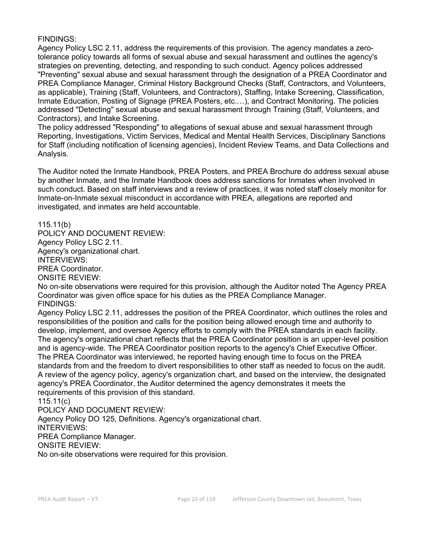Agency Policy LSC 2.11, address the requirements of this provision. The agency mandates a zerotolerance policy towards all forms of sexual abuse and sexual harassment and outlines the agency's strategies on preventing, detecting, and responding to such conduct. Agency polices addressed "Preventing" sexual abuse and sexual harassment through the designation of a PREA Coordinator and PREA Compliance Manager, Criminal History Background Checks (Staff, Contractors, and Volunteers, as applicable), Training (Staff, Volunteers, and Contractors), Staffing, Intake Screening, Classification, Inmate Education, Posting of Signage (PREA Posters, etc.…), and Contract Monitoring. The policies addressed "Detecting" sexual abuse and sexual harassment through Training (Staff, Volunteers, and Contractors), and Intake Screening.

The policy addressed "Responding" to allegations of sexual abuse and sexual harassment through Reporting, Investigations, Victim Services, Medical and Mental Health Services, Disciplinary Sanctions for Staff (including notification of licensing agencies), Incident Review Teams, and Data Collections and Analysis.

The Auditor noted the Inmate Handbook, PREA Posters, and PREA Brochure do address sexual abuse by another Inmate, and the Inmate Handbook does address sanctions for Inmates when involved in such conduct. Based on staff interviews and a review of practices, it was noted staff closely monitor for Inmate-on-Inmate sexual misconduct in accordance with PREA, allegations are reported and investigated, and inmates are held accountable.

115.11(b)

POLICY AND DOCUMENT REVIEW: Agency Policy LSC 2.11. Agency's organizational chart. INTERVIEWS: PREA Coordinator. ONSITE REVIEW:

No on-site observations were required for this provision, although the Auditor noted The Agency PREA Coordinator was given office space for his duties as the PREA Compliance Manager. FINDINGS:

Agency Policy LSC 2.11, addresses the position of the PREA Coordinator, which outlines the roles and responsibilities of the position and calls for the position being allowed enough time and authority to develop, implement, and oversee Agency efforts to comply with the PREA standards in each facility. The agency's organizational chart reflects that the PREA Coordinator position is an upper-level position and is agency-wide. The PREA Coordinator position reports to the agency's Chief Executive Officer. The PREA Coordinator was interviewed, he reported having enough time to focus on the PREA standards from and the freedom to divert responsibilities to other staff as needed to focus on the audit. A review of the agency policy, agency's organization chart, and based on the interview, the designated agency's PREA Coordinator, the Auditor determined the agency demonstrates it meets the requirements of this provision of this standard.

115.11(c)

POLICY AND DOCUMENT REVIEW:

Agency Policy DO 125, Definitions. Agency's organizational chart.

INTERVIEWS:

PREA Compliance Manager.

ONSITE REVIEW:

No on-site observations were required for this provision.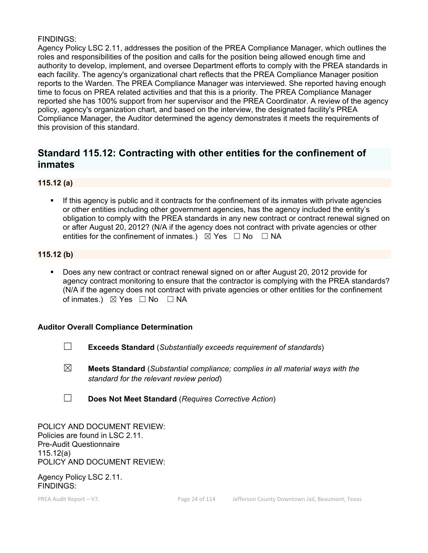Agency Policy LSC 2.11, addresses the position of the PREA Compliance Manager, which outlines the roles and responsibilities of the position and calls for the position being allowed enough time and authority to develop, implement, and oversee Department efforts to comply with the PREA standards in each facility. The agency's organizational chart reflects that the PREA Compliance Manager position reports to the Warden. The PREA Compliance Manager was interviewed. She reported having enough time to focus on PREA related activities and that this is a priority. The PREA Compliance Manager reported she has 100% support from her supervisor and the PREA Coordinator. A review of the agency policy, agency's organization chart, and based on the interview, the designated facility's PREA Compliance Manager, the Auditor determined the agency demonstrates it meets the requirements of this provision of this standard.

# **Standard 115.12: Contracting with other entities for the confinement of inmates**

# **115.12 (a)**

 If this agency is public and it contracts for the confinement of its inmates with private agencies or other entities including other government agencies, has the agency included the entity's obligation to comply with the PREA standards in any new contract or contract renewal signed on or after August 20, 2012? (N/A if the agency does not contract with private agencies or other entities for the confinement of inmates.)  $\boxtimes$  Yes  $\Box$  No  $\Box$  NA

# **115.12 (b)**

 Does any new contract or contract renewal signed on or after August 20, 2012 provide for agency contract monitoring to ensure that the contractor is complying with the PREA standards? (N/A if the agency does not contract with private agencies or other entities for the confinement of inmates.) ⊠ Yes □ No □ NA

## **Auditor Overall Compliance Determination**

- ☐ **Exceeds Standard** (*Substantially exceeds requirement of standards*)
- ☒ **Meets Standard** (*Substantial compliance; complies in all material ways with the standard for the relevant review period*)
- ☐ **Does Not Meet Standard** (*Requires Corrective Action*)

POLICY AND DOCUMENT REVIEW: Policies are found in LSC 2.11. Pre-Audit Questionnaire 115.12(a) POLICY AND DOCUMENT REVIEW:

Agency Policy LSC 2.11. FINDINGS: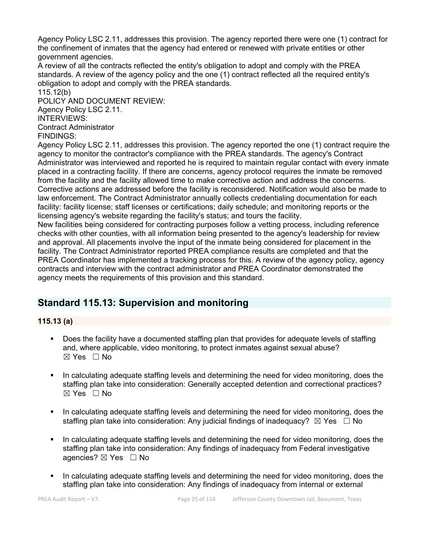Agency Policy LSC 2.11, addresses this provision. The agency reported there were one (1) contract for the confinement of inmates that the agency had entered or renewed with private entities or other government agencies.

A review of all the contracts reflected the entity's obligation to adopt and comply with the PREA standards. A review of the agency policy and the one (1) contract reflected all the required entity's obligation to adopt and comply with the PREA standards.

115.12(b) POLICY AND DOCUMENT REVIEW: Agency Policy LSC 2.11. INTERVIEWS: Contract Administrator

FINDINGS:

Agency Policy LSC 2.11, addresses this provision. The agency reported the one (1) contract require the agency to monitor the contractor's compliance with the PREA standards. The agency's Contract Administrator was interviewed and reported he is required to maintain regular contact with every inmate placed in a contracting facility. If there are concerns, agency protocol requires the inmate be removed from the facility and the facility allowed time to make corrective action and address the concerns. Corrective actions are addressed before the facility is reconsidered. Notification would also be made to law enforcement. The Contract Administrator annually collects credentialing documentation for each facility: facility license; staff licenses or certifications; daily schedule; and monitoring reports or the licensing agency's website regarding the facility's status; and tours the facility.

New facilities being considered for contracting purposes follow a vetting process, including reference checks with other counties, with all information being presented to the agency's leadership for review and approval. All placements involve the input of the inmate being considered for placement in the facility. The Contract Administrator reported PREA compliance results are completed and that the PREA Coordinator has implemented a tracking process for this. A review of the agency policy, agency contracts and interview with the contract administrator and PREA Coordinator demonstrated the agency meets the requirements of this provision and this standard.

# **Standard 115.13: Supervision and monitoring**

# **115.13 (a)**

- Does the facility have a documented staffing plan that provides for adequate levels of staffing and, where applicable, video monitoring, to protect inmates against sexual abuse?  $\boxtimes$  Yes  $\Box$  No
- In calculating adequate staffing levels and determining the need for video monitoring, does the staffing plan take into consideration: Generally accepted detention and correctional practices?  $\boxtimes$  Yes  $\Box$  No
- In calculating adequate staffing levels and determining the need for video monitoring, does the staffing plan take into consideration: Any judicial findings of inadequacy?  $\boxtimes$  Yes  $\Box$  No
- In calculating adequate staffing levels and determining the need for video monitoring, does the staffing plan take into consideration: Any findings of inadequacy from Federal investigative agencies? ⊠ Yes □ No
- In calculating adequate staffing levels and determining the need for video monitoring, does the staffing plan take into consideration: Any findings of inadequacy from internal or external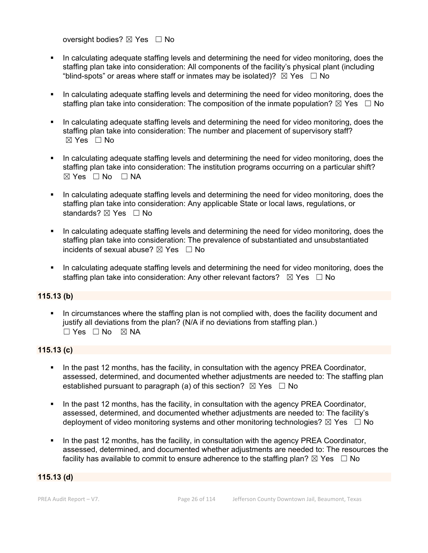oversight bodies? ⊠ Yes □ No

- In calculating adequate staffing levels and determining the need for video monitoring, does the staffing plan take into consideration: All components of the facility's physical plant (including "blind-spots" or areas where staff or inmates may be isolated)?  $\boxtimes$  Yes  $\Box$  No
- In calculating adequate staffing levels and determining the need for video monitoring, does the staffing plan take into consideration: The composition of the inmate population?  $\boxtimes$  Yes  $\Box$  No
- In calculating adequate staffing levels and determining the need for video monitoring, does the staffing plan take into consideration: The number and placement of supervisory staff?  $\boxtimes$  Yes  $\Box$  No
- In calculating adequate staffing levels and determining the need for video monitoring, does the staffing plan take into consideration: The institution programs occurring on a particular shift? ☒ Yes ☐ No ☐ NA
- In calculating adequate staffing levels and determining the need for video monitoring, does the staffing plan take into consideration: Any applicable State or local laws, regulations, or standards? ⊠ Yes □ No
- In calculating adequate staffing levels and determining the need for video monitoring, does the staffing plan take into consideration: The prevalence of substantiated and unsubstantiated incidents of sexual abuse?  $\boxtimes$  Yes  $\Box$  No
- In calculating adequate staffing levels and determining the need for video monitoring, does the staffing plan take into consideration: Any other relevant factors?  $\boxtimes$  Yes  $\Box$  No

# **115.13 (b)**

 In circumstances where the staffing plan is not complied with, does the facility document and justify all deviations from the plan? (N/A if no deviations from staffing plan.) ☐ Yes ☐ No ☒ NA

# **115.13 (c)**

- In the past 12 months, has the facility, in consultation with the agency PREA Coordinator, assessed, determined, and documented whether adjustments are needed to: The staffing plan established pursuant to paragraph (a) of this section?  $\boxtimes$  Yes  $\Box$  No
- In the past 12 months, has the facility, in consultation with the agency PREA Coordinator, assessed, determined, and documented whether adjustments are needed to: The facility's deployment of video monitoring systems and other monitoring technologies?  $\boxtimes$  Yes  $\Box$  No
- In the past 12 months, has the facility, in consultation with the agency PREA Coordinator, assessed, determined, and documented whether adjustments are needed to: The resources the facility has available to commit to ensure adherence to the staffing plan?  $\boxtimes$  Yes  $\;\;\Box$  No

## **115.13 (d)**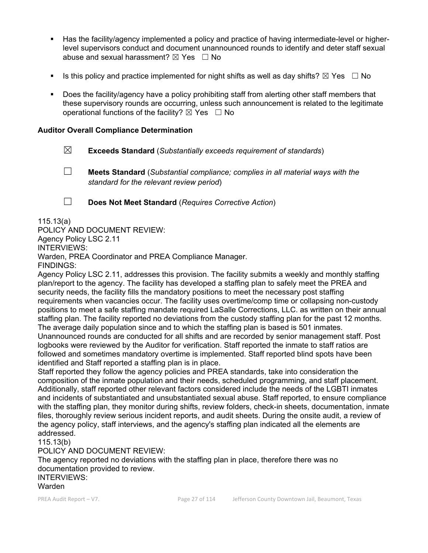- Has the facility/agency implemented a policy and practice of having intermediate-level or higherlevel supervisors conduct and document unannounced rounds to identify and deter staff sexual abuse and sexual harassment?  $\boxtimes$  Yes  $\Box$  No
- Is this policy and practice implemented for night shifts as well as day shifts?  $\boxtimes$  Yes  $\Box$  No
- Does the facility/agency have a policy prohibiting staff from alerting other staff members that these supervisory rounds are occurring, unless such announcement is related to the legitimate operational functions of the facility?  $\boxtimes$  Yes  $\Box$  No

# **Auditor Overall Compliance Determination**

- ☒ **Exceeds Standard** (*Substantially exceeds requirement of standards*)
- ☐ **Meets Standard** (*Substantial compliance; complies in all material ways with the standard for the relevant review period*)

☐ **Does Not Meet Standard** (*Requires Corrective Action*)

115.13(a)

POLICY AND DOCUMENT REVIEW: Agency Policy LSC 2.11 INTERVIEWS: Warden, PREA Coordinator and PREA Compliance Manager. FINDINGS:

Agency Policy LSC 2.11, addresses this provision. The facility submits a weekly and monthly staffing plan/report to the agency. The facility has developed a staffing plan to safely meet the PREA and security needs, the facility fills the mandatory positions to meet the necessary post staffing requirements when vacancies occur. The facility uses overtime/comp time or collapsing non-custody positions to meet a safe staffing mandate required LaSalle Corrections, LLC. as written on their annual staffing plan. The facility reported no deviations from the custody staffing plan for the past 12 months. The average daily population since and to which the staffing plan is based is 501 inmates. Unannounced rounds are conducted for all shifts and are recorded by senior management staff. Post logbooks were reviewed by the Auditor for verification. Staff reported the inmate to staff ratios are

followed and sometimes mandatory overtime is implemented. Staff reported blind spots have been identified and Staff reported a staffing plan is in place.

Staff reported they follow the agency policies and PREA standards, take into consideration the composition of the inmate population and their needs, scheduled programming, and staff placement. Additionally, staff reported other relevant factors considered include the needs of the LGBTI inmates and incidents of substantiated and unsubstantiated sexual abuse. Staff reported, to ensure compliance with the staffing plan, they monitor during shifts, review folders, check-in sheets, documentation, inmate files, thoroughly review serious incident reports, and audit sheets. During the onsite audit, a review of the agency policy, staff interviews, and the agency's staffing plan indicated all the elements are addressed.

115.13(b)

POLICY AND DOCUMENT REVIEW:

The agency reported no deviations with the staffing plan in place, therefore there was no documentation provided to review. INTERVIEWS:

Warden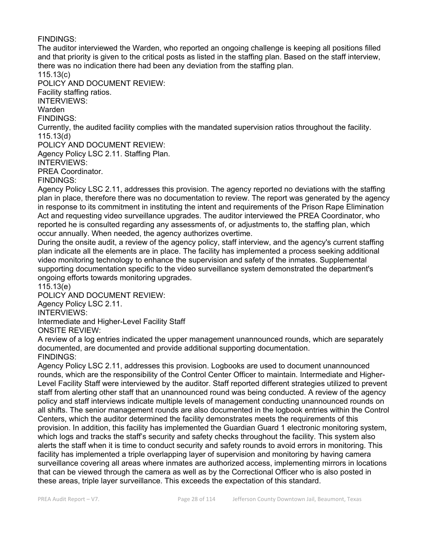The auditor interviewed the Warden, who reported an ongoing challenge is keeping all positions filled and that priority is given to the critical posts as listed in the staffing plan. Based on the staff interview, there was no indication there had been any deviation from the staffing plan.

115.13(c)

POLICY AND DOCUMENT REVIEW:

Facility staffing ratios.

INTERVIEWS:

Warden

FINDINGS:

Currently, the audited facility complies with the mandated supervision ratios throughout the facility. 115.13(d)

POLICY AND DOCUMENT REVIEW:

Agency Policy LSC 2.11. Staffing Plan.

INTERVIEWS:

PREA Coordinator.

FINDINGS:

Agency Policy LSC 2.11, addresses this provision. The agency reported no deviations with the staffing plan in place, therefore there was no documentation to review. The report was generated by the agency in response to its commitment in instituting the intent and requirements of the Prison Rape Elimination Act and requesting video surveillance upgrades. The auditor interviewed the PREA Coordinator, who reported he is consulted regarding any assessments of, or adjustments to, the staffing plan, which occur annually. When needed, the agency authorizes overtime.

During the onsite audit, a review of the agency policy, staff interview, and the agency's current staffing plan indicate all the elements are in place. The facility has implemented a process seeking additional video monitoring technology to enhance the supervision and safety of the inmates. Supplemental supporting documentation specific to the video surveillance system demonstrated the department's ongoing efforts towards monitoring upgrades.

115.13(e)

POLICY AND DOCUMENT REVIEW:

Agency Policy LSC 2.11.

INTERVIEWS:

Intermediate and Higher-Level Facility Staff

ONSITE REVIEW:

A review of a log entries indicated the upper management unannounced rounds, which are separately documented, are documented and provide additional supporting documentation. FINDINGS:

Agency Policy LSC 2.11, addresses this provision. Logbooks are used to document unannounced rounds, which are the responsibility of the Control Center Officer to maintain. Intermediate and Higher-Level Facility Staff were interviewed by the auditor. Staff reported different strategies utilized to prevent staff from alerting other staff that an unannounced round was being conducted. A review of the agency policy and staff interviews indicate multiple levels of management conducting unannounced rounds on all shifts. The senior management rounds are also documented in the logbook entries within the Control Centers, which the auditor determined the facility demonstrates meets the requirements of this provision. In addition, this facility has implemented the Guardian Guard 1 electronic monitoring system, which logs and tracks the staff's security and safety checks throughout the facility. This system also alerts the staff when it is time to conduct security and safety rounds to avoid errors in monitoring. This facility has implemented a triple overlapping layer of supervision and monitoring by having camera surveillance covering all areas where inmates are authorized access, implementing mirrors in locations that can be viewed through the camera as well as by the Correctional Officer who is also posted in these areas, triple layer surveillance. This exceeds the expectation of this standard.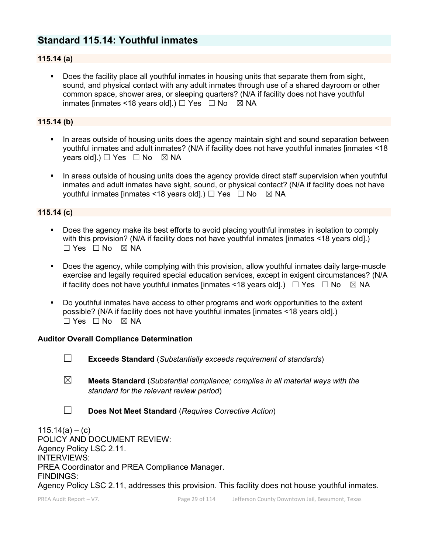# **Standard 115.14: Youthful inmates**

# **115.14 (a)**

 Does the facility place all youthful inmates in housing units that separate them from sight, sound, and physical contact with any adult inmates through use of a shared dayroom or other common space, shower area, or sleeping quarters? (N/A if facility does not have youthful inmates [inmates <18 years old].)  $\Box$  Yes  $\Box$  No  $\boxtimes$  NA

# **115.14 (b)**

- In areas outside of housing units does the agency maintain sight and sound separation between youthful inmates and adult inmates? (N/A if facility does not have youthful inmates [inmates <18 years old].)  $\Box$  Yes  $\Box$  No  $\boxtimes$  NA
- In areas outside of housing units does the agency provide direct staff supervision when youthful inmates and adult inmates have sight, sound, or physical contact? (N/A if facility does not have youthful inmates [inmates <18 years old].)  $\Box$  Yes  $\Box$  No  $\boxtimes$  NA

# **115.14 (c)**

- Does the agency make its best efforts to avoid placing youthful inmates in isolation to comply with this provision? (N/A if facility does not have youthful inmates [inmates <18 years old].)  $\Box$  Yes  $\Box$  No  $\boxtimes$  NA
- Does the agency, while complying with this provision, allow youthful inmates daily large-muscle exercise and legally required special education services, except in exigent circumstances? (N/A if facility does not have youthful inmates [inmates <18 years old].)  $\Box$  Yes  $\Box$  No  $\boxtimes$  NA
- Do youthful inmates have access to other programs and work opportunities to the extent possible? (N/A if facility does not have youthful inmates [inmates <18 years old].)  $\Box$  Yes  $\Box$  No  $\boxtimes$  NA

## **Auditor Overall Compliance Determination**

- ☐ **Exceeds Standard** (*Substantially exceeds requirement of standards*)
- ☒ **Meets Standard** (*Substantial compliance; complies in all material ways with the standard for the relevant review period*)
- ☐ **Does Not Meet Standard** (*Requires Corrective Action*)

 $115.14(a) - (c)$ POLICY AND DOCUMENT REVIEW: Agency Policy LSC 2.11. INTERVIEWS: PREA Coordinator and PREA Compliance Manager. FINDINGS: Agency Policy LSC 2.11, addresses this provision. This facility does not house youthful inmates.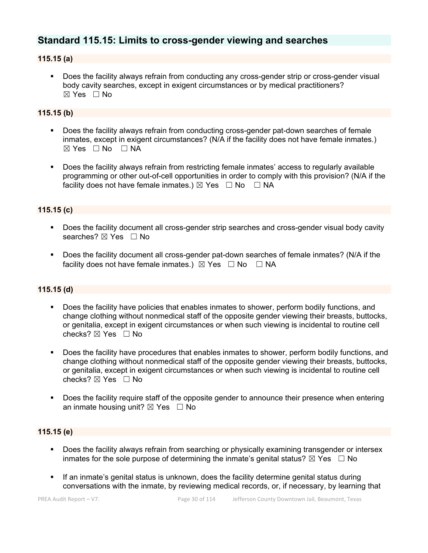# **Standard 115.15: Limits to cross-gender viewing and searches**

# **115.15 (a)**

**Does the facility always refrain from conducting any cross-gender strip or cross-gender visual** body cavity searches, except in exigent circumstances or by medical practitioners?  $\boxtimes$  Yes  $\Box$  No

# **115.15 (b)**

- Does the facility always refrain from conducting cross-gender pat-down searches of female inmates, except in exigent circumstances? (N/A if the facility does not have female inmates.)  $\boxtimes$  Yes  $\Box$  No  $\Box$  NA
- Does the facility always refrain from restricting female inmates' access to regularly available programming or other out-of-cell opportunities in order to comply with this provision? (N/A if the facility does not have female inmates.)  $\boxtimes$  Yes  $\Box$  No  $\Box$  NA

# **115.15 (c)**

- Does the facility document all cross-gender strip searches and cross-gender visual body cavity searches?  $\boxtimes$  Yes  $\Box$  No
- Does the facility document all cross-gender pat-down searches of female inmates? (N/A if the facility does not have female inmates.)  $\boxtimes$  Yes  $\Box$  No  $\Box$  NA

# **115.15 (d)**

- Does the facility have policies that enables inmates to shower, perform bodily functions, and change clothing without nonmedical staff of the opposite gender viewing their breasts, buttocks, or genitalia, except in exigent circumstances or when such viewing is incidental to routine cell checks?  $\boxtimes$  Yes  $\Box$  No
- Does the facility have procedures that enables inmates to shower, perform bodily functions, and change clothing without nonmedical staff of the opposite gender viewing their breasts, buttocks, or genitalia, except in exigent circumstances or when such viewing is incidental to routine cell checks?  $\boxtimes$  Yes  $\Box$  No
- **Does the facility require staff of the opposite gender to announce their presence when entering** an inmate housing unit?  $\boxtimes$  Yes  $\Box$  No

## **115.15 (e)**

- **Does the facility always refrain from searching or physically examining transgender or intersex** inmates for the sole purpose of determining the inmate's genital status?  $\boxtimes$  Yes  $\Box$  No
- If an inmate's genital status is unknown, does the facility determine genital status during conversations with the inmate, by reviewing medical records, or, if necessary, by learning that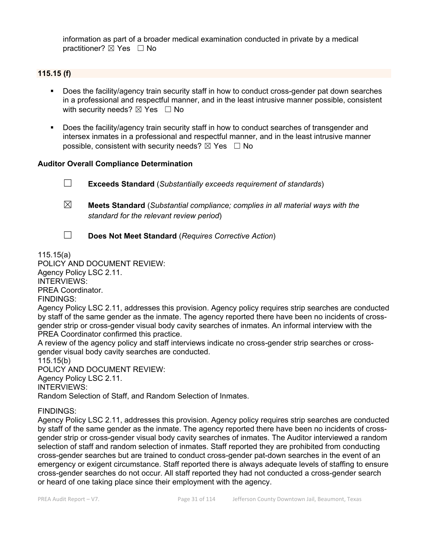information as part of a broader medical examination conducted in private by a medical practitioner?  $\boxtimes$  Yes  $\Box$  No

# **115.15 (f)**

- Does the facility/agency train security staff in how to conduct cross-gender pat down searches in a professional and respectful manner, and in the least intrusive manner possible, consistent with security needs?  $\boxtimes$  Yes  $\Box$  No
- Does the facility/agency train security staff in how to conduct searches of transgender and intersex inmates in a professional and respectful manner, and in the least intrusive manner possible, consistent with security needs?  $\boxtimes$  Yes  $\Box$  No

# **Auditor Overall Compliance Determination**

☐ **Exceeds Standard** (*Substantially exceeds requirement of standards*) ☒ **Meets Standard** (*Substantial compliance; complies in all material ways with the standard for the relevant review period*)

- 
- ☐ **Does Not Meet Standard** (*Requires Corrective Action*)

115.15(a)

# POLICY AND DOCUMENT REVIEW:

Agency Policy LSC 2.11.

INTERVIEWS:

PREA Coordinator.

FINDINGS:

Agency Policy LSC 2.11, addresses this provision. Agency policy requires strip searches are conducted by staff of the same gender as the inmate. The agency reported there have been no incidents of crossgender strip or cross-gender visual body cavity searches of inmates. An informal interview with the PREA Coordinator confirmed this practice.

A review of the agency policy and staff interviews indicate no cross-gender strip searches or crossgender visual body cavity searches are conducted.

115.15(b)

POLICY AND DOCUMENT REVIEW:

Agency Policy LSC 2.11.

INTERVIEWS:

Random Selection of Staff, and Random Selection of Inmates.

FINDINGS:

Agency Policy LSC 2.11, addresses this provision. Agency policy requires strip searches are conducted by staff of the same gender as the inmate. The agency reported there have been no incidents of crossgender strip or cross-gender visual body cavity searches of inmates. The Auditor interviewed a random selection of staff and random selection of inmates. Staff reported they are prohibited from conducting cross-gender searches but are trained to conduct cross-gender pat-down searches in the event of an emergency or exigent circumstance. Staff reported there is always adequate levels of staffing to ensure cross-gender searches do not occur. All staff reported they had not conducted a cross-gender search or heard of one taking place since their employment with the agency.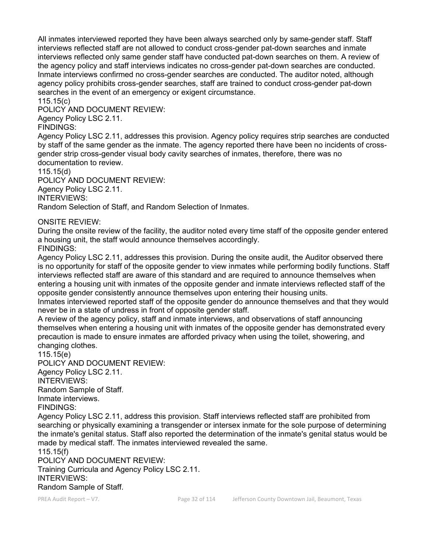All inmates interviewed reported they have been always searched only by same-gender staff. Staff interviews reflected staff are not allowed to conduct cross-gender pat-down searches and inmate interviews reflected only same gender staff have conducted pat-down searches on them. A review of the agency policy and staff interviews indicates no cross-gender pat-down searches are conducted. Inmate interviews confirmed no cross-gender searches are conducted. The auditor noted, although agency policy prohibits cross-gender searches, staff are trained to conduct cross-gender pat-down searches in the event of an emergency or exigent circumstance.

115.15(c)

POLICY AND DOCUMENT REVIEW:

Agency Policy LSC 2.11.

FINDINGS:

Agency Policy LSC 2.11, addresses this provision. Agency policy requires strip searches are conducted by staff of the same gender as the inmate. The agency reported there have been no incidents of crossgender strip cross-gender visual body cavity searches of inmates, therefore, there was no documentation to review.

115.15(d)

POLICY AND DOCUMENT REVIEW: Agency Policy LSC 2.11. INTERVIEWS: Random Selection of Staff, and Random Selection of Inmates.

ONSITE REVIEW:

During the onsite review of the facility, the auditor noted every time staff of the opposite gender entered a housing unit, the staff would announce themselves accordingly. FINDINGS:

Agency Policy LSC 2.11, addresses this provision. During the onsite audit, the Auditor observed there is no opportunity for staff of the opposite gender to view inmates while performing bodily functions. Staff interviews reflected staff are aware of this standard and are required to announce themselves when entering a housing unit with inmates of the opposite gender and inmate interviews reflected staff of the opposite gender consistently announce themselves upon entering their housing units.

Inmates interviewed reported staff of the opposite gender do announce themselves and that they would never be in a state of undress in front of opposite gender staff.

A review of the agency policy, staff and inmate interviews, and observations of staff announcing themselves when entering a housing unit with inmates of the opposite gender has demonstrated every precaution is made to ensure inmates are afforded privacy when using the toilet, showering, and changing clothes.

115.15(e) POLICY AND DOCUMENT REVIEW: Agency Policy LSC 2.11. INTERVIEWS: Random Sample of Staff. Inmate interviews.

FINDINGS:

Agency Policy LSC 2.11, address this provision. Staff interviews reflected staff are prohibited from searching or physically examining a transgender or intersex inmate for the sole purpose of determining the inmate's genital status. Staff also reported the determination of the inmate's genital status would be made by medical staff. The inmates interviewed revealed the same.

115.15(f) POLICY AND DOCUMENT REVIEW: Training Curricula and Agency Policy LSC 2.11. INTERVIEWS:

Random Sample of Staff.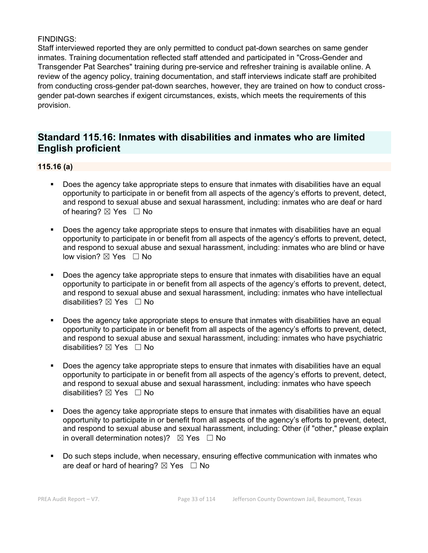Staff interviewed reported they are only permitted to conduct pat-down searches on same gender inmates. Training documentation reflected staff attended and participated in "Cross-Gender and Transgender Pat Searches" training during pre-service and refresher training is available online. A review of the agency policy, training documentation, and staff interviews indicate staff are prohibited from conducting cross-gender pat-down searches, however, they are trained on how to conduct crossgender pat-down searches if exigent circumstances, exists, which meets the requirements of this provision.

# **Standard 115.16: Inmates with disabilities and inmates who are limited English proficient**

# **115.16 (a)**

- Does the agency take appropriate steps to ensure that inmates with disabilities have an equal opportunity to participate in or benefit from all aspects of the agency's efforts to prevent, detect, and respond to sexual abuse and sexual harassment, including: inmates who are deaf or hard of hearing?  $\boxtimes$  Yes  $\Box$  No
- Does the agency take appropriate steps to ensure that inmates with disabilities have an equal opportunity to participate in or benefit from all aspects of the agency's efforts to prevent, detect, and respond to sexual abuse and sexual harassment, including: inmates who are blind or have low vision? ⊠ Yes □ No
- Does the agency take appropriate steps to ensure that inmates with disabilities have an equal opportunity to participate in or benefit from all aspects of the agency's efforts to prevent, detect, and respond to sexual abuse and sexual harassment, including: inmates who have intellectual disabilities?  $\boxtimes$  Yes  $\Box$  No
- Does the agency take appropriate steps to ensure that inmates with disabilities have an equal opportunity to participate in or benefit from all aspects of the agency's efforts to prevent, detect, and respond to sexual abuse and sexual harassment, including: inmates who have psychiatric disabilities? ⊠ Yes □ No
- Does the agency take appropriate steps to ensure that inmates with disabilities have an equal opportunity to participate in or benefit from all aspects of the agency's efforts to prevent, detect, and respond to sexual abuse and sexual harassment, including: inmates who have speech disabilities? ⊠ Yes □ No
- Does the agency take appropriate steps to ensure that inmates with disabilities have an equal opportunity to participate in or benefit from all aspects of the agency's efforts to prevent, detect, and respond to sexual abuse and sexual harassment, including: Other (if "other," please explain in overall determination notes)?  $\boxtimes$  Yes  $\Box$  No
- Do such steps include, when necessary, ensuring effective communication with inmates who are deaf or hard of hearing?  $\boxtimes$  Yes  $\Box$  No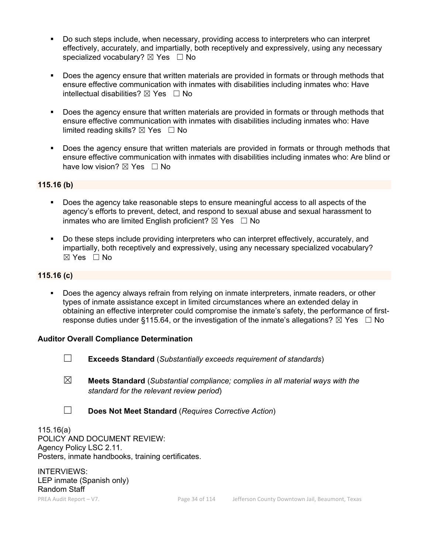- Do such steps include, when necessary, providing access to interpreters who can interpret effectively, accurately, and impartially, both receptively and expressively, using any necessary specialized vocabulary?  $\boxtimes$  Yes  $\Box$  No
- Does the agency ensure that written materials are provided in formats or through methods that ensure effective communication with inmates with disabilities including inmates who: Have intellectual disabilities?  $\boxtimes$  Yes  $\Box$  No
- Does the agency ensure that written materials are provided in formats or through methods that ensure effective communication with inmates with disabilities including inmates who: Have limited reading skills?  $\boxtimes$  Yes  $\Box$  No
- Does the agency ensure that written materials are provided in formats or through methods that ensure effective communication with inmates with disabilities including inmates who: Are blind or have low vision?  $\boxtimes$  Yes  $\Box$  No

# **115.16 (b)**

- Does the agency take reasonable steps to ensure meaningful access to all aspects of the agency's efforts to prevent, detect, and respond to sexual abuse and sexual harassment to inmates who are limited English proficient?  $\boxtimes$  Yes  $\Box$  No
- Do these steps include providing interpreters who can interpret effectively, accurately, and impartially, both receptively and expressively, using any necessary specialized vocabulary?  $\boxtimes$  Yes  $\Box$  No

## **115.16 (c)**

 Does the agency always refrain from relying on inmate interpreters, inmate readers, or other types of inmate assistance except in limited circumstances where an extended delay in obtaining an effective interpreter could compromise the inmate's safety, the performance of firstresponse duties under §115.64, or the investigation of the inmate's allegations?  $\boxtimes$  Yes  $\Box$  No

### **Auditor Overall Compliance Determination**

- ☐ **Exceeds Standard** (*Substantially exceeds requirement of standards*)
- ☒ **Meets Standard** (*Substantial compliance; complies in all material ways with the standard for the relevant review period*)
- ☐ **Does Not Meet Standard** (*Requires Corrective Action*)

115.16(a) POLICY AND DOCUMENT REVIEW: Agency Policy LSC 2.11. Posters, inmate handbooks, training certificates.

INTERVIEWS: LEP inmate (Spanish only) Random Staff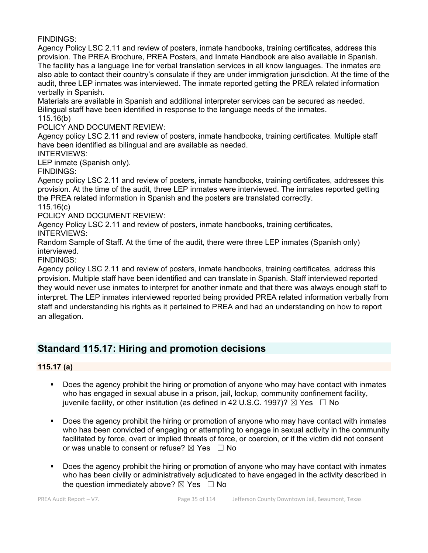Agency Policy LSC 2.11 and review of posters, inmate handbooks, training certificates, address this provision. The PREA Brochure, PREA Posters, and Inmate Handbook are also available in Spanish. The facility has a language line for verbal translation services in all know languages. The inmates are also able to contact their country's consulate if they are under immigration jurisdiction. At the time of the audit, three LEP inmates was interviewed. The inmate reported getting the PREA related information verbally in Spanish.

Materials are available in Spanish and additional interpreter services can be secured as needed. Bilingual staff have been identified in response to the language needs of the inmates. 115.16(b)

POLICY AND DOCUMENT REVIEW:

Agency policy LSC 2.11 and review of posters, inmate handbooks, training certificates. Multiple staff have been identified as bilingual and are available as needed.

INTERVIEWS:

LEP inmate (Spanish only).

FINDINGS:

Agency policy LSC 2.11 and review of posters, inmate handbooks, training certificates, addresses this provision. At the time of the audit, three LEP inmates were interviewed. The inmates reported getting the PREA related information in Spanish and the posters are translated correctly. 115.16(c)

POLICY AND DOCUMENT REVIEW:

Agency Policy LSC 2.11 and review of posters, inmate handbooks, training certificates, INTERVIEWS:

Random Sample of Staff. At the time of the audit, there were three LEP inmates (Spanish only) interviewed.

FINDINGS:

Agency policy LSC 2.11 and review of posters, inmate handbooks, training certificates, address this provision. Multiple staff have been identified and can translate in Spanish. Staff interviewed reported they would never use inmates to interpret for another inmate and that there was always enough staff to interpret. The LEP inmates interviewed reported being provided PREA related information verbally from staff and understanding his rights as it pertained to PREA and had an understanding on how to report an allegation.

# **Standard 115.17: Hiring and promotion decisions**

**115.17 (a)**

- Does the agency prohibit the hiring or promotion of anyone who may have contact with inmates who has engaged in sexual abuse in a prison, jail, lockup, community confinement facility, juvenile facility, or other institution (as defined in 42 U.S.C. 1997)?  $\boxtimes$  Yes  $\Box$  No
- Does the agency prohibit the hiring or promotion of anyone who may have contact with inmates who has been convicted of engaging or attempting to engage in sexual activity in the community facilitated by force, overt or implied threats of force, or coercion, or if the victim did not consent or was unable to consent or refuse?  $\boxtimes$  Yes  $\Box$  No
- Does the agency prohibit the hiring or promotion of anyone who may have contact with inmates who has been civilly or administratively adjudicated to have engaged in the activity described in the question immediately above?  $\boxtimes$  Yes  $\Box$  No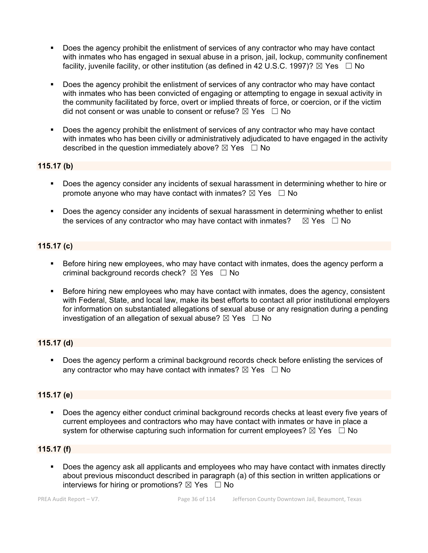- Does the agency prohibit the enlistment of services of any contractor who may have contact with inmates who has engaged in sexual abuse in a prison, jail, lockup, community confinement facility, juvenile facility, or other institution (as defined in 42 U.S.C. 1997)?  $\boxtimes$  Yes  $\Box$  No
- Does the agency prohibit the enlistment of services of any contractor who may have contact with inmates who has been convicted of engaging or attempting to engage in sexual activity in the community facilitated by force, overt or implied threats of force, or coercion, or if the victim did not consent or was unable to consent or refuse?  $\boxtimes$  Yes  $\Box$  No
- Does the agency prohibit the enlistment of services of any contractor who may have contact with inmates who has been civilly or administratively adjudicated to have engaged in the activity described in the question immediately above?  $\boxtimes$  Yes  $\Box$  No

# **115.17 (b)**

- Does the agency consider any incidents of sexual harassment in determining whether to hire or promote anyone who may have contact with inmates?  $\boxtimes$  Yes  $\Box$  No
- Does the agency consider any incidents of sexual harassment in determining whether to enlist the services of any contractor who may have contact with inmates?  $\boxtimes$  Yes  $\Box$  No

# **115.17 (c)**

- Before hiring new employees, who may have contact with inmates, does the agency perform a criminal background records check?  $\boxtimes$  Yes  $\Box$  No
- Before hiring new employees who may have contact with inmates, does the agency, consistent with Federal, State, and local law, make its best efforts to contact all prior institutional employers for information on substantiated allegations of sexual abuse or any resignation during a pending investigation of an allegation of sexual abuse?  $\boxtimes$  Yes  $\Box$  No

# **115.17 (d)**

**Does the agency perform a criminal background records check before enlisting the services of** any contractor who may have contact with inmates?  $\boxtimes$  Yes  $\Box$  No

# **115.17 (e)**

 Does the agency either conduct criminal background records checks at least every five years of current employees and contractors who may have contact with inmates or have in place a system for otherwise capturing such information for current employees?  $\boxtimes$  Yes  $\Box$  No

# **115.17 (f)**

 Does the agency ask all applicants and employees who may have contact with inmates directly about previous misconduct described in paragraph (a) of this section in written applications or interviews for hiring or promotions?  $\boxtimes$  Yes  $\Box$  No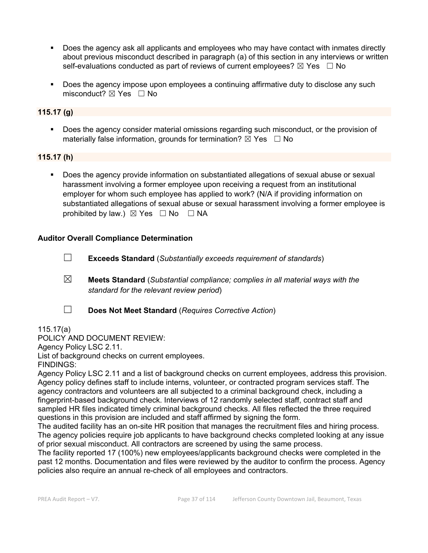- Does the agency ask all applicants and employees who may have contact with inmates directly about previous misconduct described in paragraph (a) of this section in any interviews or written self-evaluations conducted as part of reviews of current employees?  $\boxtimes$  Yes  $\Box$  No
- Does the agency impose upon employees a continuing affirmative duty to disclose any such misconduct?  $\boxtimes$  Yes  $\Box$  No

#### **115.17 (g)**

 Does the agency consider material omissions regarding such misconduct, or the provision of materially false information, grounds for termination?  $\boxtimes$  Yes  $\Box$  No

#### **115.17 (h)**

 Does the agency provide information on substantiated allegations of sexual abuse or sexual harassment involving a former employee upon receiving a request from an institutional employer for whom such employee has applied to work? (N/A if providing information on substantiated allegations of sexual abuse or sexual harassment involving a former employee is prohibited by law.)  $\boxtimes$  Yes  $\Box$  No  $\Box$  NA

#### **Auditor Overall Compliance Determination**

☐ **Exceeds Standard** (*Substantially exceeds requirement of standards*)

- ☒ **Meets Standard** (*Substantial compliance; complies in all material ways with the standard for the relevant review period*)
- 
- ☐ **Does Not Meet Standard** (*Requires Corrective Action*)

#### 115.17(a)

POLICY AND DOCUMENT REVIEW: Agency Policy LSC 2.11.

List of background checks on current employees.

FINDINGS:

Agency Policy LSC 2.11 and a list of background checks on current employees, address this provision. Agency policy defines staff to include interns, volunteer, or contracted program services staff. The agency contractors and volunteers are all subjected to a criminal background check, including a fingerprint-based background check. Interviews of 12 randomly selected staff, contract staff and sampled HR files indicated timely criminal background checks. All files reflected the three required questions in this provision are included and staff affirmed by signing the form.

The audited facility has an on-site HR position that manages the recruitment files and hiring process. The agency policies require job applicants to have background checks completed looking at any issue of prior sexual misconduct. All contractors are screened by using the same process.

The facility reported 17 (100%) new employees/applicants background checks were completed in the past 12 months. Documentation and files were reviewed by the auditor to confirm the process. Agency policies also require an annual re-check of all employees and contractors.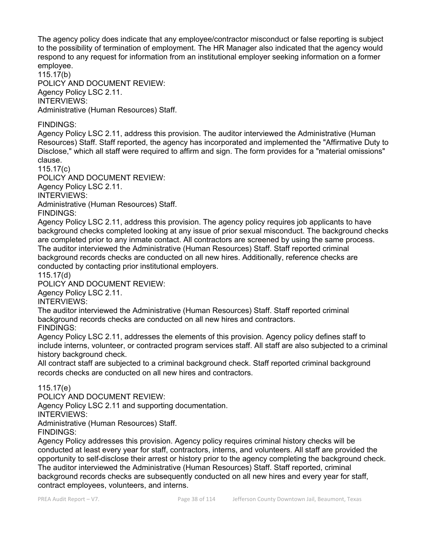The agency policy does indicate that any employee/contractor misconduct or false reporting is subject to the possibility of termination of employment. The HR Manager also indicated that the agency would respond to any request for information from an institutional employer seeking information on a former employee.

115.17(b) POLICY AND DOCUMENT REVIEW: Agency Policy LSC 2.11. INTERVIEWS: Administrative (Human Resources) Staff.

#### FINDINGS:

Agency Policy LSC 2.11, address this provision. The auditor interviewed the Administrative (Human Resources) Staff. Staff reported, the agency has incorporated and implemented the "Affirmative Duty to Disclose," which all staff were required to affirm and sign. The form provides for a "material omissions" clause.

115.17(c)

POLICY AND DOCUMENT REVIEW: Agency Policy LSC 2.11. INTERVIEWS: Administrative (Human Resources) Staff.

FINDINGS:

Agency Policy LSC 2.11, address this provision. The agency policy requires job applicants to have background checks completed looking at any issue of prior sexual misconduct. The background checks are completed prior to any inmate contact. All contractors are screened by using the same process. The auditor interviewed the Administrative (Human Resources) Staff. Staff reported criminal background records checks are conducted on all new hires. Additionally, reference checks are conducted by contacting prior institutional employers.

115.17(d)

POLICY AND DOCUMENT REVIEW:

Agency Policy LSC 2.11.

INTERVIEWS:

The auditor interviewed the Administrative (Human Resources) Staff. Staff reported criminal background records checks are conducted on all new hires and contractors. FINDINGS:

Agency Policy LSC 2.11, addresses the elements of this provision. Agency policy defines staff to include interns, volunteer, or contracted program services staff. All staff are also subjected to a criminal history background check.

All contract staff are subjected to a criminal background check. Staff reported criminal background records checks are conducted on all new hires and contractors.

#### 115.17(e)

POLICY AND DOCUMENT REVIEW:

Agency Policy LSC 2.11 and supporting documentation.

INTERVIEWS:

Administrative (Human Resources) Staff.

FINDINGS:

Agency Policy addresses this provision. Agency policy requires criminal history checks will be conducted at least every year for staff, contractors, interns, and volunteers. All staff are provided the opportunity to self-disclose their arrest or history prior to the agency completing the background check. The auditor interviewed the Administrative (Human Resources) Staff. Staff reported, criminal background records checks are subsequently conducted on all new hires and every year for staff, contract employees, volunteers, and interns.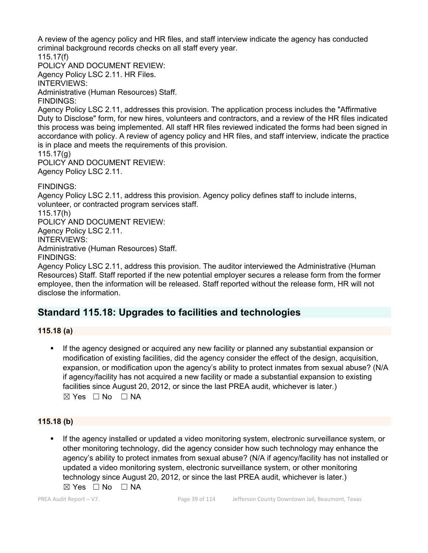A review of the agency policy and HR files, and staff interview indicate the agency has conducted criminal background records checks on all staff every year.

115.17(f) POLICY AND DOCUMENT REVIEW:

Agency Policy LSC 2.11. HR Files.

INTERVIEWS:

Administrative (Human Resources) Staff.

FINDINGS:

Agency Policy LSC 2.11, addresses this provision. The application process includes the "Affirmative Duty to Disclose" form, for new hires, volunteers and contractors, and a review of the HR files indicated this process was being implemented. All staff HR files reviewed indicated the forms had been signed in accordance with policy. A review of agency policy and HR files, and staff interview, indicate the practice is in place and meets the requirements of this provision.

115.17(g)

POLICY AND DOCUMENT REVIEW: Agency Policy LSC 2.11.

FINDINGS:

Agency Policy LSC 2.11, address this provision. Agency policy defines staff to include interns, volunteer, or contracted program services staff.

115.17(h)

POLICY AND DOCUMENT REVIEW:

Agency Policy LSC 2.11.

INTERVIEWS:

Administrative (Human Resources) Staff.

FINDINGS:

Agency Policy LSC 2.11, address this provision. The auditor interviewed the Administrative (Human Resources) Staff. Staff reported if the new potential employer secures a release form from the former employee, then the information will be released. Staff reported without the release form, HR will not disclose the information.

## **Standard 115.18: Upgrades to facilities and technologies**

## **115.18 (a)**

 If the agency designed or acquired any new facility or planned any substantial expansion or modification of existing facilities, did the agency consider the effect of the design, acquisition, expansion, or modification upon the agency's ability to protect inmates from sexual abuse? (N/A if agency/facility has not acquired a new facility or made a substantial expansion to existing facilities since August 20, 2012, or since the last PREA audit, whichever is later.)  $\boxtimes$  Yes  $\Box$  No  $\Box$  NA

## **115.18 (b)**

 If the agency installed or updated a video monitoring system, electronic surveillance system, or other monitoring technology, did the agency consider how such technology may enhance the agency's ability to protect inmates from sexual abuse? (N/A if agency/facility has not installed or updated a video monitoring system, electronic surveillance system, or other monitoring technology since August 20, 2012, or since the last PREA audit, whichever is later.)  $\boxtimes$  Yes  $\Box$  No  $\Box$  NA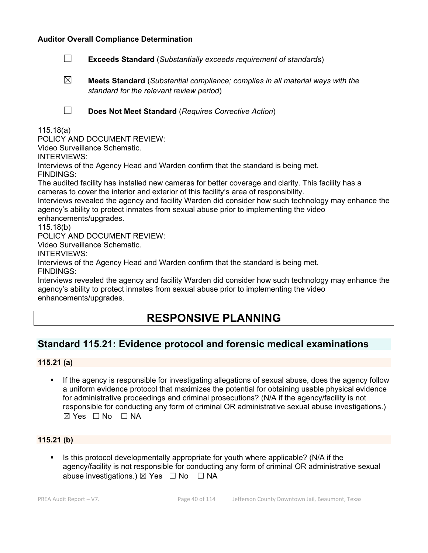#### **Auditor Overall Compliance Determination**

- ☐ **Exceeds Standard** (*Substantially exceeds requirement of standards*)
- ☒ **Meets Standard** (*Substantial compliance; complies in all material ways with the standard for the relevant review period*)

☐ **Does Not Meet Standard** (*Requires Corrective Action*)

115.18(a)

POLICY AND DOCUMENT REVIEW:

Video Surveillance Schematic.

INTERVIEWS:

Interviews of the Agency Head and Warden confirm that the standard is being met.

FINDINGS:

The audited facility has installed new cameras for better coverage and clarity. This facility has a cameras to cover the interior and exterior of this facility's area of responsibility.

Interviews revealed the agency and facility Warden did consider how such technology may enhance the agency's ability to protect inmates from sexual abuse prior to implementing the video enhancements/upgrades.

115.18(b)

POLICY AND DOCUMENT REVIEW:

Video Surveillance Schematic.

INTERVIEWS:

Interviews of the Agency Head and Warden confirm that the standard is being met.

FINDINGS:

Interviews revealed the agency and facility Warden did consider how such technology may enhance the agency's ability to protect inmates from sexual abuse prior to implementing the video enhancements/upgrades.

# **RESPONSIVE PLANNING**

## **Standard 115.21: Evidence protocol and forensic medical examinations**

#### **115.21 (a)**

**If the agency is responsible for investigating allegations of sexual abuse, does the agency follow** a uniform evidence protocol that maximizes the potential for obtaining usable physical evidence for administrative proceedings and criminal prosecutions? (N/A if the agency/facility is not responsible for conducting any form of criminal OR administrative sexual abuse investigations.)  $\boxtimes$  Yes  $\Box$  No  $\Box$  NA

#### **115.21 (b)**

 $\blacksquare$  Is this protocol developmentally appropriate for youth where applicable? (N/A if the agency/facility is not responsible for conducting any form of criminal OR administrative sexual abuse investigations.)  $\boxtimes$  Yes  $\Box$  No  $\Box$  NA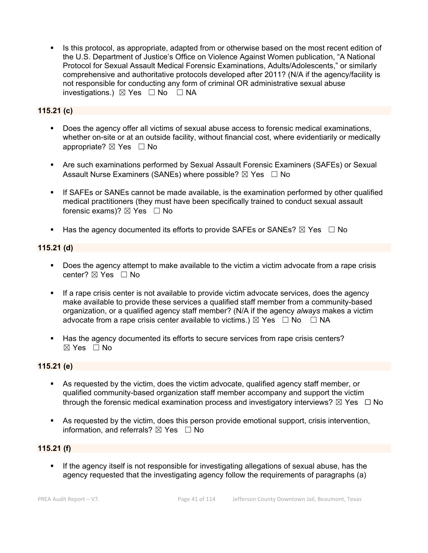Is this protocol, as appropriate, adapted from or otherwise based on the most recent edition of the U.S. Department of Justice's Office on Violence Against Women publication, "A National Protocol for Sexual Assault Medical Forensic Examinations, Adults/Adolescents," or similarly comprehensive and authoritative protocols developed after 2011? (N/A if the agency/facility is not responsible for conducting any form of criminal OR administrative sexual abuse investigations.)  $\boxtimes$  Yes  $\Box$  No  $\Box$  NA

### **115.21 (c)**

- Does the agency offer all victims of sexual abuse access to forensic medical examinations, whether on-site or at an outside facility, without financial cost, where evidentiarily or medically appropriate? ⊠ Yes □ No
- Are such examinations performed by Sexual Assault Forensic Examiners (SAFEs) or Sexual Assault Nurse Examiners (SANEs) where possible?  $\boxtimes$  Yes  $\Box$  No
- If SAFEs or SANEs cannot be made available, is the examination performed by other qualified medical practitioners (they must have been specifically trained to conduct sexual assault forensic exams)?  $\boxtimes$  Yes  $\Box$  No
- Has the agency documented its efforts to provide SAFEs or SANEs?  $\boxtimes$  Yes  $\Box$  No

#### **115.21 (d)**

- Does the agency attempt to make available to the victim a victim advocate from a rape crisis center?  $\boxtimes$  Yes  $\Box$  No
- If a rape crisis center is not available to provide victim advocate services, does the agency make available to provide these services a qualified staff member from a community-based organization, or a qualified agency staff member? (N/A if the agency *always* makes a victim advocate from a rape crisis center available to victims.)  $\boxtimes$  Yes  $\Box$  No  $\Box$  NA
- Has the agency documented its efforts to secure services from rape crisis centers?  $\boxtimes$  Yes  $\Box$  No

#### **115.21 (e)**

- As requested by the victim, does the victim advocate, qualified agency staff member, or qualified community-based organization staff member accompany and support the victim through the forensic medical examination process and investigatory interviews?  $\boxtimes$  Yes  $\Box$  No
- As requested by the victim, does this person provide emotional support, crisis intervention, information, and referrals?  $\boxtimes$  Yes  $\Box$  No

#### **115.21 (f)**

 If the agency itself is not responsible for investigating allegations of sexual abuse, has the agency requested that the investigating agency follow the requirements of paragraphs (a)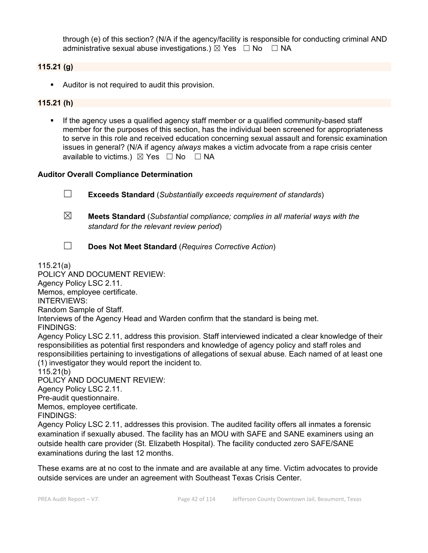through (e) of this section? (N/A if the agency/facility is responsible for conducting criminal AND administrative sexual abuse investigations.)  $\boxtimes$  Yes  $\Box$  No  $\Box$  NA

#### **115.21 (g)**

Auditor is not required to audit this provision.

#### **115.21 (h)**

 If the agency uses a qualified agency staff member or a qualified community-based staff member for the purposes of this section, has the individual been screened for appropriateness to serve in this role and received education concerning sexual assault and forensic examination issues in general? (N/A if agency *always* makes a victim advocate from a rape crisis center available to victims.)  $\boxtimes$  Yes  $\Box$  No  $\Box$  NA

#### **Auditor Overall Compliance Determination**

☐ **Exceeds Standard** (*Substantially exceeds requirement of standards*) ☒ **Meets Standard** (*Substantial compliance; complies in all material ways with the standard for the relevant review period*) ☐ **Does Not Meet Standard** (*Requires Corrective Action*)

#### 115.21(a)

POLICY AND DOCUMENT REVIEW: Agency Policy LSC 2.11. Memos, employee certificate. INTERVIEWS: Random Sample of Staff. Interviews of the Agency Head and Warden confirm that the standard is being met. FINDINGS: Agency Policy LSC 2.11, address this provision. Staff interviewed indicated a clear knowledge of their responsibilities as potential first responders and knowledge of agency policy and staff roles and responsibilities pertaining to investigations of allegations of sexual abuse. Each named of at least one (1) investigator they would report the incident to. 115.21(b) POLICY AND DOCUMENT REVIEW: Agency Policy LSC 2.11. Pre-audit questionnaire. Memos, employee certificate. FINDINGS: Agency Policy LSC 2.11, addresses this provision. The audited facility offers all inmates a forensic examination if sexually abused. The facility has an MOU with SAFE and SANE examiners using an outside health care provider (St. Elizabeth Hospital). The facility conducted zero SAFE/SANE examinations during the last 12 months.

These exams are at no cost to the inmate and are available at any time. Victim advocates to provide outside services are under an agreement with Southeast Texas Crisis Center.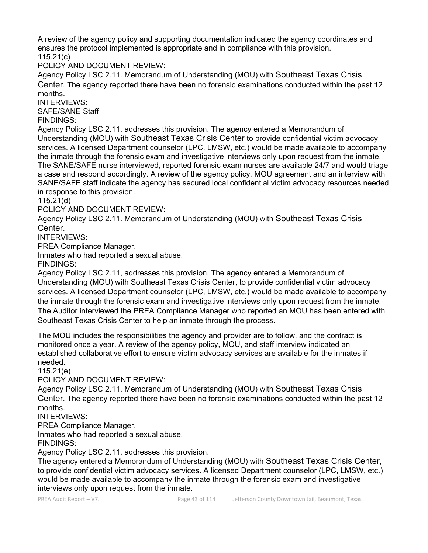A review of the agency policy and supporting documentation indicated the agency coordinates and ensures the protocol implemented is appropriate and in compliance with this provision. 115.21(c)

POLICY AND DOCUMENT REVIEW:

Agency Policy LSC 2.11. Memorandum of Understanding (MOU) with Southeast Texas Crisis Center. The agency reported there have been no forensic examinations conducted within the past 12 months.

INTERVIEWS:

SAFE/SANE Staff

FINDINGS:

Agency Policy LSC 2.11, addresses this provision. The agency entered a Memorandum of Understanding (MOU) with Southeast Texas Crisis Center to provide confidential victim advocacy services. A licensed Department counselor (LPC, LMSW, etc.) would be made available to accompany the inmate through the forensic exam and investigative interviews only upon request from the inmate. The SANE/SAFE nurse interviewed, reported forensic exam nurses are available 24/7 and would triage a case and respond accordingly. A review of the agency policy, MOU agreement and an interview with SANE/SAFE staff indicate the agency has secured local confidential victim advocacy resources needed in response to this provision.

115.21(d)

POLICY AND DOCUMENT REVIEW:

Agency Policy LSC 2.11. Memorandum of Understanding (MOU) with Southeast Texas Crisis **Center** 

INTERVIEWS:

PREA Compliance Manager.

Inmates who had reported a sexual abuse.

FINDINGS:

Agency Policy LSC 2.11, addresses this provision. The agency entered a Memorandum of Understanding (MOU) with Southeast Texas Crisis Center, to provide confidential victim advocacy services. A licensed Department counselor (LPC, LMSW, etc.) would be made available to accompany the inmate through the forensic exam and investigative interviews only upon request from the inmate. The Auditor interviewed the PREA Compliance Manager who reported an MOU has been entered with Southeast Texas Crisis Center to help an inmate through the process.

The MOU includes the responsibilities the agency and provider are to follow, and the contract is monitored once a year. A review of the agency policy, MOU, and staff interview indicated an established collaborative effort to ensure victim advocacy services are available for the inmates if needed.

115.21(e)

POLICY AND DOCUMENT REVIEW:

Agency Policy LSC 2.11. Memorandum of Understanding (MOU) with Southeast Texas Crisis Center. The agency reported there have been no forensic examinations conducted within the past 12 months.

INTERVIEWS:

PREA Compliance Manager.

Inmates who had reported a sexual abuse.

FINDINGS:

Agency Policy LSC 2.11, addresses this provision.

The agency entered a Memorandum of Understanding (MOU) with Southeast Texas Crisis Center, to provide confidential victim advocacy services. A licensed Department counselor (LPC, LMSW, etc.) would be made available to accompany the inmate through the forensic exam and investigative interviews only upon request from the inmate.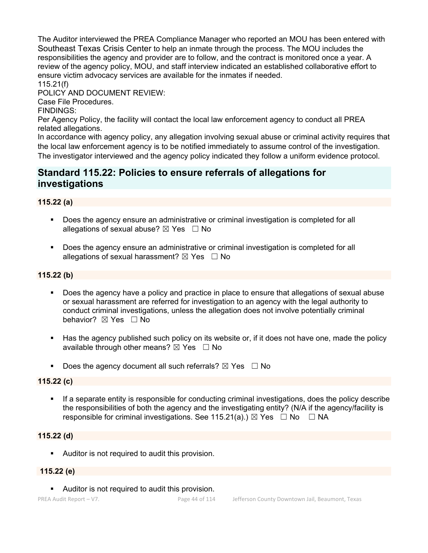The Auditor interviewed the PREA Compliance Manager who reported an MOU has been entered with Southeast Texas Crisis Center to help an inmate through the process. The MOU includes the responsibilities the agency and provider are to follow, and the contract is monitored once a year. A review of the agency policy, MOU, and staff interview indicated an established collaborative effort to ensure victim advocacy services are available for the inmates if needed. 115.21(f)

POLICY AND DOCUMENT REVIEW:

Case File Procedures.

FINDINGS:

Per Agency Policy, the facility will contact the local law enforcement agency to conduct all PREA related allegations.

In accordance with agency policy, any allegation involving sexual abuse or criminal activity requires that the local law enforcement agency is to be notified immediately to assume control of the investigation. The investigator interviewed and the agency policy indicated they follow a uniform evidence protocol.

## **Standard 115.22: Policies to ensure referrals of allegations for investigations**

## **115.22 (a)**

- Does the agency ensure an administrative or criminal investigation is completed for all allegations of sexual abuse?  $\boxtimes$  Yes  $\Box$  No
- **Does the agency ensure an administrative or criminal investigation is completed for all** allegations of sexual harassment?  $\boxtimes$  Yes  $\Box$  No

## **115.22 (b)**

- Does the agency have a policy and practice in place to ensure that allegations of sexual abuse or sexual harassment are referred for investigation to an agency with the legal authority to conduct criminal investigations, unless the allegation does not involve potentially criminal behavior? **⊠** Yes □ No
- Has the agency published such policy on its website or, if it does not have one, made the policy available through other means?  $\boxtimes$  Yes  $\Box$  No
- Does the agency document all such referrals?  $\boxtimes$  Yes  $\Box$  No

## **115.22 (c)**

**If a separate entity is responsible for conducting criminal investigations, does the policy describe** the responsibilities of both the agency and the investigating entity? (N/A if the agency/facility is responsible for criminal investigations. See 115.21(a).)  $\boxtimes$  Yes  $\Box$  No  $\Box$  NA

## **115.22 (d)**

**Auditor is not required to audit this provision.** 

#### **115.22 (e)**

**Auditor is not required to audit this provision.**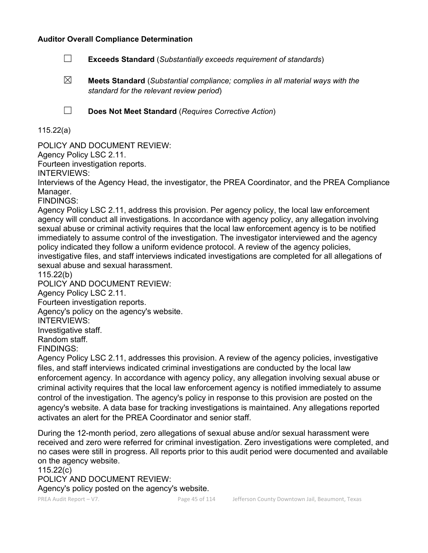#### **Auditor Overall Compliance Determination**

- ☐ **Exceeds Standard** (*Substantially exceeds requirement of standards*)
- ☒ **Meets Standard** (*Substantial compliance; complies in all material ways with the standard for the relevant review period*)

☐ **Does Not Meet Standard** (*Requires Corrective Action*)

115.22(a)

POLICY AND DOCUMENT REVIEW:

Agency Policy LSC 2.11.

Fourteen investigation reports.

INTERVIEWS:

Interviews of the Agency Head, the investigator, the PREA Coordinator, and the PREA Compliance Manager.

FINDINGS:

Agency Policy LSC 2.11, address this provision. Per agency policy, the local law enforcement agency will conduct all investigations. In accordance with agency policy, any allegation involving sexual abuse or criminal activity requires that the local law enforcement agency is to be notified immediately to assume control of the investigation. The investigator interviewed and the agency policy indicated they follow a uniform evidence protocol. A review of the agency policies, investigative files, and staff interviews indicated investigations are completed for all allegations of sexual abuse and sexual harassment.

115.22(b)

POLICY AND DOCUMENT REVIEW:

Agency Policy LSC 2.11.

Fourteen investigation reports.

Agency's policy on the agency's website.

INTERVIEWS:

Investigative staff.

Random staff.

FINDINGS:

Agency Policy LSC 2.11, addresses this provision. A review of the agency policies, investigative files, and staff interviews indicated criminal investigations are conducted by the local law enforcement agency. In accordance with agency policy, any allegation involving sexual abuse or criminal activity requires that the local law enforcement agency is notified immediately to assume control of the investigation. The agency's policy in response to this provision are posted on the agency's website. A data base for tracking investigations is maintained. Any allegations reported activates an alert for the PREA Coordinator and senior staff.

During the 12-month period, zero allegations of sexual abuse and/or sexual harassment were received and zero were referred for criminal investigation. Zero investigations were completed, and no cases were still in progress. All reports prior to this audit period were documented and available on the agency website.

115.22(c) POLICY AND DOCUMENT REVIEW: Agency's policy posted on the agency's website.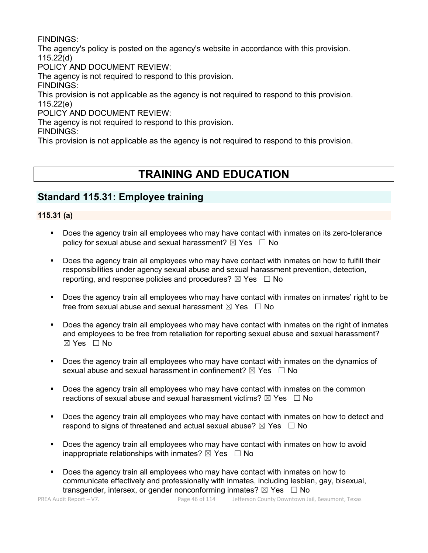FINDINGS:

The agency's policy is posted on the agency's website in accordance with this provision. 115.22(d)

POLICY AND DOCUMENT REVIEW:

The agency is not required to respond to this provision.

FINDINGS:

This provision is not applicable as the agency is not required to respond to this provision. 115.22(e)

POLICY AND DOCUMENT REVIEW:

The agency is not required to respond to this provision.

FINDINGS:

This provision is not applicable as the agency is not required to respond to this provision.

# **TRAINING AND EDUCATION**

## **Standard 115.31: Employee training**

## **115.31 (a)**

- Does the agency train all employees who may have contact with inmates on its zero-tolerance policy for sexual abuse and sexual harassment?  $\boxtimes$  Yes  $\Box$  No
- Does the agency train all employees who may have contact with inmates on how to fulfill their responsibilities under agency sexual abuse and sexual harassment prevention, detection, reporting, and response policies and procedures?  $\boxtimes$  Yes  $\Box$  No
- Does the agency train all employees who may have contact with inmates on inmates' right to be free from sexual abuse and sexual harassment  $\boxtimes$  Yes  $\Box$  No
- Does the agency train all employees who may have contact with inmates on the right of inmates and employees to be free from retaliation for reporting sexual abuse and sexual harassment? ☒ Yes ☐ No
- Does the agency train all employees who may have contact with inmates on the dynamics of sexual abuse and sexual harassment in confinement?  $\boxtimes$  Yes  $\Box$  No
- Does the agency train all employees who may have contact with inmates on the common reactions of sexual abuse and sexual harassment victims?  $\boxtimes$  Yes  $\Box$  No
- Does the agency train all employees who may have contact with inmates on how to detect and respond to signs of threatened and actual sexual abuse?  $\boxtimes$  Yes  $\Box$  No
- Does the agency train all employees who may have contact with inmates on how to avoid inappropriate relationships with inmates?  $\boxtimes$  Yes  $\Box$  No
- Does the agency train all employees who may have contact with inmates on how to communicate effectively and professionally with inmates, including lesbian, gay, bisexual, transgender, intersex, or gender nonconforming inmates?  $\boxtimes$  Yes  $\Box$  No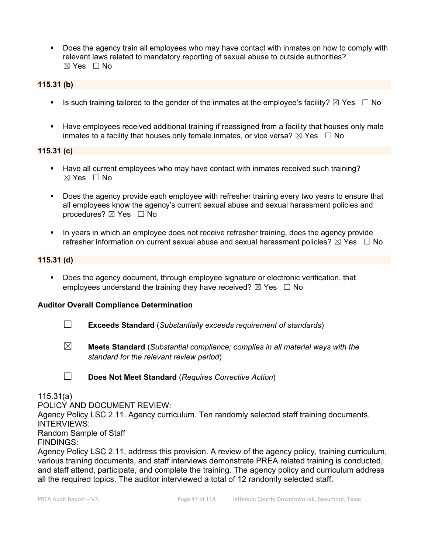Does the agency train all employees who may have contact with inmates on how to comply with relevant laws related to mandatory reporting of sexual abuse to outside authorities? ☒ Yes ☐ No

#### **115.31 (b)**

- Is such training tailored to the gender of the inmates at the employee's facility?  $\boxtimes$  Yes  $\Box$  No
- **Have employees received additional training if reassigned from a facility that houses only male** inmates to a facility that houses only female inmates, or vice versa?  $\boxtimes$  Yes  $\Box$  No

### **115.31 (c)**

- Have all current employees who may have contact with inmates received such training?  $\boxtimes$  Yes  $\Box$  No
- Does the agency provide each employee with refresher training every two years to ensure that all employees know the agency's current sexual abuse and sexual harassment policies and procedures?  $\boxtimes$  Yes  $\Box$  No
- In years in which an employee does not receive refresher training, does the agency provide refresher information on current sexual abuse and sexual harassment policies?  $\boxtimes$  Yes  $\Box$  No

#### **115.31 (d)**

Does the agency document, through employee signature or electronic verification, that employees understand the training they have received?  $\boxtimes$  Yes  $\Box$  No

#### **Auditor Overall Compliance Determination**

- ☐ **Exceeds Standard** (*Substantially exceeds requirement of standards*)
- ☒ **Meets Standard** (*Substantial compliance; complies in all material ways with the standard for the relevant review period*)
- ☐ **Does Not Meet Standard** (*Requires Corrective Action*)

#### 115.31(a)

POLICY AND DOCUMENT REVIEW:

Agency Policy LSC 2.11. Agency curriculum. Ten randomly selected staff training documents. INTERVIEWS: Random Sample of Staff

FINDINGS:

Agency Policy LSC 2.11, address this provision. A review of the agency policy, training curriculum, various training documents, and staff interviews demonstrate PREA related training is conducted, and staff attend, participate, and complete the training. The agency policy and curriculum address all the required topics. The auditor interviewed a total of 12 randomly selected staff.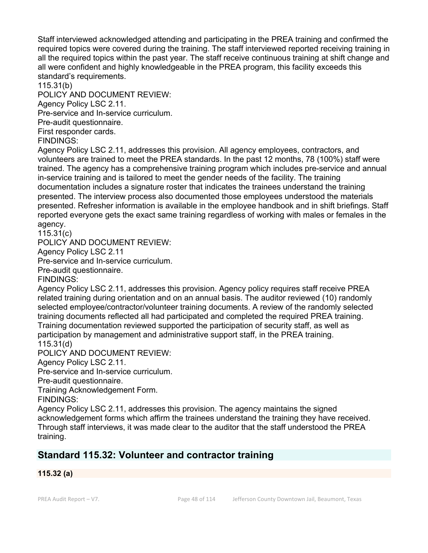Staff interviewed acknowledged attending and participating in the PREA training and confirmed the required topics were covered during the training. The staff interviewed reported receiving training in all the required topics within the past year. The staff receive continuous training at shift change and all were confident and highly knowledgeable in the PREA program, this facility exceeds this standard's requirements.

115.31(b)

POLICY AND DOCUMENT REVIEW:

Agency Policy LSC 2.11.

Pre-service and In-service curriculum.

Pre-audit questionnaire.

First responder cards.

FINDINGS:

Agency Policy LSC 2.11, addresses this provision. All agency employees, contractors, and volunteers are trained to meet the PREA standards. In the past 12 months, 78 (100%) staff were trained. The agency has a comprehensive training program which includes pre-service and annual in-service training and is tailored to meet the gender needs of the facility. The training documentation includes a signature roster that indicates the trainees understand the training presented. The interview process also documented those employees understood the materials presented. Refresher information is available in the employee handbook and in shift briefings. Staff reported everyone gets the exact same training regardless of working with males or females in the agency.

115.31(c)

POLICY AND DOCUMENT REVIEW:

Agency Policy LSC 2.11

Pre-service and In-service curriculum.

Pre-audit questionnaire.

FINDINGS:

Agency Policy LSC 2.11, addresses this provision. Agency policy requires staff receive PREA related training during orientation and on an annual basis. The auditor reviewed (10) randomly selected employee/contractor/volunteer training documents. A review of the randomly selected training documents reflected all had participated and completed the required PREA training. Training documentation reviewed supported the participation of security staff, as well as participation by management and administrative support staff, in the PREA training. 115.31(d)

POLICY AND DOCUMENT REVIEW:

Agency Policy LSC 2.11.

Pre-service and In-service curriculum.

Pre-audit questionnaire.

Training Acknowledgement Form.

FINDINGS:

Agency Policy LSC 2.11, addresses this provision. The agency maintains the signed acknowledgement forms which affirm the trainees understand the training they have received. Through staff interviews, it was made clear to the auditor that the staff understood the PREA training.

## **Standard 115.32: Volunteer and contractor training**

#### **115.32 (a)**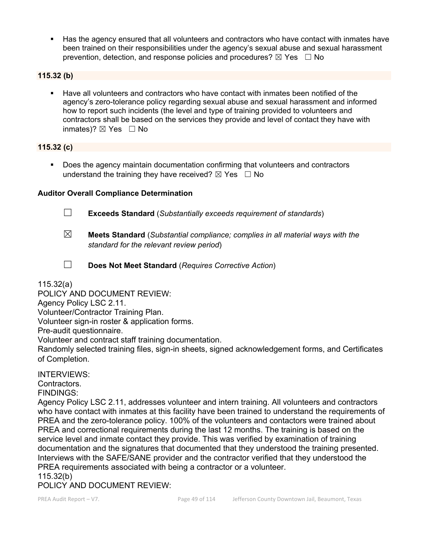Has the agency ensured that all volunteers and contractors who have contact with inmates have been trained on their responsibilities under the agency's sexual abuse and sexual harassment prevention, detection, and response policies and procedures?  $\boxtimes$  Yes  $\Box$  No

#### **115.32 (b)**

 Have all volunteers and contractors who have contact with inmates been notified of the agency's zero-tolerance policy regarding sexual abuse and sexual harassment and informed how to report such incidents (the level and type of training provided to volunteers and contractors shall be based on the services they provide and level of contact they have with inmates)?  $\boxtimes$  Yes  $\Box$  No

#### **115.32 (c)**

**Does the agency maintain documentation confirming that volunteers and contractors** understand the training they have received?  $\boxtimes$  Yes  $\Box$  No

#### **Auditor Overall Compliance Determination**

- ☐ **Exceeds Standard** (*Substantially exceeds requirement of standards*)
- ☒ **Meets Standard** (*Substantial compliance; complies in all material ways with the standard for the relevant review period*)
- 
- ☐ **Does Not Meet Standard** (*Requires Corrective Action*)

115.32(a)

POLICY AND DOCUMENT REVIEW:

Agency Policy LSC 2.11.

Volunteer/Contractor Training Plan.

Volunteer sign-in roster & application forms.

Pre-audit questionnaire.

Volunteer and contract staff training documentation.

Randomly selected training files, sign-in sheets, signed acknowledgement forms, and Certificates of Completion.

INTERVIEWS:

Contractors.

FINDINGS:

Agency Policy LSC 2.11, addresses volunteer and intern training. All volunteers and contractors who have contact with inmates at this facility have been trained to understand the requirements of PREA and the zero-tolerance policy. 100% of the volunteers and contactors were trained about PREA and correctional requirements during the last 12 months. The training is based on the service level and inmate contact they provide. This was verified by examination of training documentation and the signatures that documented that they understood the training presented. Interviews with the SAFE/SANE provider and the contractor verified that they understood the PREA requirements associated with being a contractor or a volunteer.

115.32(b)

POLICY AND DOCUMENT REVIEW: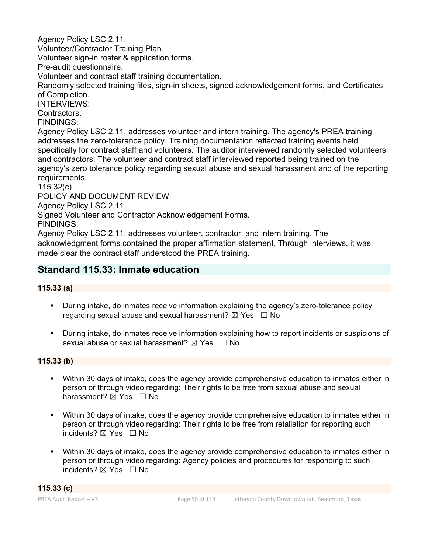Agency Policy LSC 2.11.

Volunteer/Contractor Training Plan.

Volunteer sign-in roster & application forms.

Pre-audit questionnaire.

Volunteer and contract staff training documentation.

Randomly selected training files, sign-in sheets, signed acknowledgement forms, and Certificates of Completion.

INTERVIEWS:

**Contractors** 

FINDINGS:

Agency Policy LSC 2.11, addresses volunteer and intern training. The agency's PREA training addresses the zero-tolerance policy. Training documentation reflected training events held specifically for contract staff and volunteers. The auditor interviewed randomly selected volunteers and contractors. The volunteer and contract staff interviewed reported being trained on the agency's zero tolerance policy regarding sexual abuse and sexual harassment and of the reporting requirements.

115.32(c)

POLICY AND DOCUMENT REVIEW:

Agency Policy LSC 2.11.

Signed Volunteer and Contractor Acknowledgement Forms.

FINDINGS:

Agency Policy LSC 2.11, addresses volunteer, contractor, and intern training. The acknowledgment forms contained the proper affirmation statement. Through interviews, it was made clear the contract staff understood the PREA training.

## **Standard 115.33: Inmate education**

## **115.33 (a)**

- During intake, do inmates receive information explaining the agency's zero-tolerance policy regarding sexual abuse and sexual harassment?  $\boxtimes$  Yes  $\Box$  No
- During intake, do inmates receive information explaining how to report incidents or suspicions of sexual abuse or sexual harassment?  $\boxtimes$  Yes  $\Box$  No

## **115.33 (b)**

- Within 30 days of intake, does the agency provide comprehensive education to inmates either in person or through video regarding: Their rights to be free from sexual abuse and sexual harassment?  $\boxtimes$  Yes  $\Box$  No
- Within 30 days of intake, does the agency provide comprehensive education to inmates either in person or through video regarding: Their rights to be free from retaliation for reporting such incidents?  $\boxtimes$  Yes  $\Box$  No
- Within 30 days of intake, does the agency provide comprehensive education to inmates either in person or through video regarding: Agency policies and procedures for responding to such incidents?  $\boxtimes$  Yes  $\Box$  No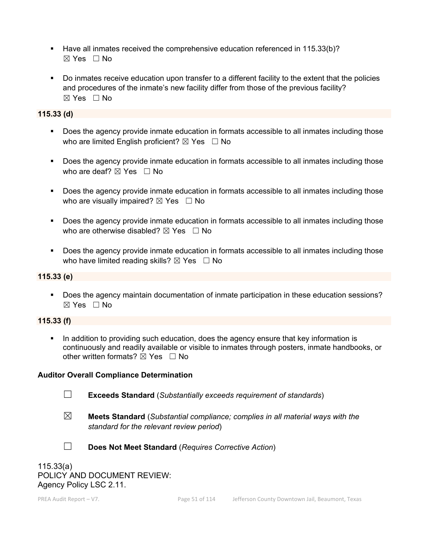- Have all inmates received the comprehensive education referenced in 115.33(b)? ☒ Yes ☐ No
- Do inmates receive education upon transfer to a different facility to the extent that the policies and procedures of the inmate's new facility differ from those of the previous facility?  $\boxtimes$  Yes  $\Box$  No

### **115.33 (d)**

- Does the agency provide inmate education in formats accessible to all inmates including those who are limited English proficient?  $\boxtimes$  Yes  $\Box$  No
- **Does the agency provide inmate education in formats accessible to all inmates including those** who are deaf?  $\boxtimes$  Yes  $\Box$  No
- Does the agency provide inmate education in formats accessible to all inmates including those who are visually impaired?  $\boxtimes$  Yes  $\Box$  No
- Does the agency provide inmate education in formats accessible to all inmates including those who are otherwise disabled?  $\boxtimes$  Yes  $\Box$  No
- Does the agency provide inmate education in formats accessible to all inmates including those who have limited reading skills?  $\boxtimes$  Yes  $\Box$  No

### **115.33 (e)**

 Does the agency maintain documentation of inmate participation in these education sessions?  $\boxtimes$  Yes  $\Box$  No

#### **115.33 (f)**

In addition to providing such education, does the agency ensure that key information is continuously and readily available or visible to inmates through posters, inmate handbooks, or other written formats?  $\boxtimes$  Yes  $\Box$  No

#### **Auditor Overall Compliance Determination**

- 
- ☐ **Exceeds Standard** (*Substantially exceeds requirement of standards*)
- ☒ **Meets Standard** (*Substantial compliance; complies in all material ways with the standard for the relevant review period*)



☐ **Does Not Meet Standard** (*Requires Corrective Action*)

115.33(a) POLICY AND DOCUMENT REVIEW: Agency Policy LSC 2.11.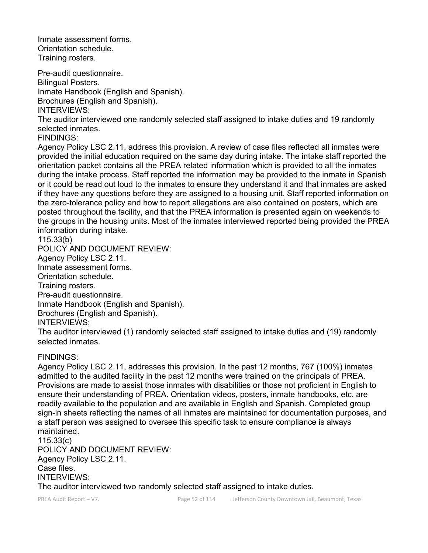Inmate assessment forms. Orientation schedule. Training rosters.

Pre-audit questionnaire. Bilingual Posters. Inmate Handbook (English and Spanish). Brochures (English and Spanish). INTERVIEWS:

The auditor interviewed one randomly selected staff assigned to intake duties and 19 randomly selected inmates.

FINDINGS:

Agency Policy LSC 2.11, address this provision. A review of case files reflected all inmates were provided the initial education required on the same day during intake. The intake staff reported the orientation packet contains all the PREA related information which is provided to all the inmates during the intake process. Staff reported the information may be provided to the inmate in Spanish or it could be read out loud to the inmates to ensure they understand it and that inmates are asked if they have any questions before they are assigned to a housing unit. Staff reported information on the zero-tolerance policy and how to report allegations are also contained on posters, which are posted throughout the facility, and that the PREA information is presented again on weekends to the groups in the housing units. Most of the inmates interviewed reported being provided the PREA information during intake.

115.33(b)

POLICY AND DOCUMENT REVIEW:

Agency Policy LSC 2.11.

Inmate assessment forms.

Orientation schedule.

Training rosters.

Pre-audit questionnaire. Inmate Handbook (English and Spanish). Brochures (English and Spanish).

INTERVIEWS:

The auditor interviewed (1) randomly selected staff assigned to intake duties and (19) randomly selected inmates.

## FINDINGS:

Agency Policy LSC 2.11, addresses this provision. In the past 12 months, 767 (100%) inmates admitted to the audited facility in the past 12 months were trained on the principals of PREA. Provisions are made to assist those inmates with disabilities or those not proficient in English to ensure their understanding of PREA. Orientation videos, posters, inmate handbooks, etc. are readily available to the population and are available in English and Spanish. Completed group sign-in sheets reflecting the names of all inmates are maintained for documentation purposes, and a staff person was assigned to oversee this specific task to ensure compliance is always maintained.

115.33(c) POLICY AND DOCUMENT REVIEW: Agency Policy LSC 2.11. Case files. INTERVIEWS: The auditor interviewed two randomly selected staff assigned to intake duties.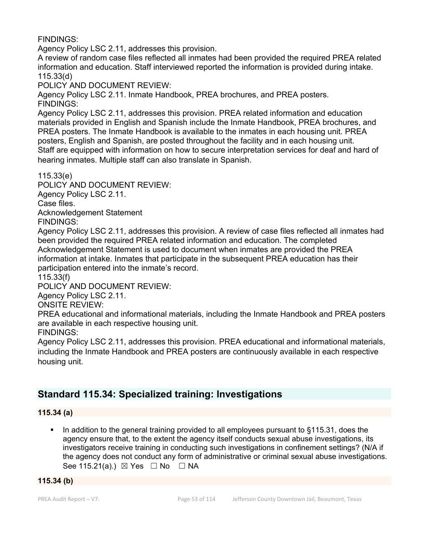FINDINGS:

Agency Policy LSC 2.11, addresses this provision.

A review of random case files reflected all inmates had been provided the required PREA related information and education. Staff interviewed reported the information is provided during intake. 115.33(d)

POLICY AND DOCUMENT REVIEW:

Agency Policy LSC 2.11. Inmate Handbook, PREA brochures, and PREA posters. FINDINGS:

Agency Policy LSC 2.11, addresses this provision. PREA related information and education materials provided in English and Spanish include the Inmate Handbook, PREA brochures, and PREA posters. The Inmate Handbook is available to the inmates in each housing unit. PREA posters, English and Spanish, are posted throughout the facility and in each housing unit. Staff are equipped with information on how to secure interpretation services for deaf and hard of hearing inmates. Multiple staff can also translate in Spanish.

115.33(e)

POLICY AND DOCUMENT REVIEW:

Agency Policy LSC 2.11.

Case files.

Acknowledgement Statement

FINDINGS:

Agency Policy LSC 2.11, addresses this provision. A review of case files reflected all inmates had been provided the required PREA related information and education. The completed Acknowledgement Statement is used to document when inmates are provided the PREA information at intake. Inmates that participate in the subsequent PREA education has their participation entered into the inmate's record.

115.33(f)

POLICY AND DOCUMENT REVIEW:

Agency Policy LSC 2.11.

ONSITE REVIEW:

PREA educational and informational materials, including the Inmate Handbook and PREA posters are available in each respective housing unit.

FINDINGS:

Agency Policy LSC 2.11, addresses this provision. PREA educational and informational materials, including the Inmate Handbook and PREA posters are continuously available in each respective housing unit.

## **Standard 115.34: Specialized training: Investigations**

#### **115.34 (a)**

 In addition to the general training provided to all employees pursuant to §115.31, does the agency ensure that, to the extent the agency itself conducts sexual abuse investigations, its investigators receive training in conducting such investigations in confinement settings? (N/A if the agency does not conduct any form of administrative or criminal sexual abuse investigations. See 115.21(a).)  $\boxtimes$  Yes  $\Box$  No  $\Box$  NA

#### **115.34 (b)**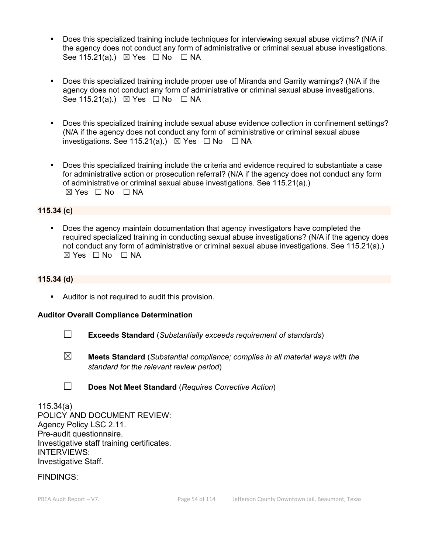- Does this specialized training include techniques for interviewing sexual abuse victims? (N/A if the agency does not conduct any form of administrative or criminal sexual abuse investigations. See 115.21(a).)  $\boxtimes$  Yes  $\Box$  No  $\Box$  NA
- Does this specialized training include proper use of Miranda and Garrity warnings? (N/A if the agency does not conduct any form of administrative or criminal sexual abuse investigations. See 115.21(a).)  $\boxtimes$  Yes  $\Box$  No  $\Box$  NA
- Does this specialized training include sexual abuse evidence collection in confinement settings? (N/A if the agency does not conduct any form of administrative or criminal sexual abuse investigations. See 115.21(a).)  $\boxtimes$  Yes  $\Box$  No  $\Box$  NA
- Does this specialized training include the criteria and evidence required to substantiate a case for administrative action or prosecution referral? (N/A if the agency does not conduct any form of administrative or criminal sexual abuse investigations. See 115.21(a).)  $\boxtimes$  Yes  $\Box$  No  $\Box$  NA

#### **115.34 (c)**

 Does the agency maintain documentation that agency investigators have completed the required specialized training in conducting sexual abuse investigations? (N/A if the agency does not conduct any form of administrative or criminal sexual abuse investigations. See 115.21(a).)  $\boxtimes$  Yes  $\Box$  No  $\Box$  NA

#### **115.34 (d)**

Auditor is not required to audit this provision.

#### **Auditor Overall Compliance Determination**

- ☐ **Exceeds Standard** (*Substantially exceeds requirement of standards*)
- ☒ **Meets Standard** (*Substantial compliance; complies in all material ways with the standard for the relevant review period*)
- ☐ **Does Not Meet Standard** (*Requires Corrective Action*)

115.34(a) POLICY AND DOCUMENT REVIEW: Agency Policy LSC 2.11. Pre-audit questionnaire. Investigative staff training certificates. INTERVIEWS: Investigative Staff.

FINDINGS: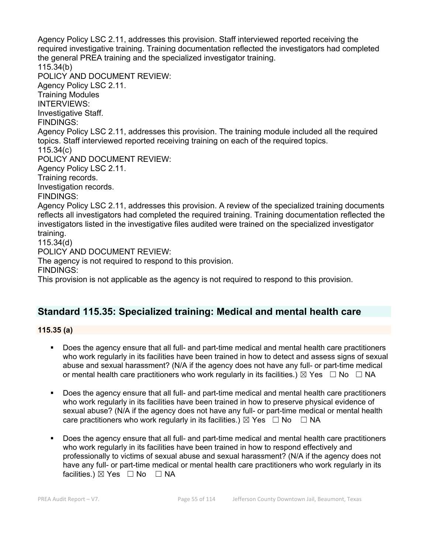Agency Policy LSC 2.11, addresses this provision. Staff interviewed reported receiving the required investigative training. Training documentation reflected the investigators had completed the general PREA training and the specialized investigator training. 115.34(b) POLICY AND DOCUMENT REVIEW: Agency Policy LSC 2.11. Training Modules INTERVIEWS: Investigative Staff. FINDINGS: Agency Policy LSC 2.11, addresses this provision. The training module included all the required topics. Staff interviewed reported receiving training on each of the required topics. 115.34(c) POLICY AND DOCUMENT REVIEW: Agency Policy LSC 2.11. Training records. Investigation records. FINDINGS: Agency Policy LSC 2.11, addresses this provision. A review of the specialized training documents reflects all investigators had completed the required training. Training documentation reflected the investigators listed in the investigative files audited were trained on the specialized investigator training. 115.34(d) POLICY AND DOCUMENT REVIEW: The agency is not required to respond to this provision. FINDINGS:

This provision is not applicable as the agency is not required to respond to this provision.

## **Standard 115.35: Specialized training: Medical and mental health care**

**115.35 (a)**

- Does the agency ensure that all full- and part-time medical and mental health care practitioners who work regularly in its facilities have been trained in how to detect and assess signs of sexual abuse and sexual harassment? (N/A if the agency does not have any full- or part-time medical or mental health care practitioners who work regularly in its facilities.)  $\boxtimes$  Yes  $\Box$  No  $\Box$  NA
- Does the agency ensure that all full- and part-time medical and mental health care practitioners who work regularly in its facilities have been trained in how to preserve physical evidence of sexual abuse? (N/A if the agency does not have any full- or part-time medical or mental health care practitioners who work regularly in its facilities.)  $\boxtimes$  Yes  $\Box$  No  $\Box$  NA
- Does the agency ensure that all full- and part-time medical and mental health care practitioners who work regularly in its facilities have been trained in how to respond effectively and professionally to victims of sexual abuse and sexual harassment? (N/A if the agency does not have any full- or part-time medical or mental health care practitioners who work regularly in its facilities.)  $\boxtimes$  Yes  $\Box$  No  $\Box$  NA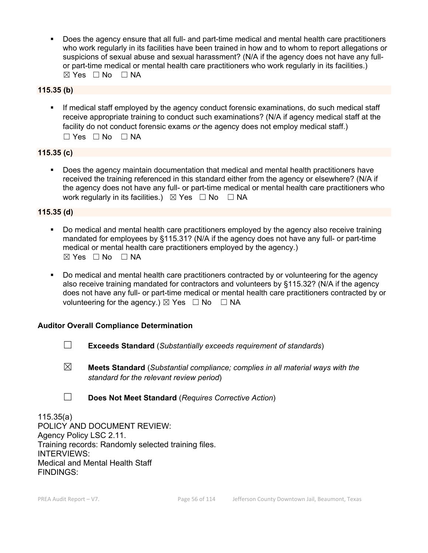Does the agency ensure that all full- and part-time medical and mental health care practitioners who work regularly in its facilities have been trained in how and to whom to report allegations or suspicions of sexual abuse and sexual harassment? (N/A if the agency does not have any fullor part-time medical or mental health care practitioners who work regularly in its facilities.)  $\boxtimes$  Yes  $\Box$  No  $\Box$  NA

### **115.35 (b)**

 If medical staff employed by the agency conduct forensic examinations, do such medical staff receive appropriate training to conduct such examinations? (N/A if agency medical staff at the facility do not conduct forensic exams *or* the agency does not employ medical staff.)  $\Box$  Yes  $\Box$  No  $\Box$  NA

#### **115.35 (c)**

 Does the agency maintain documentation that medical and mental health practitioners have received the training referenced in this standard either from the agency or elsewhere? (N/A if the agency does not have any full- or part-time medical or mental health care practitioners who work regularly in its facilities.)  $\boxtimes$  Yes  $\Box$  No  $\Box$  NA

#### **115.35 (d)**

- Do medical and mental health care practitioners employed by the agency also receive training mandated for employees by §115.31? (N/A if the agency does not have any full- or part-time medical or mental health care practitioners employed by the agency.)  $⊠ Yes ⊡ No ⊡ NA$
- Do medical and mental health care practitioners contracted by or volunteering for the agency also receive training mandated for contractors and volunteers by §115.32? (N/A if the agency does not have any full- or part-time medical or mental health care practitioners contracted by or volunteering for the agency.)  $\boxtimes$  Yes  $\Box$  No  $\Box$  NA

#### **Auditor Overall Compliance Determination**

- ☐ **Exceeds Standard** (*Substantially exceeds requirement of standards*)
- ☒ **Meets Standard** (*Substantial compliance; complies in all material ways with the standard for the relevant review period*)
- ☐ **Does Not Meet Standard** (*Requires Corrective Action*)

115.35(a) POLICY AND DOCUMENT REVIEW: Agency Policy LSC 2.11. Training records: Randomly selected training files. INTERVIEWS: Medical and Mental Health Staff FINDINGS: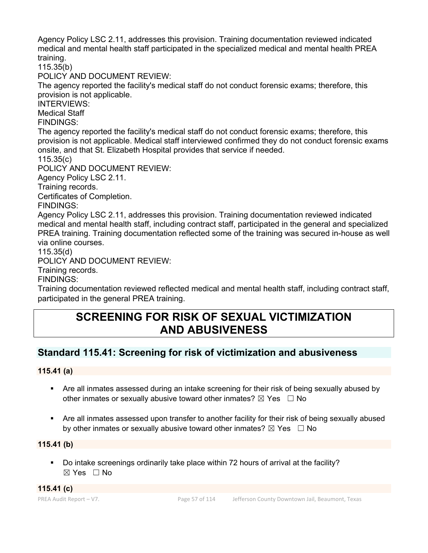Agency Policy LSC 2.11, addresses this provision. Training documentation reviewed indicated medical and mental health staff participated in the specialized medical and mental health PREA training.

115.35(b)

POLICY AND DOCUMENT REVIEW:

The agency reported the facility's medical staff do not conduct forensic exams; therefore, this provision is not applicable.

INTERVIEWS:

Medical Staff

FINDINGS:

The agency reported the facility's medical staff do not conduct forensic exams; therefore, this provision is not applicable. Medical staff interviewed confirmed they do not conduct forensic exams onsite, and that St. Elizabeth Hospital provides that service if needed.

115.35(c)

POLICY AND DOCUMENT REVIEW:

Agency Policy LSC 2.11.

Training records.

Certificates of Completion.

FINDINGS:

Agency Policy LSC 2.11, addresses this provision. Training documentation reviewed indicated medical and mental health staff, including contract staff, participated in the general and specialized PREA training. Training documentation reflected some of the training was secured in-house as well via online courses.

115.35(d)

POLICY AND DOCUMENT REVIEW:

Training records.

FINDINGS:

Training documentation reviewed reflected medical and mental health staff, including contract staff, participated in the general PREA training.

# **SCREENING FOR RISK OF SEXUAL VICTIMIZATION AND ABUSIVENESS**

## **Standard 115.41: Screening for risk of victimization and abusiveness**

#### **115.41 (a)**

- Are all inmates assessed during an intake screening for their risk of being sexually abused by other inmates or sexually abusive toward other inmates?  $\boxtimes$  Yes  $\Box$  No
- Are all inmates assessed upon transfer to another facility for their risk of being sexually abused by other inmates or sexually abusive toward other inmates?  $\boxtimes$  Yes  $\Box$  No

#### **115.41 (b)**

 Do intake screenings ordinarily take place within 72 hours of arrival at the facility? ☒ Yes ☐ No

**115.41 (c)**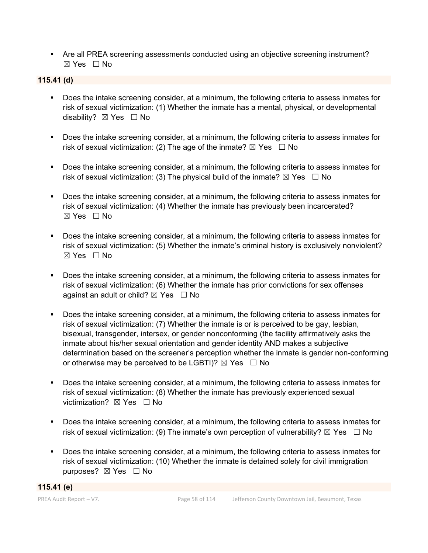Are all PREA screening assessments conducted using an objective screening instrument? ☒ Yes ☐ No

### **115.41 (d)**

- Does the intake screening consider, at a minimum, the following criteria to assess inmates for risk of sexual victimization: (1) Whether the inmate has a mental, physical, or developmental disability? ⊠ Yes □ No
- Does the intake screening consider, at a minimum, the following criteria to assess inmates for risk of sexual victimization: (2) The age of the inmate?  $\boxtimes$  Yes  $\Box$  No
- Does the intake screening consider, at a minimum, the following criteria to assess inmates for risk of sexual victimization: (3) The physical build of the inmate?  $\boxtimes$  Yes  $\Box$  No
- Does the intake screening consider, at a minimum, the following criteria to assess inmates for risk of sexual victimization: (4) Whether the inmate has previously been incarcerated?  $\boxtimes$  Yes  $\Box$  No
- Does the intake screening consider, at a minimum, the following criteria to assess inmates for risk of sexual victimization: (5) Whether the inmate's criminal history is exclusively nonviolent?  $\boxtimes$  Yes  $\Box$  No
- **Does the intake screening consider, at a minimum, the following criteria to assess inmates for** risk of sexual victimization: (6) Whether the inmate has prior convictions for sex offenses against an adult or child?  $\boxtimes$  Yes  $\Box$  No
- Does the intake screening consider, at a minimum, the following criteria to assess inmates for risk of sexual victimization: (7) Whether the inmate is or is perceived to be gay, lesbian, bisexual, transgender, intersex, or gender nonconforming (the facility affirmatively asks the inmate about his/her sexual orientation and gender identity AND makes a subjective determination based on the screener's perception whether the inmate is gender non-conforming or otherwise may be perceived to be LGBTI)?  $\boxtimes$  Yes  $\Box$  No
- Does the intake screening consider, at a minimum, the following criteria to assess inmates for risk of sexual victimization: (8) Whether the inmate has previously experienced sexual victimization? **⊠** Yes □ No
- **Does the intake screening consider, at a minimum, the following criteria to assess inmates for** risk of sexual victimization: (9) The inmate's own perception of vulnerability?  $\boxtimes$  Yes  $\Box$  No
- **Does the intake screening consider, at a minimum, the following criteria to assess inmates for** risk of sexual victimization: (10) Whether the inmate is detained solely for civil immigration purposes? ⊠ Yes □ No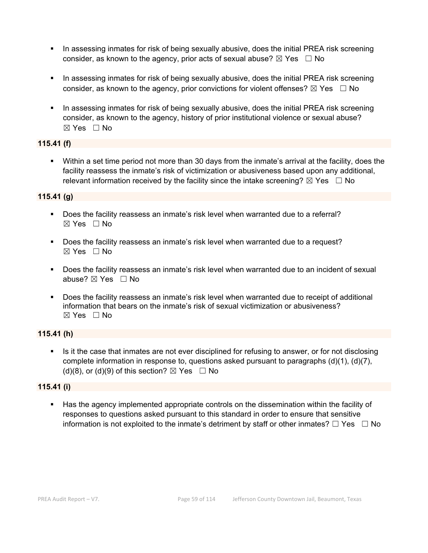- In assessing inmates for risk of being sexually abusive, does the initial PREA risk screening consider, as known to the agency, prior acts of sexual abuse?  $\boxtimes$  Yes  $\Box$  No
- In assessing inmates for risk of being sexually abusive, does the initial PREA risk screening consider, as known to the agency, prior convictions for violent offenses?  $\boxtimes$  Yes  $\Box$  No
- In assessing inmates for risk of being sexually abusive, does the initial PREA risk screening consider, as known to the agency, history of prior institutional violence or sexual abuse?  $\boxtimes$  Yes  $\Box$  No

### **115.41 (f)**

 Within a set time period not more than 30 days from the inmate's arrival at the facility, does the facility reassess the inmate's risk of victimization or abusiveness based upon any additional, relevant information received by the facility since the intake screening?  $\boxtimes$  Yes  $\Box$  No

## **115.41 (g)**

- Does the facility reassess an inmate's risk level when warranted due to a referral?  $\boxtimes$  Yes  $\Box$  No
- Does the facility reassess an inmate's risk level when warranted due to a request?  $\boxtimes$  Yes  $\Box$  No
- Does the facility reassess an inmate's risk level when warranted due to an incident of sexual abuse? ☒ Yes ☐ No
- Does the facility reassess an inmate's risk level when warranted due to receipt of additional information that bears on the inmate's risk of sexual victimization or abusiveness?  $\boxtimes$  Yes  $\Box$  No

## **115.41 (h)**

 Is it the case that inmates are not ever disciplined for refusing to answer, or for not disclosing complete information in response to, questions asked pursuant to paragraphs (d)(1), (d)(7), (d)(8), or (d)(9) of this section?  $\boxtimes$  Yes  $\Box$  No

#### **115.41 (i)**

 Has the agency implemented appropriate controls on the dissemination within the facility of responses to questions asked pursuant to this standard in order to ensure that sensitive information is not exploited to the inmate's detriment by staff or other inmates?  $\Box$  Yes  $\Box$  No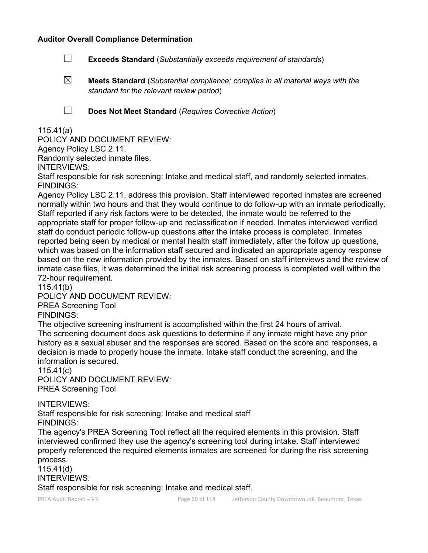#### **Auditor Overall Compliance Determination**

- ☐ **Exceeds Standard** (*Substantially exceeds requirement of standards*)
- ☒ **Meets Standard** (*Substantial compliance; complies in all material ways with the standard for the relevant review period*)

☐ **Does Not Meet Standard** (*Requires Corrective Action*)

### 115.41(a)

POLICY AND DOCUMENT REVIEW:

Agency Policy LSC 2.11.

Randomly selected inmate files.

INTERVIEWS:

Staff responsible for risk screening: Intake and medical staff, and randomly selected inmates. FINDINGS:

Agency Policy LSC 2.11, address this provision. Staff interviewed reported inmates are screened normally within two hours and that they would continue to do follow-up with an inmate periodically. Staff reported if any risk factors were to be detected, the inmate would be referred to the appropriate staff for proper follow-up and reclassification if needed. Inmates interviewed verified staff do conduct periodic follow-up questions after the intake process is completed. Inmates reported being seen by medical or mental health staff immediately, after the follow up questions, which was based on the information staff secured and indicated an appropriate agency response based on the new information provided by the inmates. Based on staff interviews and the review of inmate case files, it was determined the initial risk screening process is completed well within the 72-hour requirement.

115.41(b)

POLICY AND DOCUMENT REVIEW:

PREA Screening Tool

FINDINGS:

The objective screening instrument is accomplished within the first 24 hours of arrival. The screening document does ask questions to determine if any inmate might have any prior history as a sexual abuser and the responses are scored. Based on the score and responses, a decision is made to properly house the inmate. Intake staff conduct the screening, and the information is secured.

115.41(c)

POLICY AND DOCUMENT REVIEW: PREA Screening Tool

INTERVIEWS:

Staff responsible for risk screening: Intake and medical staff FINDINGS:

The agency's PREA Screening Tool reflect all the required elements in this provision. Staff interviewed confirmed they use the agency's screening tool during intake. Staff interviewed properly referenced the required elements inmates are screened for during the risk screening process.

115.41(d) INTERVIEWS: Staff responsible for risk screening: Intake and medical staff.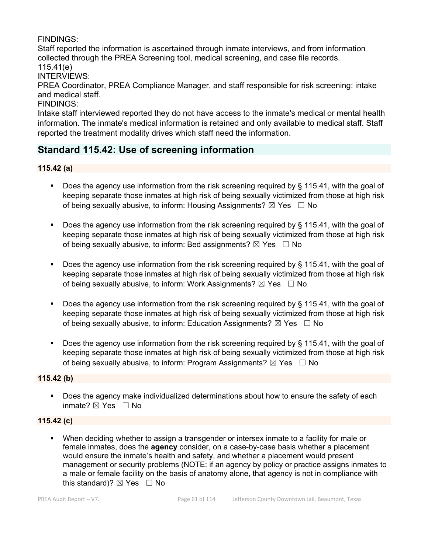## FINDINGS:

Staff reported the information is ascertained through inmate interviews, and from information collected through the PREA Screening tool, medical screening, and case file records. 115.41(e)

INTERVIEWS:

PREA Coordinator, PREA Compliance Manager, and staff responsible for risk screening: intake and medical staff.

FINDINGS:

Intake staff interviewed reported they do not have access to the inmate's medical or mental health information. The inmate's medical information is retained and only available to medical staff. Staff reported the treatment modality drives which staff need the information.

## **Standard 115.42: Use of screening information**

### **115.42 (a)**

- Does the agency use information from the risk screening required by § 115.41, with the goal of keeping separate those inmates at high risk of being sexually victimized from those at high risk of being sexually abusive, to inform: Housing Assignments?  $\boxtimes$  Yes  $\Box$  No
- Does the agency use information from the risk screening required by § 115.41, with the goal of keeping separate those inmates at high risk of being sexually victimized from those at high risk of being sexually abusive, to inform: Bed assignments?  $\boxtimes$  Yes  $\Box$  No
- Does the agency use information from the risk screening required by § 115.41, with the goal of keeping separate those inmates at high risk of being sexually victimized from those at high risk of being sexually abusive, to inform: Work Assignments?  $\boxtimes$  Yes  $\Box$  No
- Does the agency use information from the risk screening required by  $\S$  115.41, with the goal of keeping separate those inmates at high risk of being sexually victimized from those at high risk of being sexually abusive, to inform: Education Assignments?  $\boxtimes$  Yes  $\Box$  No
- Does the agency use information from the risk screening required by § 115.41, with the goal of keeping separate those inmates at high risk of being sexually victimized from those at high risk of being sexually abusive, to inform: Program Assignments?  $\boxtimes$  Yes  $\Box$  No

## **115.42 (b)**

 Does the agency make individualized determinations about how to ensure the safety of each inmate? ☒ Yes ☐ No

## **115.42 (c)**

 When deciding whether to assign a transgender or intersex inmate to a facility for male or female inmates, does the **agency** consider, on a case-by-case basis whether a placement would ensure the inmate's health and safety, and whether a placement would present management or security problems (NOTE: if an agency by policy or practice assigns inmates to a male or female facility on the basis of anatomy alone, that agency is not in compliance with this standard)?  $\boxtimes$  Yes  $\Box$  No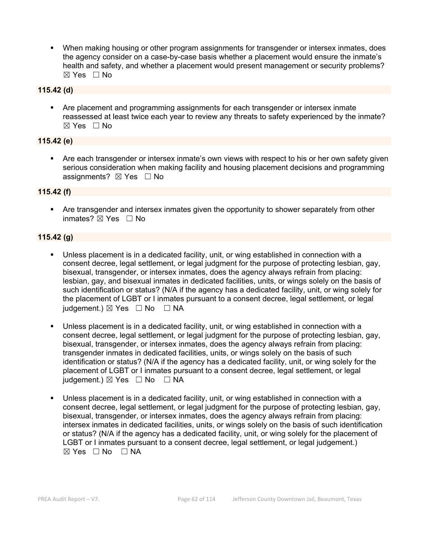When making housing or other program assignments for transgender or intersex inmates, does the agency consider on a case-by-case basis whether a placement would ensure the inmate's health and safety, and whether a placement would present management or security problems?  $\boxtimes$  Yes  $\Box$  No

#### **115.42 (d)**

 Are placement and programming assignments for each transgender or intersex inmate reassessed at least twice each year to review any threats to safety experienced by the inmate?  $\boxtimes$  Yes  $\Box$  No

#### **115.42 (e)**

 Are each transgender or intersex inmate's own views with respect to his or her own safety given serious consideration when making facility and housing placement decisions and programming assignments?  $\boxtimes$  Yes  $\Box$  No

#### **115.42 (f)**

 Are transgender and intersex inmates given the opportunity to shower separately from other inmates? ☒ Yes ☐ No

#### **115.42 (g)**

- Unless placement is in a dedicated facility, unit, or wing established in connection with a consent decree, legal settlement, or legal judgment for the purpose of protecting lesbian, gay, bisexual, transgender, or intersex inmates, does the agency always refrain from placing: lesbian, gay, and bisexual inmates in dedicated facilities, units, or wings solely on the basis of such identification or status? (N/A if the agency has a dedicated facility, unit, or wing solely for the placement of LGBT or I inmates pursuant to a consent decree, legal settlement, or legal judgement.)  $\boxtimes$  Yes  $\Box$  No  $\Box$  NA
- Unless placement is in a dedicated facility, unit, or wing established in connection with a consent decree, legal settlement, or legal judgment for the purpose of protecting lesbian, gay, bisexual, transgender, or intersex inmates, does the agency always refrain from placing: transgender inmates in dedicated facilities, units, or wings solely on the basis of such identification or status? (N/A if the agency has a dedicated facility, unit, or wing solely for the placement of LGBT or I inmates pursuant to a consent decree, legal settlement, or legal judgement.)  $\boxtimes$  Yes  $\Box$  No  $\Box$  NA
- Unless placement is in a dedicated facility, unit, or wing established in connection with a consent decree, legal settlement, or legal judgment for the purpose of protecting lesbian, gay, bisexual, transgender, or intersex inmates, does the agency always refrain from placing: intersex inmates in dedicated facilities, units, or wings solely on the basis of such identification or status? (N/A if the agency has a dedicated facility, unit, or wing solely for the placement of LGBT or I inmates pursuant to a consent decree, legal settlement, or legal judgement.)  $\boxtimes$  Yes  $\Box$  No  $\Box$  NA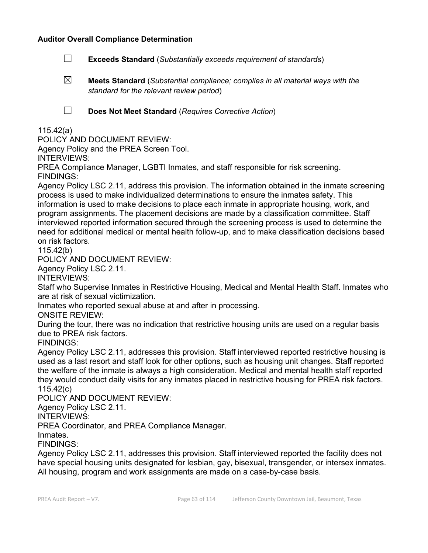#### **Auditor Overall Compliance Determination**

- ☐ **Exceeds Standard** (*Substantially exceeds requirement of standards*)
- ☒ **Meets Standard** (*Substantial compliance; complies in all material ways with the standard for the relevant review period*)

☐ **Does Not Meet Standard** (*Requires Corrective Action*)

### 115.42(a)

POLICY AND DOCUMENT REVIEW:

Agency Policy and the PREA Screen Tool.

INTERVIEWS:

PREA Compliance Manager, LGBTI Inmates, and staff responsible for risk screening. FINDINGS:

Agency Policy LSC 2.11, address this provision. The information obtained in the inmate screening process is used to make individualized determinations to ensure the inmates safety. This information is used to make decisions to place each inmate in appropriate housing, work, and program assignments. The placement decisions are made by a classification committee. Staff interviewed reported information secured through the screening process is used to determine the need for additional medical or mental health follow-up, and to make classification decisions based on risk factors.

115.42(b)

POLICY AND DOCUMENT REVIEW:

Agency Policy LSC 2.11.

INTERVIEWS:

Staff who Supervise Inmates in Restrictive Housing, Medical and Mental Health Staff. Inmates who are at risk of sexual victimization.

Inmates who reported sexual abuse at and after in processing.

ONSITE REVIEW:

During the tour, there was no indication that restrictive housing units are used on a regular basis due to PREA risk factors.

FINDINGS:

Agency Policy LSC 2.11, addresses this provision. Staff interviewed reported restrictive housing is used as a last resort and staff look for other options, such as housing unit changes. Staff reported the welfare of the inmate is always a high consideration. Medical and mental health staff reported they would conduct daily visits for any inmates placed in restrictive housing for PREA risk factors. 115.42(c)

POLICY AND DOCUMENT REVIEW:

Agency Policy LSC 2.11.

INTERVIEWS:

PREA Coordinator, and PREA Compliance Manager.

Inmates.

FINDINGS:

Agency Policy LSC 2.11, addresses this provision. Staff interviewed reported the facility does not have special housing units designated for lesbian, gay, bisexual, transgender, or intersex inmates. All housing, program and work assignments are made on a case-by-case basis.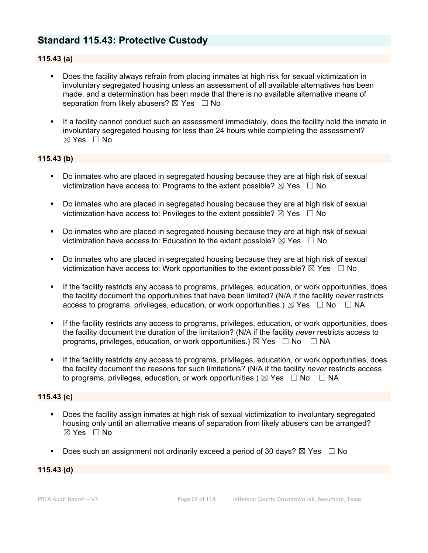## **Standard 115.43: Protective Custody**

#### **115.43 (a)**

- Does the facility always refrain from placing inmates at high risk for sexual victimization in involuntary segregated housing unless an assessment of all available alternatives has been made, and a determination has been made that there is no available alternative means of separation from likely abusers?  $\boxtimes$  Yes  $\Box$  No
- If a facility cannot conduct such an assessment immediately, does the facility hold the inmate in involuntary segregated housing for less than 24 hours while completing the assessment? ☒ Yes ☐ No

#### **115.43 (b)**

- **Do inmates who are placed in segregated housing because they are at high risk of sexual** victimization have access to: Programs to the extent possible?  $\boxtimes$  Yes  $\Box$  No
- Do inmates who are placed in segregated housing because they are at high risk of sexual victimization have access to: Privileges to the extent possible?  $\boxtimes$  Yes  $\Box$  No
- Do inmates who are placed in segregated housing because they are at high risk of sexual victimization have access to: Education to the extent possible?  $\boxtimes$  Yes  $\Box$  No
- Do inmates who are placed in segregated housing because they are at high risk of sexual victimization have access to: Work opportunities to the extent possible?  $\boxtimes$  Yes  $\Box$  No
- If the facility restricts any access to programs, privileges, education, or work opportunities, does the facility document the opportunities that have been limited? (N/A if the facility *never* restricts access to programs, privileges, education, or work opportunities.)  $\boxtimes$  Yes  $\Box$  No  $\Box$  NA
- If the facility restricts any access to programs, privileges, education, or work opportunities, does the facility document the duration of the limitation? (N/A if the facility *never* restricts access to programs, privileges, education, or work opportunities.)  $\boxtimes$  Yes  $\Box$  No  $\Box$  NA
- If the facility restricts any access to programs, privileges, education, or work opportunities, does the facility document the reasons for such limitations? (N/A if the facility *never* restricts access to programs, privileges, education, or work opportunities.)  $\boxtimes$  Yes  $\Box$  No  $\Box$  NA

#### **115.43 (c)**

- Does the facility assign inmates at high risk of sexual victimization to involuntary segregated housing only until an alternative means of separation from likely abusers can be arranged? ☒ Yes ☐ No
- Does such an assignment not ordinarily exceed a period of 30 days?  $\boxtimes$  Yes  $\Box$  No

#### **115.43 (d)**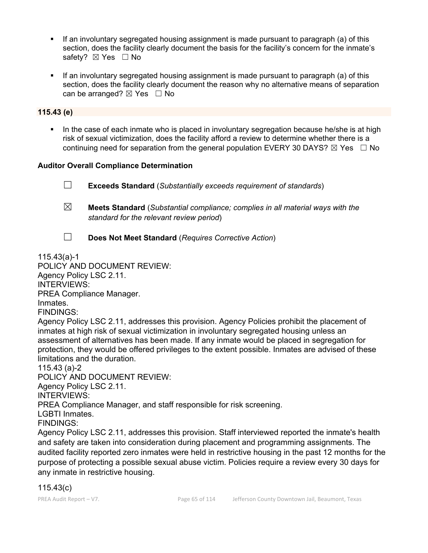- If an involuntary segregated housing assignment is made pursuant to paragraph (a) of this section, does the facility clearly document the basis for the facility's concern for the inmate's safety? ⊠ Yes □ No
- If an involuntary segregated housing assignment is made pursuant to paragraph (a) of this section, does the facility clearly document the reason why no alternative means of separation can be arranged?  $\boxtimes$  Yes  $\Box$  No

#### **115.43 (e)**

 In the case of each inmate who is placed in involuntary segregation because he/she is at high risk of sexual victimization, does the facility afford a review to determine whether there is a continuing need for separation from the general population EVERY 30 DAYS?  $\boxtimes$  Yes  $\Box$  No

#### **Auditor Overall Compliance Determination**

☐ **Exceeds Standard** (*Substantially exceeds requirement of standards*)

- ☒ **Meets Standard** (*Substantial compliance; complies in all material ways with the standard for the relevant review period*)
- ☐ **Does Not Meet Standard** (*Requires Corrective Action*)

115.43(a)-1

POLICY AND DOCUMENT REVIEW:

Agency Policy LSC 2.11.

INTERVIEWS:

PREA Compliance Manager.

Inmates.

FINDINGS:

Agency Policy LSC 2.11, addresses this provision. Agency Policies prohibit the placement of inmates at high risk of sexual victimization in involuntary segregated housing unless an assessment of alternatives has been made. If any inmate would be placed in segregation for protection, they would be offered privileges to the extent possible. Inmates are advised of these limitations and the duration.

115.43 (a)-2

POLICY AND DOCUMENT REVIEW: Agency Policy LSC 2.11. INTERVIEWS: PREA Compliance Manager, and staff responsible for risk screening. LGBTI Inmates.

FINDINGS:

Agency Policy LSC 2.11, addresses this provision. Staff interviewed reported the inmate's health and safety are taken into consideration during placement and programming assignments. The audited facility reported zero inmates were held in restrictive housing in the past 12 months for the purpose of protecting a possible sexual abuse victim. Policies require a review every 30 days for any inmate in restrictive housing.

## 115.43(c)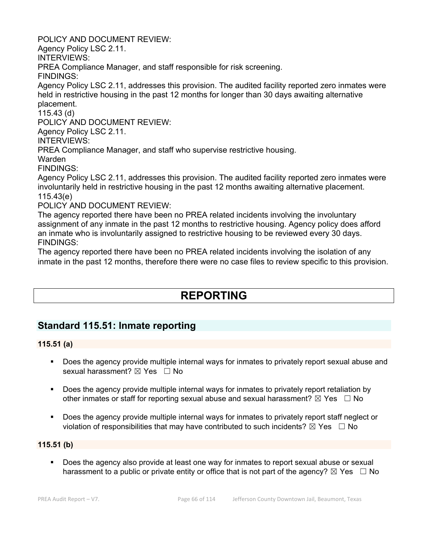POLICY AND DOCUMENT REVIEW:

Agency Policy LSC 2.11.

INTERVIEWS:

PREA Compliance Manager, and staff responsible for risk screening.

FINDINGS:

Agency Policy LSC 2.11, addresses this provision. The audited facility reported zero inmates were held in restrictive housing in the past 12 months for longer than 30 days awaiting alternative placement.

115.43 (d)

POLICY AND DOCUMENT REVIEW:

Agency Policy LSC 2.11.

INTERVIEWS:

PREA Compliance Manager, and staff who supervise restrictive housing.

Warden

FINDINGS:

Agency Policy LSC 2.11, addresses this provision. The audited facility reported zero inmates were involuntarily held in restrictive housing in the past 12 months awaiting alternative placement. 115.43(e)

POLICY AND DOCUMENT REVIEW:

The agency reported there have been no PREA related incidents involving the involuntary assignment of any inmate in the past 12 months to restrictive housing. Agency policy does afford an inmate who is involuntarily assigned to restrictive housing to be reviewed every 30 days. FINDINGS:

The agency reported there have been no PREA related incidents involving the isolation of any inmate in the past 12 months, therefore there were no case files to review specific to this provision.

# **REPORTING**

## **Standard 115.51: Inmate reporting**

#### **115.51 (a)**

- Does the agency provide multiple internal ways for inmates to privately report sexual abuse and sexual harassment?  $\boxtimes$  Yes  $\Box$  No
- Does the agency provide multiple internal ways for inmates to privately report retaliation by other inmates or staff for reporting sexual abuse and sexual harassment?  $\boxtimes$  Yes  $\Box$  No
- Does the agency provide multiple internal ways for inmates to privately report staff neglect or violation of responsibilities that may have contributed to such incidents?  $\boxtimes$  Yes  $\Box$  No

#### **115.51 (b)**

 Does the agency also provide at least one way for inmates to report sexual abuse or sexual harassment to a public or private entity or office that is not part of the agency?  $\boxtimes$  Yes  $\Box$  No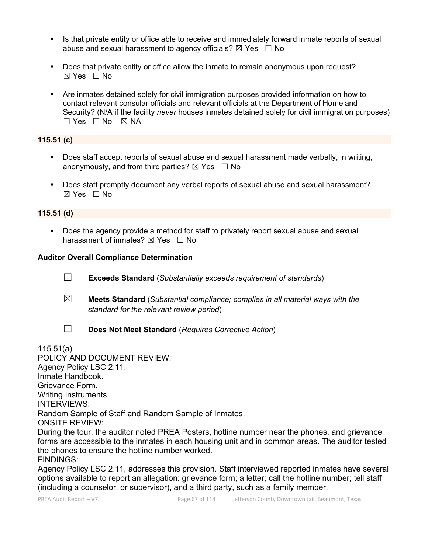- In Its that private entity or office able to receive and immediately forward inmate reports of sexual abuse and sexual harassment to agency officials?  $\boxtimes$  Yes  $\Box$  No
- Does that private entity or office allow the inmate to remain anonymous upon request?  $\boxtimes$  Yes  $\Box$  No
- Are inmates detained solely for civil immigration purposes provided information on how to contact relevant consular officials and relevant officials at the Department of Homeland Security? (N/A if the facility *never* houses inmates detained solely for civil immigration purposes)  $\square$  Yes  $\square$  No  $\square$  NA

## **115.51 (c)**

- Does staff accept reports of sexual abuse and sexual harassment made verbally, in writing, anonymously, and from third parties?  $\boxtimes$  Yes  $\Box$  No
- Does staff promptly document any verbal reports of sexual abuse and sexual harassment?  $\boxtimes$  Yes  $\Box$  No

#### **115.51 (d)**

 Does the agency provide a method for staff to privately report sexual abuse and sexual harassment of inmates?  $\boxtimes$  Yes  $\Box$  No

#### **Auditor Overall Compliance Determination**

- ☐ **Exceeds Standard** (*Substantially exceeds requirement of standards*)
- ☒ **Meets Standard** (*Substantial compliance; complies in all material ways with the standard for the relevant review period*)
- 
- ☐ **Does Not Meet Standard** (*Requires Corrective Action*)

115.51(a)

POLICY AND DOCUMENT REVIEW: Agency Policy LSC 2.11. Inmate Handbook. Grievance Form. Writing Instruments. INTERVIEWS: Random Sample of Staff and Random Sample of Inmates. ONSITE REVIEW: During the tour, the auditor noted PREA Posters, hotline number near the phones, and grievance forms are accessible to the inmates in each housing unit and in common areas. The auditor tested the phones to ensure the hotline number worked.

FINDINGS:

Agency Policy LSC 2.11, addresses this provision. Staff interviewed reported inmates have several options available to report an allegation: grievance form; a letter; call the hotline number; tell staff (including a counselor, or supervisor), and a third party, such as a family member.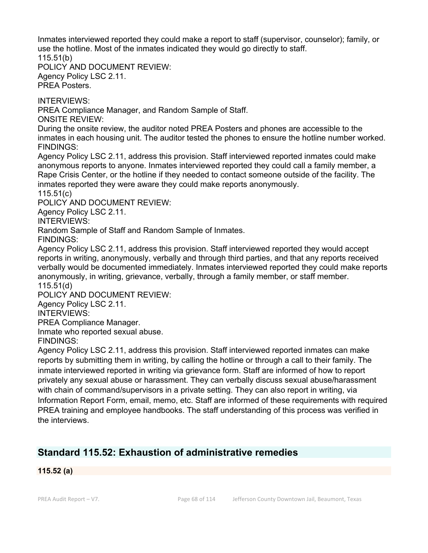Inmates interviewed reported they could make a report to staff (supervisor, counselor); family, or use the hotline. Most of the inmates indicated they would go directly to staff. 115.51(b)

POLICY AND DOCUMENT REVIEW: Agency Policy LSC 2.11. PREA Posters.

INTERVIEWS:

PREA Compliance Manager, and Random Sample of Staff.

ONSITE REVIEW:

During the onsite review, the auditor noted PREA Posters and phones are accessible to the inmates in each housing unit. The auditor tested the phones to ensure the hotline number worked. FINDINGS:

Agency Policy LSC 2.11, address this provision. Staff interviewed reported inmates could make anonymous reports to anyone. Inmates interviewed reported they could call a family member, a Rape Crisis Center, or the hotline if they needed to contact someone outside of the facility. The inmates reported they were aware they could make reports anonymously.

115.51(c)

POLICY AND DOCUMENT REVIEW:

Agency Policy LSC 2.11.

INTERVIEWS:

Random Sample of Staff and Random Sample of Inmates.

FINDINGS:

Agency Policy LSC 2.11, address this provision. Staff interviewed reported they would accept reports in writing, anonymously, verbally and through third parties, and that any reports received verbally would be documented immediately. Inmates interviewed reported they could make reports anonymously, in writing, grievance, verbally, through a family member, or staff member. 115.51(d)

POLICY AND DOCUMENT REVIEW:

Agency Policy LSC 2.11.

INTERVIEWS:

PREA Compliance Manager.

Inmate who reported sexual abuse.

FINDINGS:

Agency Policy LSC 2.11, address this provision. Staff interviewed reported inmates can make reports by submitting them in writing, by calling the hotline or through a call to their family. The inmate interviewed reported in writing via grievance form. Staff are informed of how to report privately any sexual abuse or harassment. They can verbally discuss sexual abuse/harassment with chain of command/supervisors in a private setting. They can also report in writing, via Information Report Form, email, memo, etc. Staff are informed of these requirements with required PREA training and employee handbooks. The staff understanding of this process was verified in the interviews.

## **Standard 115.52: Exhaustion of administrative remedies**

**115.52 (a)**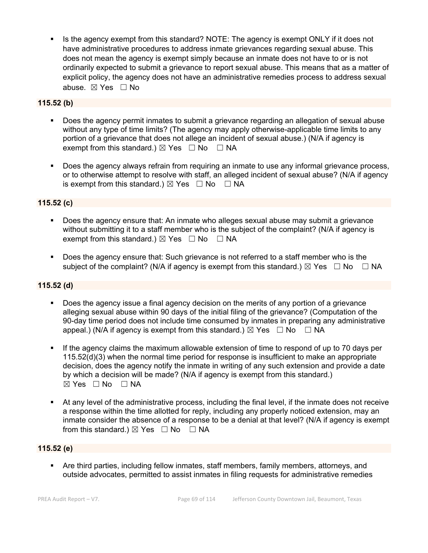Is the agency exempt from this standard? NOTE: The agency is exempt ONLY if it does not have administrative procedures to address inmate grievances regarding sexual abuse. This does not mean the agency is exempt simply because an inmate does not have to or is not ordinarily expected to submit a grievance to report sexual abuse. This means that as a matter of explicit policy, the agency does not have an administrative remedies process to address sexual abuse. ☒ Yes ☐ No

#### **115.52 (b)**

- Does the agency permit inmates to submit a grievance regarding an allegation of sexual abuse without any type of time limits? (The agency may apply otherwise-applicable time limits to any portion of a grievance that does not allege an incident of sexual abuse.) (N/A if agency is exempt from this standard.)  $\boxtimes$  Yes  $\Box$  No  $\Box$  NA
- Does the agency always refrain from requiring an inmate to use any informal grievance process, or to otherwise attempt to resolve with staff, an alleged incident of sexual abuse? (N/A if agency is exempt from this standard.)  $\boxtimes$  Yes  $\Box$  No  $\Box$  NA

### **115.52 (c)**

- Does the agency ensure that: An inmate who alleges sexual abuse may submit a grievance without submitting it to a staff member who is the subject of the complaint? (N/A if agency is exempt from this standard.)  $\boxtimes$  Yes  $\Box$  No  $\Box$  NA
- Does the agency ensure that: Such grievance is not referred to a staff member who is the subject of the complaint? (N/A if agency is exempt from this standard.)  $\boxtimes$  Yes  $\Box$  No  $\Box$  NA

#### **115.52 (d)**

- Does the agency issue a final agency decision on the merits of any portion of a grievance alleging sexual abuse within 90 days of the initial filing of the grievance? (Computation of the 90-day time period does not include time consumed by inmates in preparing any administrative appeal.) (N/A if agency is exempt from this standard.)  $\boxtimes$  Yes  $\Box$  No  $\Box$  NA
- If the agency claims the maximum allowable extension of time to respond of up to 70 days per 115.52(d)(3) when the normal time period for response is insufficient to make an appropriate decision, does the agency notify the inmate in writing of any such extension and provide a date by which a decision will be made? (N/A if agency is exempt from this standard.) ☒ Yes ☐ No ☐ NA
- At any level of the administrative process, including the final level, if the inmate does not receive a response within the time allotted for reply, including any properly noticed extension, may an inmate consider the absence of a response to be a denial at that level? (N/A if agency is exempt from this standard.)  $\boxtimes$  Yes  $\Box$  No  $\Box$  NA

#### **115.52 (e)**

 Are third parties, including fellow inmates, staff members, family members, attorneys, and outside advocates, permitted to assist inmates in filing requests for administrative remedies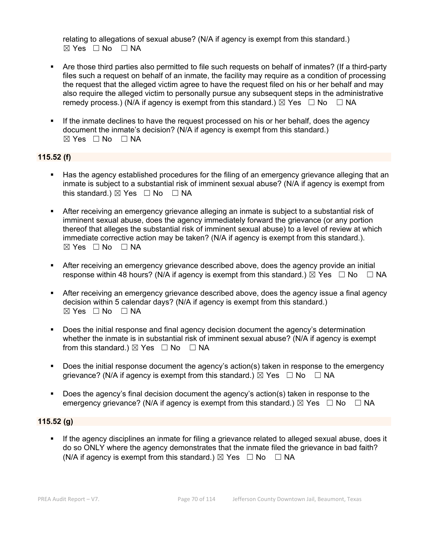relating to allegations of sexual abuse? (N/A if agency is exempt from this standard.)  $⊠ Yes ⊡ No ⊡ NA$ 

- Are those third parties also permitted to file such requests on behalf of inmates? (If a third-party files such a request on behalf of an inmate, the facility may require as a condition of processing the request that the alleged victim agree to have the request filed on his or her behalf and may also require the alleged victim to personally pursue any subsequent steps in the administrative remedy process.) (N/A if agency is exempt from this standard.)  $\boxtimes$  Yes  $\Box$  No  $\Box$  NA
- If the inmate declines to have the request processed on his or her behalf, does the agency document the inmate's decision? (N/A if agency is exempt from this standard.)  $⊠ Yes ⊡ No ⊡ NA$

#### **115.52 (f)**

- Has the agency established procedures for the filing of an emergency grievance alleging that an inmate is subject to a substantial risk of imminent sexual abuse? (N/A if agency is exempt from this standard.)  $\boxtimes$  Yes  $\Box$  No  $\Box$  NA
- After receiving an emergency grievance alleging an inmate is subject to a substantial risk of imminent sexual abuse, does the agency immediately forward the grievance (or any portion thereof that alleges the substantial risk of imminent sexual abuse) to a level of review at which immediate corrective action may be taken? (N/A if agency is exempt from this standard.).  $\boxtimes$  Yes  $\Box$  No  $\Box$  NA
- After receiving an emergency grievance described above, does the agency provide an initial response within 48 hours? (N/A if agency is exempt from this standard.)  $\boxtimes$  Yes  $\Box$  No  $\Box$  NA
- After receiving an emergency grievance described above, does the agency issue a final agency decision within 5 calendar days? (N/A if agency is exempt from this standard.) ☒ Yes ☐ No ☐ NA
- **Does the initial response and final agency decision document the agency's determination** whether the inmate is in substantial risk of imminent sexual abuse? (N/A if agency is exempt from this standard.)  $\boxtimes$  Yes  $\Box$  No  $\Box$  NA
- Does the initial response document the agency's action(s) taken in response to the emergency grievance? (N/A if agency is exempt from this standard.)  $\boxtimes$  Yes  $\Box$  No  $\Box$  NA
- Does the agency's final decision document the agency's action(s) taken in response to the emergency grievance? (N/A if agency is exempt from this standard.)  $\boxtimes$  Yes  $\Box$  No  $\Box$  NA

#### **115.52 (g)**

 If the agency disciplines an inmate for filing a grievance related to alleged sexual abuse, does it do so ONLY where the agency demonstrates that the inmate filed the grievance in bad faith? (N/A if agency is exempt from this standard.)  $\boxtimes$  Yes  $\Box$  No  $\Box$  NA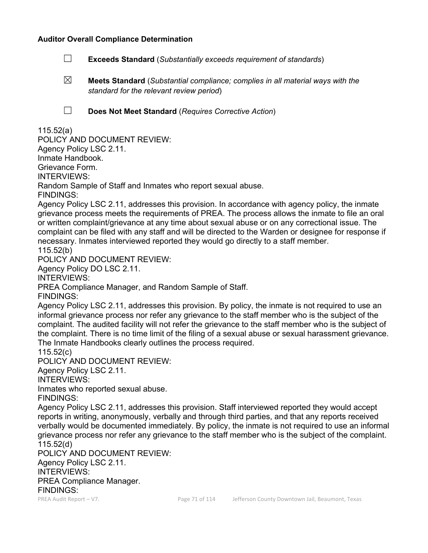#### **Auditor Overall Compliance Determination**

- ☐ **Exceeds Standard** (*Substantially exceeds requirement of standards*)
- ☒ **Meets Standard** (*Substantial compliance; complies in all material ways with the standard for the relevant review period*)
- 
- ☐ **Does Not Meet Standard** (*Requires Corrective Action*)

#### 115.52(a)

POLICY AND DOCUMENT REVIEW: Agency Policy LSC 2.11. Inmate Handbook. Grievance Form. INTERVIEWS: Random Sample of Staff and Inmates who report sexual abuse. FINDINGS:

Agency Policy LSC 2.11, addresses this provision. In accordance with agency policy, the inmate grievance process meets the requirements of PREA. The process allows the inmate to file an oral or written complaint/grievance at any time about sexual abuse or on any correctional issue. The complaint can be filed with any staff and will be directed to the Warden or designee for response if necessary. Inmates interviewed reported they would go directly to a staff member. 115.52(b)

POLICY AND DOCUMENT REVIEW:

Agency Policy DO LSC 2.11.

INTERVIEWS:

PREA Compliance Manager, and Random Sample of Staff.

FINDINGS:

Agency Policy LSC 2.11, addresses this provision. By policy, the inmate is not required to use an informal grievance process nor refer any grievance to the staff member who is the subject of the complaint. The audited facility will not refer the grievance to the staff member who is the subject of the complaint. There is no time limit of the filing of a sexual abuse or sexual harassment grievance. The Inmate Handbooks clearly outlines the process required.

115.52(c)

POLICY AND DOCUMENT REVIEW:

Agency Policy LSC 2.11.

INTERVIEWS:

Inmates who reported sexual abuse.

FINDINGS:

Agency Policy LSC 2.11, addresses this provision. Staff interviewed reported they would accept reports in writing, anonymously, verbally and through third parties, and that any reports received verbally would be documented immediately. By policy, the inmate is not required to use an informal grievance process nor refer any grievance to the staff member who is the subject of the complaint. 115.52(d)

POLICY AND DOCUMENT REVIEW: Agency Policy LSC 2.11. INTERVIEWS: PREA Compliance Manager. FINDINGS: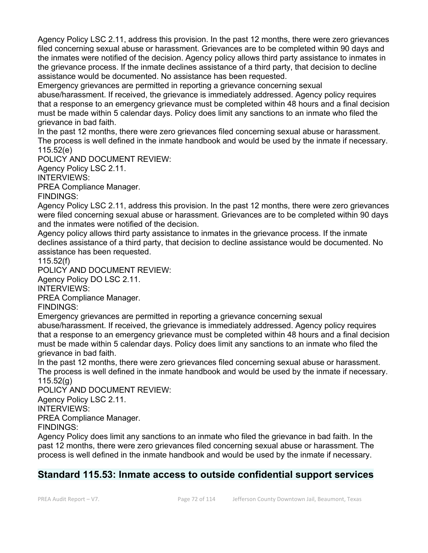Agency Policy LSC 2.11, address this provision. In the past 12 months, there were zero grievances filed concerning sexual abuse or harassment. Grievances are to be completed within 90 days and the inmates were notified of the decision. Agency policy allows third party assistance to inmates in the grievance process. If the inmate declines assistance of a third party, that decision to decline assistance would be documented. No assistance has been requested.

Emergency grievances are permitted in reporting a grievance concerning sexual abuse/harassment. If received, the grievance is immediately addressed. Agency policy requires that a response to an emergency grievance must be completed within 48 hours and a final decision must be made within 5 calendar days. Policy does limit any sanctions to an inmate who filed the grievance in bad faith.

In the past 12 months, there were zero grievances filed concerning sexual abuse or harassment. The process is well defined in the inmate handbook and would be used by the inmate if necessary. 115.52(e)

POLICY AND DOCUMENT REVIEW:

Agency Policy LSC 2.11.

INTERVIEWS:

PREA Compliance Manager.

FINDINGS:

Agency Policy LSC 2.11, address this provision. In the past 12 months, there were zero grievances were filed concerning sexual abuse or harassment. Grievances are to be completed within 90 days and the inmates were notified of the decision.

Agency policy allows third party assistance to inmates in the grievance process. If the inmate declines assistance of a third party, that decision to decline assistance would be documented. No assistance has been requested.

115.52(f)

POLICY AND DOCUMENT REVIEW:

Agency Policy DO LSC 2.11.

INTERVIEWS:

PREA Compliance Manager.

FINDINGS:

Emergency grievances are permitted in reporting a grievance concerning sexual

abuse/harassment. If received, the grievance is immediately addressed. Agency policy requires that a response to an emergency grievance must be completed within 48 hours and a final decision must be made within 5 calendar days. Policy does limit any sanctions to an inmate who filed the grievance in bad faith.

In the past 12 months, there were zero grievances filed concerning sexual abuse or harassment. The process is well defined in the inmate handbook and would be used by the inmate if necessary. 115.52(g)

POLICY AND DOCUMENT REVIEW:

Agency Policy LSC 2.11.

INTERVIEWS:

PREA Compliance Manager.

FINDINGS:

Agency Policy does limit any sanctions to an inmate who filed the grievance in bad faith. In the past 12 months, there were zero grievances filed concerning sexual abuse or harassment. The process is well defined in the inmate handbook and would be used by the inmate if necessary.

## **Standard 115.53: Inmate access to outside confidential support services**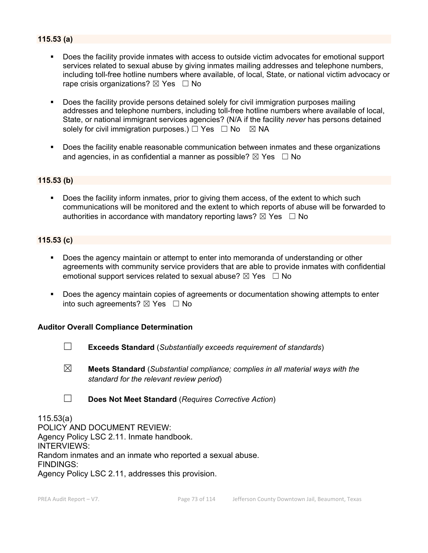### **115.53 (a)**

- Does the facility provide inmates with access to outside victim advocates for emotional support services related to sexual abuse by giving inmates mailing addresses and telephone numbers, including toll-free hotline numbers where available, of local, State, or national victim advocacy or rape crisis organizations?  $\boxtimes$  Yes  $\Box$  No
- Does the facility provide persons detained solely for civil immigration purposes mailing addresses and telephone numbers, including toll-free hotline numbers where available of local, State, or national immigrant services agencies? (N/A if the facility *never* has persons detained solely for civil immigration purposes.)  $\Box$  Yes  $\Box$  No  $\boxtimes$  NA
- Does the facility enable reasonable communication between inmates and these organizations and agencies, in as confidential a manner as possible?  $\boxtimes$  Yes  $\Box$  No

#### **115.53 (b)**

 Does the facility inform inmates, prior to giving them access, of the extent to which such communications will be monitored and the extent to which reports of abuse will be forwarded to authorities in accordance with mandatory reporting laws?  $\boxtimes$  Yes  $\Box$  No

#### **115.53 (c)**

- Does the agency maintain or attempt to enter into memoranda of understanding or other agreements with community service providers that are able to provide inmates with confidential emotional support services related to sexual abuse?  $\boxtimes$  Yes  $\Box$  No
- Does the agency maintain copies of agreements or documentation showing attempts to enter into such agreements?  $\boxtimes$  Yes  $\Box$  No

#### **Auditor Overall Compliance Determination**

- ☐ **Exceeds Standard** (*Substantially exceeds requirement of standards*)
- ☒ **Meets Standard** (*Substantial compliance; complies in all material ways with the standard for the relevant review period*)
- ☐ **Does Not Meet Standard** (*Requires Corrective Action*)

115.53(a) POLICY AND DOCUMENT REVIEW: Agency Policy LSC 2.11. Inmate handbook. INTERVIEWS: Random inmates and an inmate who reported a sexual abuse. FINDINGS:

Agency Policy LSC 2.11, addresses this provision.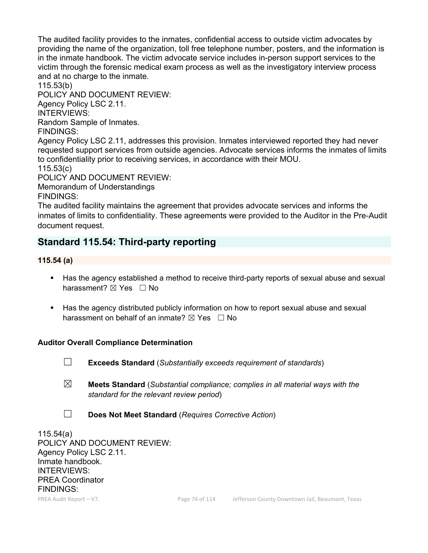The audited facility provides to the inmates, confidential access to outside victim advocates by providing the name of the organization, toll free telephone number, posters, and the information is in the inmate handbook. The victim advocate service includes in-person support services to the victim through the forensic medical exam process as well as the investigatory interview process and at no charge to the inmate.

115.53(b)

POLICY AND DOCUMENT REVIEW:

Agency Policy LSC 2.11.

INTERVIEWS:

Random Sample of Inmates.

FINDINGS:

Agency Policy LSC 2.11, addresses this provision. Inmates interviewed reported they had never requested support services from outside agencies. Advocate services informs the inmates of limits to confidentiality prior to receiving services, in accordance with their MOU.

115.53(c)

POLICY AND DOCUMENT REVIEW:

Memorandum of Understandings FINDINGS:

The audited facility maintains the agreement that provides advocate services and informs the inmates of limits to confidentiality. These agreements were provided to the Auditor in the Pre-Audit document request.

# **Standard 115.54: Third-party reporting**

### **115.54 (a)**

- Has the agency established a method to receive third-party reports of sexual abuse and sexual harassment? **⊠** Yes □ No
- Has the agency distributed publicly information on how to report sexual abuse and sexual harassment on behalf of an inmate?  $\boxtimes$  Yes  $\Box$  No

# **Auditor Overall Compliance Determination**

- 
- ☐ **Exceeds Standard** (*Substantially exceeds requirement of standards*)
- ☒ **Meets Standard** (*Substantial compliance; complies in all material ways with the standard for the relevant review period*)
- ☐ **Does Not Meet Standard** (*Requires Corrective Action*)

115.54(a) POLICY AND DOCUMENT REVIEW: Agency Policy LSC 2.11. Inmate handbook. INTERVIEWS: PREA Coordinator FINDINGS: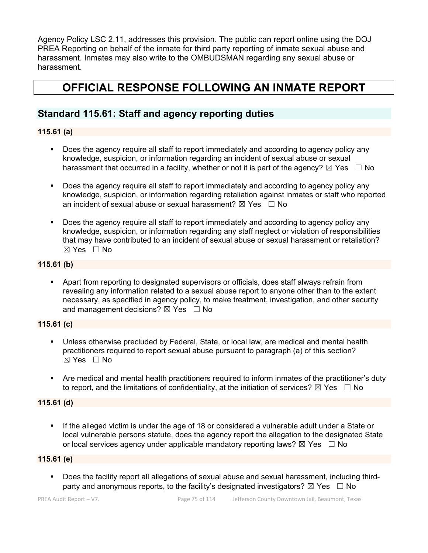Agency Policy LSC 2.11, addresses this provision. The public can report online using the DOJ PREA Reporting on behalf of the inmate for third party reporting of inmate sexual abuse and harassment. Inmates may also write to the OMBUDSMAN regarding any sexual abuse or harassment.

# **OFFICIAL RESPONSE FOLLOWING AN INMATE REPORT**

# **Standard 115.61: Staff and agency reporting duties**

#### **115.61 (a)**

- Does the agency require all staff to report immediately and according to agency policy any knowledge, suspicion, or information regarding an incident of sexual abuse or sexual harassment that occurred in a facility, whether or not it is part of the agency?  $\boxtimes$  Yes  $\Box$  No
- Does the agency require all staff to report immediately and according to agency policy any knowledge, suspicion, or information regarding retaliation against inmates or staff who reported an incident of sexual abuse or sexual harassment?  $\boxtimes$  Yes  $\Box$  No
- Does the agency require all staff to report immediately and according to agency policy any knowledge, suspicion, or information regarding any staff neglect or violation of responsibilities that may have contributed to an incident of sexual abuse or sexual harassment or retaliation? ☒ Yes ☐ No

#### **115.61 (b)**

**• Apart from reporting to designated supervisors or officials, does staff always refrain from** revealing any information related to a sexual abuse report to anyone other than to the extent necessary, as specified in agency policy, to make treatment, investigation, and other security and management decisions?  $\boxtimes$  Yes  $\Box$  No

# **115.61 (c)**

- Unless otherwise precluded by Federal, State, or local law, are medical and mental health practitioners required to report sexual abuse pursuant to paragraph (a) of this section?  $\boxtimes$  Yes  $\Box$  No
- Are medical and mental health practitioners required to inform inmates of the practitioner's duty to report, and the limitations of confidentiality, at the initiation of services?  $\boxtimes$  Yes  $\Box$  No

#### **115.61 (d)**

 If the alleged victim is under the age of 18 or considered a vulnerable adult under a State or local vulnerable persons statute, does the agency report the allegation to the designated State or local services agency under applicable mandatory reporting laws?  $\boxtimes$  Yes  $\Box$  No

#### **115.61 (e)**

 Does the facility report all allegations of sexual abuse and sexual harassment, including thirdparty and anonymous reports, to the facility's designated investigators?  $\boxtimes$  Yes  $\Box$  No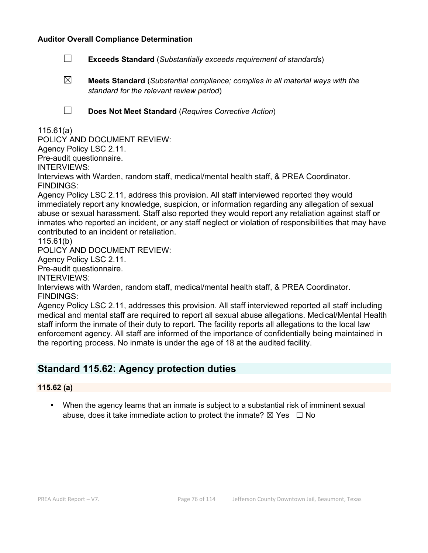- ☐ **Exceeds Standard** (*Substantially exceeds requirement of standards*)
- ☒ **Meets Standard** (*Substantial compliance; complies in all material ways with the standard for the relevant review period*)
- 
- ☐ **Does Not Meet Standard** (*Requires Corrective Action*)

#### 115.61(a)

POLICY AND DOCUMENT REVIEW:

Agency Policy LSC 2.11.

Pre-audit questionnaire.

INTERVIEWS:

Interviews with Warden, random staff, medical/mental health staff, & PREA Coordinator. FINDINGS:

Agency Policy LSC 2.11, address this provision. All staff interviewed reported they would immediately report any knowledge, suspicion, or information regarding any allegation of sexual abuse or sexual harassment. Staff also reported they would report any retaliation against staff or inmates who reported an incident, or any staff neglect or violation of responsibilities that may have contributed to an incident or retaliation.

115.61(b)

POLICY AND DOCUMENT REVIEW:

Agency Policy LSC 2.11.

Pre-audit questionnaire.

INTERVIEWS:

Interviews with Warden, random staff, medical/mental health staff, & PREA Coordinator. FINDINGS:

Agency Policy LSC 2.11, addresses this provision. All staff interviewed reported all staff including medical and mental staff are required to report all sexual abuse allegations. Medical/Mental Health staff inform the inmate of their duty to report. The facility reports all allegations to the local law enforcement agency. All staff are informed of the importance of confidentially being maintained in the reporting process. No inmate is under the age of 18 at the audited facility.

# **Standard 115.62: Agency protection duties**

#### **115.62 (a)**

 When the agency learns that an inmate is subject to a substantial risk of imminent sexual abuse, does it take immediate action to protect the inmate?  $\boxtimes$  Yes  $\Box$  No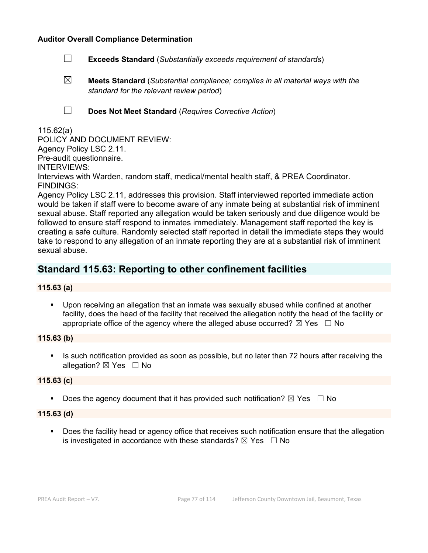- ☐ **Exceeds Standard** (*Substantially exceeds requirement of standards*)
- ☒ **Meets Standard** (*Substantial compliance; complies in all material ways with the standard for the relevant review period*)
- 
- ☐ **Does Not Meet Standard** (*Requires Corrective Action*)

#### 115.62(a)

POLICY AND DOCUMENT REVIEW: Agency Policy LSC 2.11. Pre-audit questionnaire. INTERVIEWS: Interviews with Warden, random staff, medical/mental health staff, & PREA Coordinator. FINDINGS:

Agency Policy LSC 2.11, addresses this provision. Staff interviewed reported immediate action would be taken if staff were to become aware of any inmate being at substantial risk of imminent sexual abuse. Staff reported any allegation would be taken seriously and due diligence would be followed to ensure staff respond to inmates immediately. Management staff reported the key is creating a safe culture. Randomly selected staff reported in detail the immediate steps they would take to respond to any allegation of an inmate reporting they are at a substantial risk of imminent sexual abuse.

# **Standard 115.63: Reporting to other confinement facilities**

#### **115.63 (a)**

 Upon receiving an allegation that an inmate was sexually abused while confined at another facility, does the head of the facility that received the allegation notify the head of the facility or appropriate office of the agency where the alleged abuse occurred?  $\boxtimes$  Yes  $\Box$  No

### **115.63 (b)**

 Is such notification provided as soon as possible, but no later than 72 hours after receiving the allegation?  $\boxtimes$  Yes  $\Box$  No

#### **115.63 (c)**

Does the agency document that it has provided such notification?  $\boxtimes$  Yes  $\Box$  No

#### **115.63 (d)**

**Does the facility head or agency office that receives such notification ensure that the allegation** is investigated in accordance with these standards?  $\boxtimes$  Yes  $\Box$  No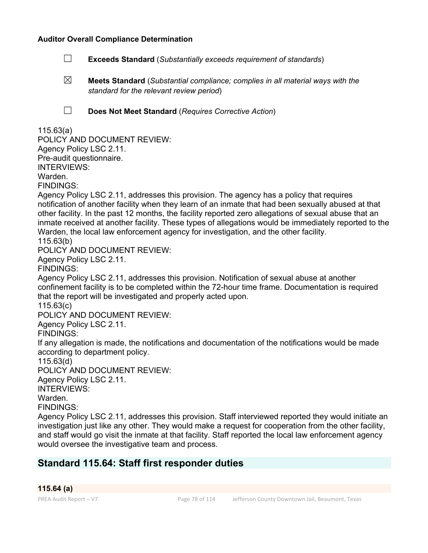- ☐ **Exceeds Standard** (*Substantially exceeds requirement of standards*)
- ☒ **Meets Standard** (*Substantial compliance; complies in all material ways with the standard for the relevant review period*)
- 
- ☐ **Does Not Meet Standard** (*Requires Corrective Action*)

### 115.63(a)

POLICY AND DOCUMENT REVIEW: Agency Policy LSC 2.11. Pre-audit questionnaire. INTERVIEWS: Warden. FINDINGS:

Agency Policy LSC 2.11, addresses this provision. The agency has a policy that requires notification of another facility when they learn of an inmate that had been sexually abused at that other facility. In the past 12 months, the facility reported zero allegations of sexual abuse that an inmate received at another facility. These types of allegations would be immediately reported to the Warden, the local law enforcement agency for investigation, and the other facility. 115.63(b)

POLICY AND DOCUMENT REVIEW:

Agency Policy LSC 2.11.

FINDINGS:

Agency Policy LSC 2.11, addresses this provision. Notification of sexual abuse at another confinement facility is to be completed within the 72-hour time frame. Documentation is required that the report will be investigated and properly acted upon.

115.63(c)

POLICY AND DOCUMENT REVIEW:

Agency Policy LSC 2.11.

FINDINGS:

If any allegation is made, the notifications and documentation of the notifications would be made according to department policy.

115.63(d)

POLICY AND DOCUMENT REVIEW:

Agency Policy LSC 2.11.

INTERVIEWS:

Warden.

FINDINGS:

Agency Policy LSC 2.11, addresses this provision. Staff interviewed reported they would initiate an investigation just like any other. They would make a request for cooperation from the other facility, and staff would go visit the inmate at that facility. Staff reported the local law enforcement agency would oversee the investigative team and process.

# **Standard 115.64: Staff first responder duties**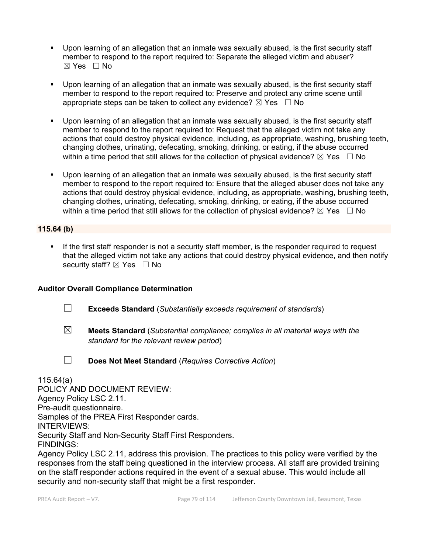- Upon learning of an allegation that an inmate was sexually abused, is the first security staff member to respond to the report required to: Separate the alleged victim and abuser?  $\boxtimes$  Yes  $\Box$  No
- Upon learning of an allegation that an inmate was sexually abused, is the first security staff member to respond to the report required to: Preserve and protect any crime scene until appropriate steps can be taken to collect any evidence?  $\boxtimes$  Yes  $\Box$  No
- Upon learning of an allegation that an inmate was sexually abused, is the first security staff member to respond to the report required to: Request that the alleged victim not take any actions that could destroy physical evidence, including, as appropriate, washing, brushing teeth, changing clothes, urinating, defecating, smoking, drinking, or eating, if the abuse occurred within a time period that still allows for the collection of physical evidence?  $\boxtimes$  Yes  $\;\;\Box$  No
- Upon learning of an allegation that an inmate was sexually abused, is the first security staff member to respond to the report required to: Ensure that the alleged abuser does not take any actions that could destroy physical evidence, including, as appropriate, washing, brushing teeth, changing clothes, urinating, defecating, smoking, drinking, or eating, if the abuse occurred within a time period that still allows for the collection of physical evidence?  $\boxtimes$  Yes  $\Box$  No

#### **115.64 (b)**

If the first staff responder is not a security staff member, is the responder required to request that the alleged victim not take any actions that could destroy physical evidence, and then notify security staff? ⊠ Yes □ No

#### **Auditor Overall Compliance Determination**

- ☐ **Exceeds Standard** (*Substantially exceeds requirement of standards*)
- ☒ **Meets Standard** (*Substantial compliance; complies in all material ways with the standard for the relevant review period*)
- 
- ☐ **Does Not Meet Standard** (*Requires Corrective Action*)

115.64(a) POLICY AND DOCUMENT REVIEW: Agency Policy LSC 2.11. Pre-audit questionnaire. Samples of the PREA First Responder cards. INTERVIEWS: Security Staff and Non-Security Staff First Responders. FINDINGS: Agency Policy LSC 2.11, address this provision. The practices to this policy were verified by the

responses from the staff being questioned in the interview process. All staff are provided training on the staff responder actions required in the event of a sexual abuse. This would include all security and non-security staff that might be a first responder.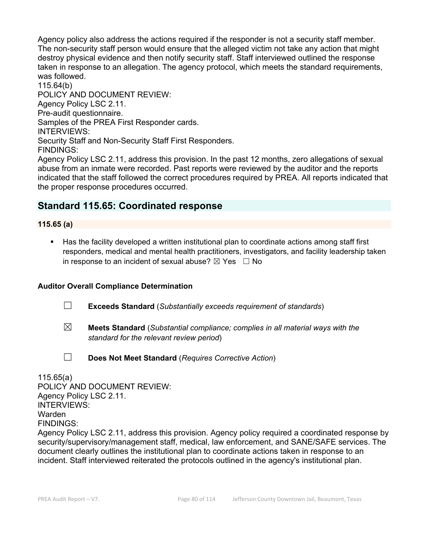Agency policy also address the actions required if the responder is not a security staff member. The non-security staff person would ensure that the alleged victim not take any action that might destroy physical evidence and then notify security staff. Staff interviewed outlined the response taken in response to an allegation. The agency protocol, which meets the standard requirements, was followed.

115.64(b) POLICY AND DOCUMENT REVIEW: Agency Policy LSC 2.11. Pre-audit questionnaire. Samples of the PREA First Responder cards. INTERVIEWS: Security Staff and Non-Security Staff First Responders. FINDINGS:

Agency Policy LSC 2.11, address this provision. In the past 12 months, zero allegations of sexual abuse from an inmate were recorded. Past reports were reviewed by the auditor and the reports indicated that the staff followed the correct procedures required by PREA. All reports indicated that the proper response procedures occurred.

# **Standard 115.65: Coordinated response**

#### **115.65 (a)**

 Has the facility developed a written institutional plan to coordinate actions among staff first responders, medical and mental health practitioners, investigators, and facility leadership taken in response to an incident of sexual abuse?  $\boxtimes$  Yes  $\Box$  No

#### **Auditor Overall Compliance Determination**

- ☐ **Exceeds Standard** (*Substantially exceeds requirement of standards*)
- ☒ **Meets Standard** (*Substantial compliance; complies in all material ways with the standard for the relevant review period*)
- 
- ☐ **Does Not Meet Standard** (*Requires Corrective Action*)

115.65(a) POLICY AND DOCUMENT REVIEW: Agency Policy LSC 2.11. INTERVIEWS: Warden FINDINGS: Agency Policy LSC 2.11, address this provision. Agency policy required a coordinated response by security/supervisory/management staff, medical, law enforcement, and SANE/SAFE services. The document clearly outlines the institutional plan to coordinate actions taken in response to an incident. Staff interviewed reiterated the protocols outlined in the agency's institutional plan.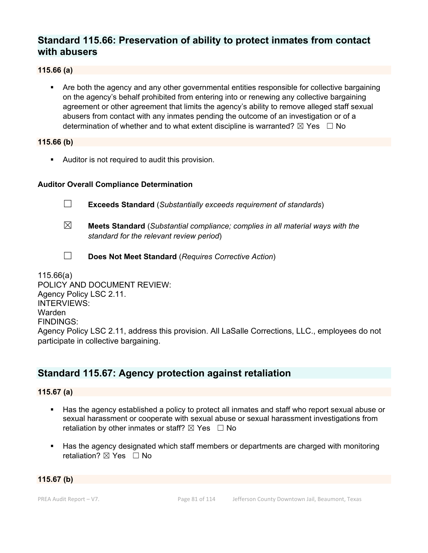# **Standard 115.66: Preservation of ability to protect inmates from contact with abusers**

#### **115.66 (a)**

 Are both the agency and any other governmental entities responsible for collective bargaining on the agency's behalf prohibited from entering into or renewing any collective bargaining agreement or other agreement that limits the agency's ability to remove alleged staff sexual abusers from contact with any inmates pending the outcome of an investigation or of a determination of whether and to what extent discipline is warranted?  $\boxtimes$  Yes  $\Box$  No

#### **115.66 (b)**

Auditor is not required to audit this provision.

#### **Auditor Overall Compliance Determination**

- ☐ **Exceeds Standard** (*Substantially exceeds requirement of standards*)
- ☒ **Meets Standard** (*Substantial compliance; complies in all material ways with the standard for the relevant review period*)
- ☐ **Does Not Meet Standard** (*Requires Corrective Action*)

115.66(a) POLICY AND DOCUMENT REVIEW: Agency Policy LSC 2.11. INTERVIEWS: Warden FINDINGS: Agency Policy LSC 2.11, address this provision. All LaSalle Corrections, LLC., employees do not participate in collective bargaining.

# **Standard 115.67: Agency protection against retaliation**

#### **115.67 (a)**

- Has the agency established a policy to protect all inmates and staff who report sexual abuse or sexual harassment or cooperate with sexual abuse or sexual harassment investigations from retaliation by other inmates or staff?  $\boxtimes$  Yes  $\Box$  No
- Has the agency designated which staff members or departments are charged with monitoring retaliation? **⊠** Yes □ No

#### **115.67 (b)**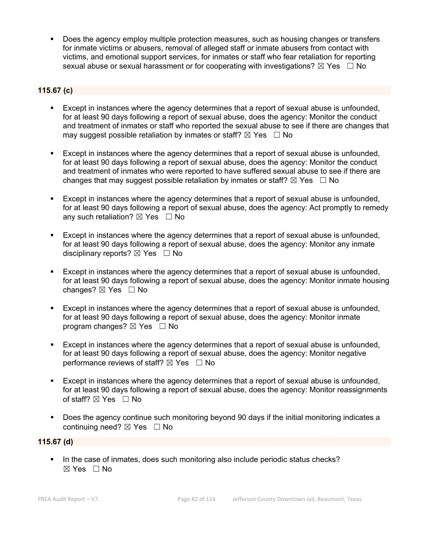Does the agency employ multiple protection measures, such as housing changes or transfers for inmate victims or abusers, removal of alleged staff or inmate abusers from contact with victims, and emotional support services, for inmates or staff who fear retaliation for reporting sexual abuse or sexual harassment or for cooperating with investigations?  $\boxtimes$  Yes  $\Box$  No

# **115.67 (c)**

- Except in instances where the agency determines that a report of sexual abuse is unfounded, for at least 90 days following a report of sexual abuse, does the agency: Monitor the conduct and treatment of inmates or staff who reported the sexual abuse to see if there are changes that may suggest possible retaliation by inmates or staff?  $\boxtimes$  Yes  $\Box$  No
- Except in instances where the agency determines that a report of sexual abuse is unfounded, for at least 90 days following a report of sexual abuse, does the agency: Monitor the conduct and treatment of inmates who were reported to have suffered sexual abuse to see if there are changes that may suggest possible retaliation by inmates or staff?  $\boxtimes$  Yes  $\Box$  No
- Except in instances where the agency determines that a report of sexual abuse is unfounded, for at least 90 days following a report of sexual abuse, does the agency: Act promptly to remedy any such retaliation?  $\boxtimes$  Yes  $\Box$  No
- Except in instances where the agency determines that a report of sexual abuse is unfounded, for at least 90 days following a report of sexual abuse, does the agency: Monitor any inmate disciplinary reports?  $\boxtimes$  Yes  $\Box$  No
- Except in instances where the agency determines that a report of sexual abuse is unfounded, for at least 90 days following a report of sexual abuse, does the agency: Monitor inmate housing changes?  $\boxtimes$  Yes  $\Box$  No
- Except in instances where the agency determines that a report of sexual abuse is unfounded, for at least 90 days following a report of sexual abuse, does the agency: Monitor inmate program changes?  $\boxtimes$  Yes  $\Box$  No
- Except in instances where the agency determines that a report of sexual abuse is unfounded, for at least 90 days following a report of sexual abuse, does the agency: Monitor negative performance reviews of staff?  $\boxtimes$  Yes  $\Box$  No
- Except in instances where the agency determines that a report of sexual abuse is unfounded, for at least 90 days following a report of sexual abuse, does the agency: Monitor reassignments of staff? ⊠ Yes □ No
- Does the agency continue such monitoring beyond 90 days if the initial monitoring indicates a continuing need? ⊠ Yes □ No

### **115.67 (d)**

In the case of inmates, does such monitoring also include periodic status checks? ☒ Yes ☐ No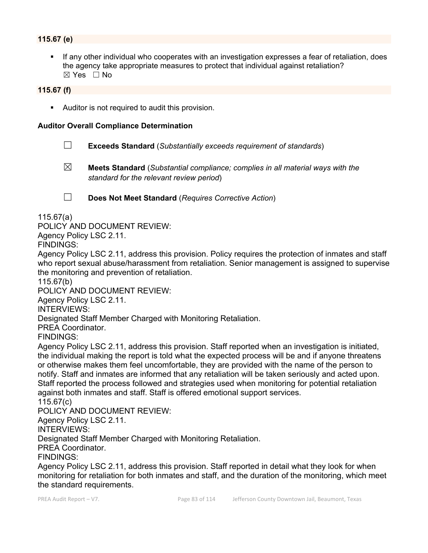### **115.67 (e)**

 If any other individual who cooperates with an investigation expresses a fear of retaliation, does the agency take appropriate measures to protect that individual against retaliation?  $\boxtimes$  Yes  $\Box$  No

#### **115.67 (f)**

Auditor is not required to audit this provision.

#### **Auditor Overall Compliance Determination**

- ☐ **Exceeds Standard** (*Substantially exceeds requirement of standards*)
- ☒ **Meets Standard** (*Substantial compliance; complies in all material ways with the standard for the relevant review period*)
- 
- ☐ **Does Not Meet Standard** (*Requires Corrective Action*)

115.67(a)

POLICY AND DOCUMENT REVIEW:

Agency Policy LSC 2.11.

FINDINGS:

Agency Policy LSC 2.11, address this provision. Policy requires the protection of inmates and staff who report sexual abuse/harassment from retaliation. Senior management is assigned to supervise the monitoring and prevention of retaliation.

115.67(b)

POLICY AND DOCUMENT REVIEW:

Agency Policy LSC 2.11.

INTERVIEWS:

Designated Staff Member Charged with Monitoring Retaliation.

PREA Coordinator.

FINDINGS:

Agency Policy LSC 2.11, address this provision. Staff reported when an investigation is initiated, the individual making the report is told what the expected process will be and if anyone threatens or otherwise makes them feel uncomfortable, they are provided with the name of the person to notify. Staff and inmates are informed that any retaliation will be taken seriously and acted upon. Staff reported the process followed and strategies used when monitoring for potential retaliation against both inmates and staff. Staff is offered emotional support services.

#### 115.67(c)

POLICY AND DOCUMENT REVIEW:

Agency Policy LSC 2.11.

INTERVIEWS:

Designated Staff Member Charged with Monitoring Retaliation.

PREA Coordinator.

FINDINGS:

Agency Policy LSC 2.11, address this provision. Staff reported in detail what they look for when monitoring for retaliation for both inmates and staff, and the duration of the monitoring, which meet the standard requirements.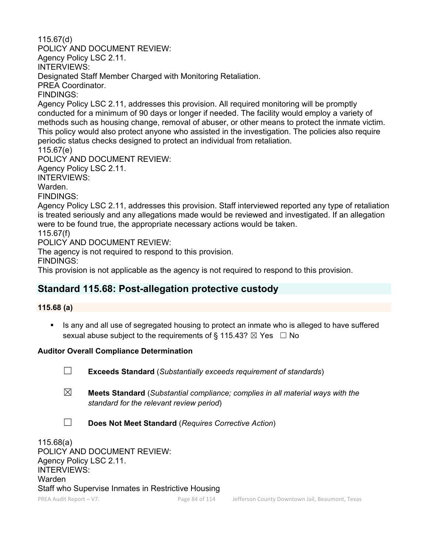115.67(d) POLICY AND DOCUMENT REVIEW: Agency Policy LSC 2.11. INTERVIEWS: Designated Staff Member Charged with Monitoring Retaliation. PREA Coordinator. FINDINGS: Agency Policy LSC 2.11, addresses this provision. All required monitoring will be promptly conducted for a minimum of 90 days or longer if needed. The facility would employ a variety of methods such as housing change, removal of abuser, or other means to protect the inmate victim. This policy would also protect anyone who assisted in the investigation. The policies also require periodic status checks designed to protect an individual from retaliation. 115.67(e) POLICY AND DOCUMENT REVIEW: Agency Policy LSC 2.11. INTERVIEWS: Warden. FINDINGS: Agency Policy LSC 2.11, addresses this provision. Staff interviewed reported any type of retaliation is treated seriously and any allegations made would be reviewed and investigated. If an allegation were to be found true, the appropriate necessary actions would be taken. 115.67(f) POLICY AND DOCUMENT REVIEW: The agency is not required to respond to this provision. FINDINGS:

This provision is not applicable as the agency is not required to respond to this provision.

# **Standard 115.68: Post-allegation protective custody**

# **115.68 (a)**

Is any and all use of segregated housing to protect an inmate who is alleged to have suffered sexual abuse subject to the requirements of § 115.43?  $\boxtimes$  Yes  $\Box$  No

# **Auditor Overall Compliance Determination**

- ☐ **Exceeds Standard** (*Substantially exceeds requirement of standards*)
- ☒ **Meets Standard** (*Substantial compliance; complies in all material ways with the standard for the relevant review period*)
- ☐ **Does Not Meet Standard** (*Requires Corrective Action*)

115.68(a) POLICY AND DOCUMENT REVIEW: Agency Policy LSC 2.11. INTERVIEWS: Warden Staff who Supervise Inmates in Restrictive Housing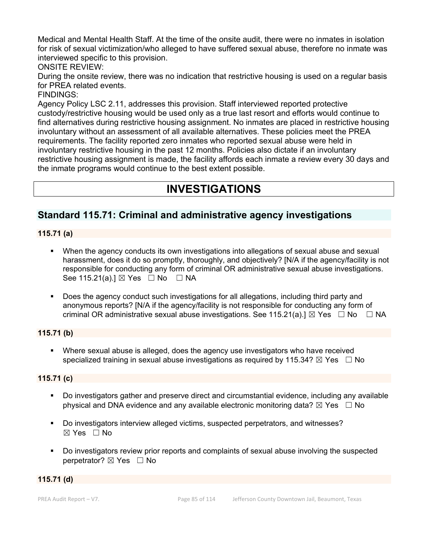Medical and Mental Health Staff. At the time of the onsite audit, there were no inmates in isolation for risk of sexual victimization/who alleged to have suffered sexual abuse, therefore no inmate was interviewed specific to this provision.

ONSITE REVIEW:

During the onsite review, there was no indication that restrictive housing is used on a regular basis for PREA related events.

FINDINGS:

Agency Policy LSC 2.11, addresses this provision. Staff interviewed reported protective custody/restrictive housing would be used only as a true last resort and efforts would continue to find alternatives during restrictive housing assignment. No inmates are placed in restrictive housing involuntary without an assessment of all available alternatives. These policies meet the PREA requirements. The facility reported zero inmates who reported sexual abuse were held in involuntary restrictive housing in the past 12 months. Policies also dictate if an involuntary restrictive housing assignment is made, the facility affords each inmate a review every 30 days and the inmate programs would continue to the best extent possible.

# **INVESTIGATIONS**

# **Standard 115.71: Criminal and administrative agency investigations**

### **115.71 (a)**

- When the agency conducts its own investigations into allegations of sexual abuse and sexual harassment, does it do so promptly, thoroughly, and objectively? [N/A if the agency/facility is not responsible for conducting any form of criminal OR administrative sexual abuse investigations. See 115.21(a).] ⊠ Yes □ No □ NA
- Does the agency conduct such investigations for all allegations, including third party and anonymous reports? [N/A if the agency/facility is not responsible for conducting any form of criminal OR administrative sexual abuse investigations. See 115.21(a).]  $\boxtimes$  Yes  $\Box$  No  $\Box$  NA

# **115.71 (b)**

 Where sexual abuse is alleged, does the agency use investigators who have received specialized training in sexual abuse investigations as required by 115.34?  $\boxtimes$  Yes  $\Box$  No

# **115.71 (c)**

- Do investigators gather and preserve direct and circumstantial evidence, including any available physical and DNA evidence and any available electronic monitoring data?  $\boxtimes$  Yes  $\Box$  No
- Do investigators interview alleged victims, suspected perpetrators, and witnesses? ☒ Yes ☐ No
- Do investigators review prior reports and complaints of sexual abuse involving the suspected perpetrator? **⊠** Yes □ No

#### **115.71 (d)**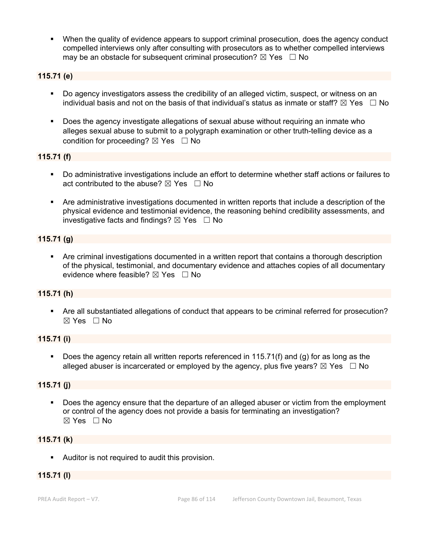When the quality of evidence appears to support criminal prosecution, does the agency conduct compelled interviews only after consulting with prosecutors as to whether compelled interviews may be an obstacle for subsequent criminal prosecution?  $\boxtimes$  Yes  $\Box$  No

#### **115.71 (e)**

- Do agency investigators assess the credibility of an alleged victim, suspect, or witness on an individual basis and not on the basis of that individual's status as inmate or staff?  $\boxtimes$  Yes  $\Box$  No
- Does the agency investigate allegations of sexual abuse without requiring an inmate who alleges sexual abuse to submit to a polygraph examination or other truth-telling device as a condition for proceeding?  $\boxtimes$  Yes  $\Box$  No

#### **115.71 (f)**

- Do administrative investigations include an effort to determine whether staff actions or failures to act contributed to the abuse?  $\boxtimes$  Yes  $\Box$  No
- Are administrative investigations documented in written reports that include a description of the physical evidence and testimonial evidence, the reasoning behind credibility assessments, and investigative facts and findings?  $\boxtimes$  Yes  $\Box$  No

#### **115.71 (g)**

 Are criminal investigations documented in a written report that contains a thorough description of the physical, testimonial, and documentary evidence and attaches copies of all documentary evidence where feasible?  $\boxtimes$  Yes  $\Box$  No

#### **115.71 (h)**

 Are all substantiated allegations of conduct that appears to be criminal referred for prosecution?  $\boxtimes$  Yes  $\Box$  No

#### **115.71 (i)**

Does the agency retain all written reports referenced in 115.71(f) and (g) for as long as the alleged abuser is incarcerated or employed by the agency, plus five years?  $\boxtimes$  Yes  $\Box$  No

#### **115.71 (j)**

 Does the agency ensure that the departure of an alleged abuser or victim from the employment or control of the agency does not provide a basis for terminating an investigation?  $\boxtimes$  Yes  $\Box$  No

#### **115.71 (k)**

Auditor is not required to audit this provision.

#### **115.71 (l)**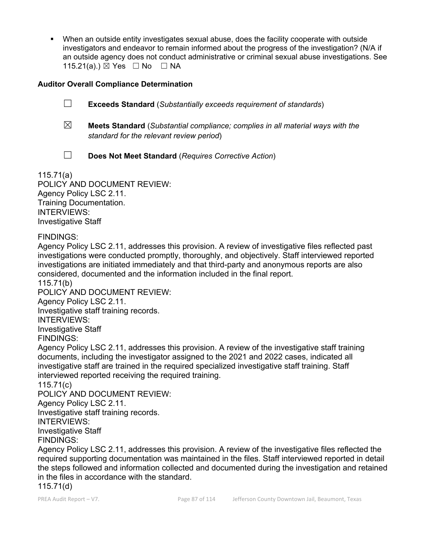When an outside entity investigates sexual abuse, does the facility cooperate with outside investigators and endeavor to remain informed about the progress of the investigation? (N/A if an outside agency does not conduct administrative or criminal sexual abuse investigations. See 115.21(a).) ⊠ Yes □ No □ NA

### **Auditor Overall Compliance Determination**

☐ **Exceeds Standard** (*Substantially exceeds requirement of standards*)

- ☒ **Meets Standard** (*Substantial compliance; complies in all material ways with the standard for the relevant review period*)
- ☐ **Does Not Meet Standard** (*Requires Corrective Action*)

115.71(a) POLICY AND DOCUMENT REVIEW: Agency Policy LSC 2.11. Training Documentation. INTERVIEWS: Investigative Staff

FINDINGS:

Agency Policy LSC 2.11, addresses this provision. A review of investigative files reflected past investigations were conducted promptly, thoroughly, and objectively. Staff interviewed reported investigations are initiated immediately and that third-party and anonymous reports are also considered, documented and the information included in the final report.

115.71(b) POLICY AND DOCUMENT REVIEW:

Agency Policy LSC 2.11.

Investigative staff training records.

INTERVIEWS:

Investigative Staff

FINDINGS:

Agency Policy LSC 2.11, addresses this provision. A review of the investigative staff training documents, including the investigator assigned to the 2021 and 2022 cases, indicated all investigative staff are trained in the required specialized investigative staff training. Staff interviewed reported receiving the required training.

115.71(c)

POLICY AND DOCUMENT REVIEW: Agency Policy LSC 2.11. Investigative staff training records. INTERVIEWS: Investigative Staff FINDINGS:

Agency Policy LSC 2.11, addresses this provision. A review of the investigative files reflected the required supporting documentation was maintained in the files. Staff interviewed reported in detail the steps followed and information collected and documented during the investigation and retained in the files in accordance with the standard. 115.71(d)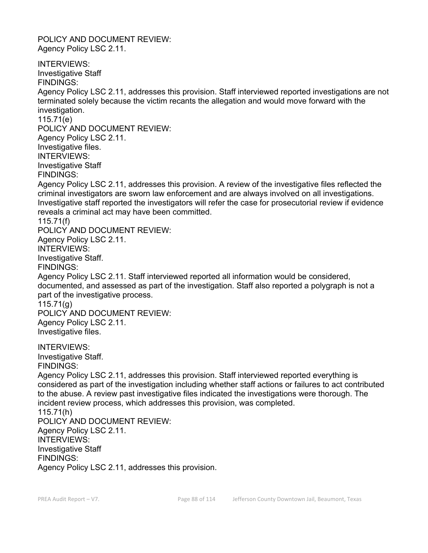POLICY AND DOCUMENT REVIEW: Agency Policy LSC 2.11.

INTERVIEWS: Investigative Staff FINDINGS: Agency Policy LSC 2.11, addresses this provision. Staff interviewed reported investigations are not terminated solely because the victim recants the allegation and would move forward with the investigation. 115.71(e) POLICY AND DOCUMENT REVIEW: Agency Policy LSC 2.11. Investigative files. INTERVIEWS: Investigative Staff FINDINGS: Agency Policy LSC 2.11, addresses this provision. A review of the investigative files reflected the criminal investigators are sworn law enforcement and are always involved on all investigations. Investigative staff reported the investigators will refer the case for prosecutorial review if evidence reveals a criminal act may have been committed. 115.71(f) POLICY AND DOCUMENT REVIEW: Agency Policy LSC 2.11. INTERVIEWS: Investigative Staff. FINDINGS: Agency Policy LSC 2.11. Staff interviewed reported all information would be considered, documented, and assessed as part of the investigation. Staff also reported a polygraph is not a part of the investigative process. 115.71(g) POLICY AND DOCUMENT REVIEW: Agency Policy LSC 2.11. Investigative files. INTERVIEWS: Investigative Staff. FINDINGS: Agency Policy LSC 2.11, addresses this provision. Staff interviewed reported everything is considered as part of the investigation including whether staff actions or failures to act contributed to the abuse. A review past investigative files indicated the investigations were thorough. The incident review process, which addresses this provision, was completed. 115.71(h) POLICY AND DOCUMENT REVIEW: Agency Policy LSC 2.11. INTERVIEWS: Investigative Staff FINDINGS: Agency Policy LSC 2.11, addresses this provision.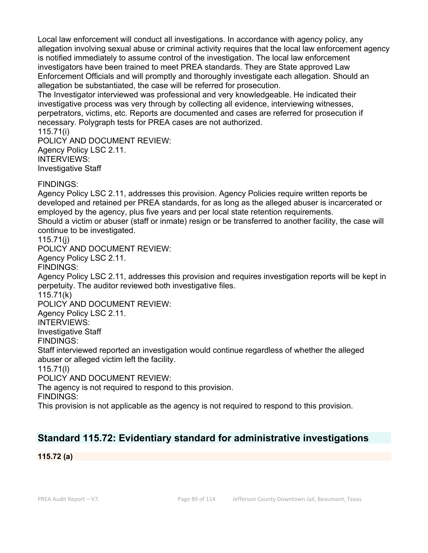Local law enforcement will conduct all investigations. In accordance with agency policy, any allegation involving sexual abuse or criminal activity requires that the local law enforcement agency is notified immediately to assume control of the investigation. The local law enforcement investigators have been trained to meet PREA standards. They are State approved Law Enforcement Officials and will promptly and thoroughly investigate each allegation. Should an allegation be substantiated, the case will be referred for prosecution.

The Investigator interviewed was professional and very knowledgeable. He indicated their investigative process was very through by collecting all evidence, interviewing witnesses, perpetrators, victims, etc. Reports are documented and cases are referred for prosecution if necessary. Polygraph tests for PREA cases are not authorized.

115.71(i) POLICY AND DOCUMENT REVIEW: Agency Policy LSC 2.11. INTERVIEWS: Investigative Staff

### FINDINGS:

Agency Policy LSC 2.11, addresses this provision. Agency Policies require written reports be developed and retained per PREA standards, for as long as the alleged abuser is incarcerated or employed by the agency, plus five years and per local state retention requirements. Should a victim or abuser (staff or inmate) resign or be transferred to another facility, the case will continue to be investigated.

#### 115.71(j)

POLICY AND DOCUMENT REVIEW:

Agency Policy LSC 2.11.

FINDINGS:

Agency Policy LSC 2.11, addresses this provision and requires investigation reports will be kept in perpetuity. The auditor reviewed both investigative files.

115.71(k)

POLICY AND DOCUMENT REVIEW:

Agency Policy LSC 2.11.

INTERVIEWS:

Investigative Staff

FINDINGS:

Staff interviewed reported an investigation would continue regardless of whether the alleged abuser or alleged victim left the facility.

115.71(l)

POLICY AND DOCUMENT REVIEW:

The agency is not required to respond to this provision.

FINDINGS:

This provision is not applicable as the agency is not required to respond to this provision.

# **Standard 115.72: Evidentiary standard for administrative investigations**

**115.72 (a)**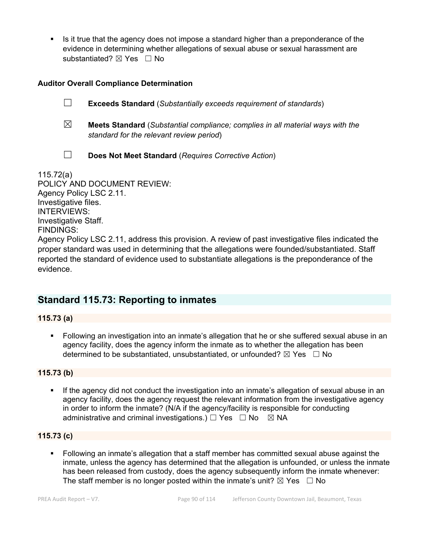Is it true that the agency does not impose a standard higher than a preponderance of the evidence in determining whether allegations of sexual abuse or sexual harassment are substantiated? ⊠ Yes □ No

### **Auditor Overall Compliance Determination**

☐ **Exceeds Standard** (*Substantially exceeds requirement of standards*)

☒ **Meets Standard** (*Substantial compliance; complies in all material ways with the standard for the relevant review period*)

☐ **Does Not Meet Standard** (*Requires Corrective Action*)

115.72(a) POLICY AND DOCUMENT REVIEW: Agency Policy LSC 2.11. Investigative files. INTERVIEWS: Investigative Staff. FINDINGS: Agency Policy LSC 2.11, address this provision. A review of past investigative files indicated the proper standard was used in determining that the allegations were founded/substantiated. Staff reported the standard of evidence used to substantiate allegations is the preponderance of the evidence.

# **Standard 115.73: Reporting to inmates**

### **115.73 (a)**

 Following an investigation into an inmate's allegation that he or she suffered sexual abuse in an agency facility, does the agency inform the inmate as to whether the allegation has been determined to be substantiated, unsubstantiated, or unfounded?  $\boxtimes$  Yes  $\Box$  No

# **115.73 (b)**

 If the agency did not conduct the investigation into an inmate's allegation of sexual abuse in an agency facility, does the agency request the relevant information from the investigative agency in order to inform the inmate? (N/A if the agency/facility is responsible for conducting administrative and criminal investigations.)  $\Box$  Yes  $\Box$  No  $\boxtimes$  NA

#### **115.73 (c)**

 Following an inmate's allegation that a staff member has committed sexual abuse against the inmate, unless the agency has determined that the allegation is unfounded, or unless the inmate has been released from custody, does the agency subsequently inform the inmate whenever: The staff member is no longer posted within the inmate's unit?  $\boxtimes$  Yes  $\Box$  No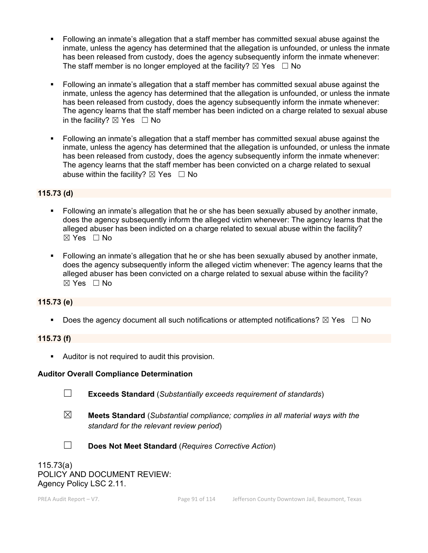- Following an inmate's allegation that a staff member has committed sexual abuse against the inmate, unless the agency has determined that the allegation is unfounded, or unless the inmate has been released from custody, does the agency subsequently inform the inmate whenever: The staff member is no longer employed at the facility?  $\boxtimes$  Yes  $\Box$  No
- Following an inmate's allegation that a staff member has committed sexual abuse against the inmate, unless the agency has determined that the allegation is unfounded, or unless the inmate has been released from custody, does the agency subsequently inform the inmate whenever: The agency learns that the staff member has been indicted on a charge related to sexual abuse in the facility?  $\boxtimes$  Yes  $\Box$  No
- Following an inmate's allegation that a staff member has committed sexual abuse against the inmate, unless the agency has determined that the allegation is unfounded, or unless the inmate has been released from custody, does the agency subsequently inform the inmate whenever: The agency learns that the staff member has been convicted on a charge related to sexual abuse within the facility?  $\boxtimes$  Yes  $\Box$  No

#### **115.73 (d)**

- Following an inmate's allegation that he or she has been sexually abused by another inmate, does the agency subsequently inform the alleged victim whenever: The agency learns that the alleged abuser has been indicted on a charge related to sexual abuse within the facility?  $\boxtimes$  Yes  $\Box$  No
- Following an inmate's allegation that he or she has been sexually abused by another inmate, does the agency subsequently inform the alleged victim whenever: The agency learns that the alleged abuser has been convicted on a charge related to sexual abuse within the facility?  $\boxtimes$  Yes  $\Box$  No

#### **115.73 (e)**

Does the agency document all such notifications or attempted notifications?  $\boxtimes$  Yes  $\Box$  No

#### **115.73 (f)**

Auditor is not required to audit this provision.

#### **Auditor Overall Compliance Determination**

- 
- ☐ **Exceeds Standard** (*Substantially exceeds requirement of standards*)
- ☒ **Meets Standard** (*Substantial compliance; complies in all material ways with the standard for the relevant review period*)
- 
- ☐ **Does Not Meet Standard** (*Requires Corrective Action*)

115.73(a) POLICY AND DOCUMENT REVIEW: Agency Policy LSC 2.11.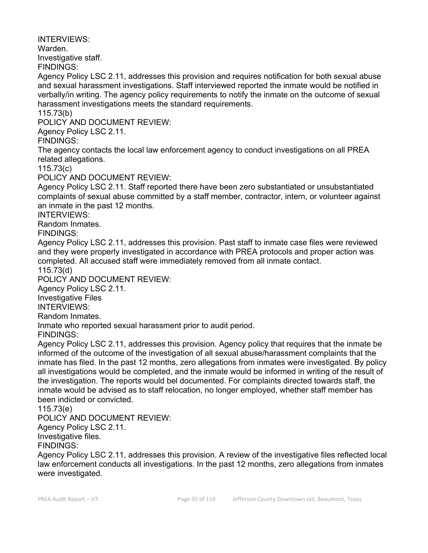INTERVIEWS:

Warden.

Investigative staff.

FINDINGS:

Agency Policy LSC 2.11, addresses this provision and requires notification for both sexual abuse and sexual harassment investigations. Staff interviewed reported the inmate would be notified in verbally/in writing. The agency policy requirements to notify the inmate on the outcome of sexual harassment investigations meets the standard requirements.

115.73(b)

POLICY AND DOCUMENT REVIEW:

Agency Policy LSC 2.11.

FINDINGS:

The agency contacts the local law enforcement agency to conduct investigations on all PREA related allegations.

115.73(c)

POLICY AND DOCUMENT REVIEW:

Agency Policy LSC 2.11. Staff reported there have been zero substantiated or unsubstantiated complaints of sexual abuse committed by a staff member, contractor, intern, or volunteer against an inmate in the past 12 months.

INTERVIEWS:

Random Inmates.

FINDINGS:

Agency Policy LSC 2.11, addresses this provision. Past staff to inmate case files were reviewed and they were properly investigated in accordance with PREA protocols and proper action was completed. All accused staff were immediately removed from all inmate contact.

115.73(d)

POLICY AND DOCUMENT REVIEW:

Agency Policy LSC 2.11.

Investigative Files

INTERVIEWS:

Random Inmates.

Inmate who reported sexual harassment prior to audit period.

FINDINGS:

Agency Policy LSC 2.11, addresses this provision. Agency policy that requires that the inmate be informed of the outcome of the investigation of all sexual abuse/harassment complaints that the inmate has filed. In the past 12 months, zero allegations from inmates were investigated. By policy all investigations would be completed, and the inmate would be informed in writing of the result of the investigation. The reports would bel documented. For complaints directed towards staff, the inmate would be advised as to staff relocation, no longer employed, whether staff member has been indicted or convicted.

115.73(e)

POLICY AND DOCUMENT REVIEW:

Agency Policy LSC 2.11.

Investigative files.

FINDINGS:

Agency Policy LSC 2.11, addresses this provision. A review of the investigative files reflected local law enforcement conducts all investigations. In the past 12 months, zero allegations from inmates were investigated.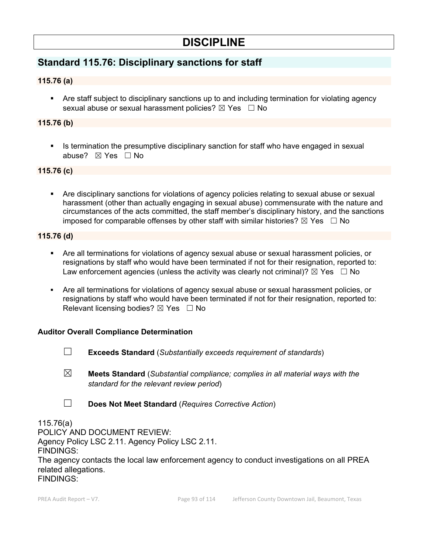# **DISCIPLINE**

# **Standard 115.76: Disciplinary sanctions for staff**

### **115.76 (a)**

 Are staff subject to disciplinary sanctions up to and including termination for violating agency sexual abuse or sexual harassment policies?  $\boxtimes$  Yes  $\Box$  No

#### **115.76 (b)**

 Is termination the presumptive disciplinary sanction for staff who have engaged in sexual abuse? ☒ Yes ☐ No

#### **115.76 (c)**

 Are disciplinary sanctions for violations of agency policies relating to sexual abuse or sexual harassment (other than actually engaging in sexual abuse) commensurate with the nature and circumstances of the acts committed, the staff member's disciplinary history, and the sanctions imposed for comparable offenses by other staff with similar histories?  $\boxtimes$  Yes  $\Box$  No

#### **115.76 (d)**

- Are all terminations for violations of agency sexual abuse or sexual harassment policies, or resignations by staff who would have been terminated if not for their resignation, reported to: Law enforcement agencies (unless the activity was clearly not criminal)?  $\boxtimes$  Yes  $\Box$  No
- Are all terminations for violations of agency sexual abuse or sexual harassment policies, or resignations by staff who would have been terminated if not for their resignation, reported to: Relevant licensing bodies?  $\boxtimes$  Yes  $\Box$  No

#### **Auditor Overall Compliance Determination**

- ☐ **Exceeds Standard** (*Substantially exceeds requirement of standards*)
- ☒ **Meets Standard** (*Substantial compliance; complies in all material ways with the standard for the relevant review period*)
- ☐ **Does Not Meet Standard** (*Requires Corrective Action*)

115.76(a) POLICY AND DOCUMENT REVIEW: Agency Policy LSC 2.11. Agency Policy LSC 2.11. FINDINGS: The agency contacts the local law enforcement agency to conduct investigations on all PREA related allegations. FINDINGS: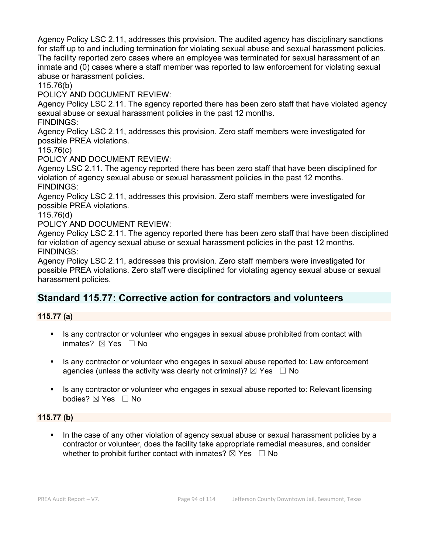Agency Policy LSC 2.11, addresses this provision. The audited agency has disciplinary sanctions for staff up to and including termination for violating sexual abuse and sexual harassment policies. The facility reported zero cases where an employee was terminated for sexual harassment of an inmate and (0) cases where a staff member was reported to law enforcement for violating sexual abuse or harassment policies.

115.76(b)

POLICY AND DOCUMENT REVIEW:

Agency Policy LSC 2.11. The agency reported there has been zero staff that have violated agency sexual abuse or sexual harassment policies in the past 12 months.

FINDINGS:

Agency Policy LSC 2.11, addresses this provision. Zero staff members were investigated for possible PREA violations.

115.76(c)

POLICY AND DOCUMENT REVIEW:

Agency LSC 2.11. The agency reported there has been zero staff that have been disciplined for violation of agency sexual abuse or sexual harassment policies in the past 12 months. FINDINGS:

Agency Policy LSC 2.11, addresses this provision. Zero staff members were investigated for possible PREA violations.

115.76(d)

POLICY AND DOCUMENT REVIEW:

Agency Policy LSC 2.11. The agency reported there has been zero staff that have been disciplined for violation of agency sexual abuse or sexual harassment policies in the past 12 months. FINDINGS:

Agency Policy LSC 2.11, addresses this provision. Zero staff members were investigated for possible PREA violations. Zero staff were disciplined for violating agency sexual abuse or sexual harassment policies.

# **Standard 115.77: Corrective action for contractors and volunteers**

#### **115.77 (a)**

- Is any contractor or volunteer who engages in sexual abuse prohibited from contact with inmates? ☒ Yes ☐ No
- Is any contractor or volunteer who engages in sexual abuse reported to: Law enforcement agencies (unless the activity was clearly not criminal)?  $\boxtimes$  Yes  $\Box$  No
- Is any contractor or volunteer who engages in sexual abuse reported to: Relevant licensing bodies? ⊠ Yes □ No

#### **115.77 (b)**

 In the case of any other violation of agency sexual abuse or sexual harassment policies by a contractor or volunteer, does the facility take appropriate remedial measures, and consider whether to prohibit further contact with inmates?  $\boxtimes$  Yes  $\Box$  No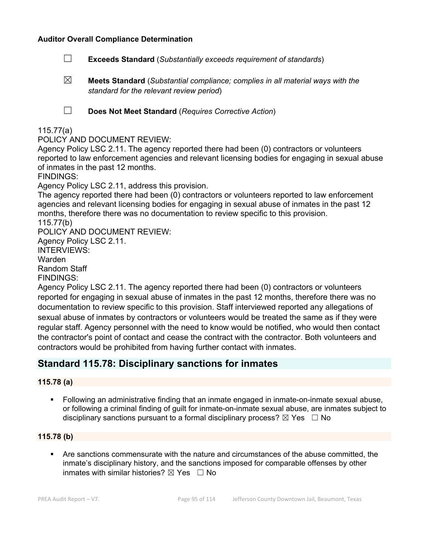- ☐ **Exceeds Standard** (*Substantially exceeds requirement of standards*)
- ☒ **Meets Standard** (*Substantial compliance; complies in all material ways with the standard for the relevant review period*)
- 

☐ **Does Not Meet Standard** (*Requires Corrective Action*)

#### 115.77(a)

#### POLICY AND DOCUMENT REVIEW:

Agency Policy LSC 2.11. The agency reported there had been (0) contractors or volunteers reported to law enforcement agencies and relevant licensing bodies for engaging in sexual abuse of inmates in the past 12 months.

FINDINGS:

Agency Policy LSC 2.11, address this provision.

The agency reported there had been (0) contractors or volunteers reported to law enforcement agencies and relevant licensing bodies for engaging in sexual abuse of inmates in the past 12 months, therefore there was no documentation to review specific to this provision. 115.77(b)

POLICY AND DOCUMENT REVIEW:

Agency Policy LSC 2.11.

INTERVIEWS: Warden

Random Staff

FINDINGS:

Agency Policy LSC 2.11. The agency reported there had been (0) contractors or volunteers reported for engaging in sexual abuse of inmates in the past 12 months, therefore there was no documentation to review specific to this provision. Staff interviewed reported any allegations of sexual abuse of inmates by contractors or volunteers would be treated the same as if they were regular staff. Agency personnel with the need to know would be notified, who would then contact the contractor's point of contact and cease the contract with the contractor. Both volunteers and contractors would be prohibited from having further contact with inmates.

# **Standard 115.78: Disciplinary sanctions for inmates**

#### **115.78 (a)**

 Following an administrative finding that an inmate engaged in inmate-on-inmate sexual abuse, or following a criminal finding of guilt for inmate-on-inmate sexual abuse, are inmates subject to disciplinary sanctions pursuant to a formal disciplinary process?  $\boxtimes$  Yes  $\Box$  No

#### **115.78 (b)**

 Are sanctions commensurate with the nature and circumstances of the abuse committed, the inmate's disciplinary history, and the sanctions imposed for comparable offenses by other inmates with similar histories?  $\boxtimes$  Yes  $\Box$  No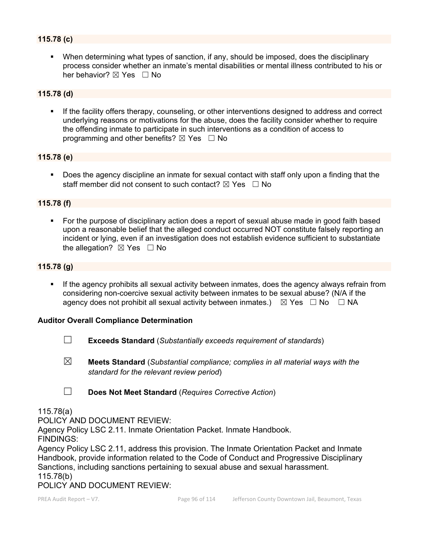### **115.78 (c)**

 When determining what types of sanction, if any, should be imposed, does the disciplinary process consider whether an inmate's mental disabilities or mental illness contributed to his or her behavior? ⊠ Yes □ No

#### **115.78 (d)**

 If the facility offers therapy, counseling, or other interventions designed to address and correct underlying reasons or motivations for the abuse, does the facility consider whether to require the offending inmate to participate in such interventions as a condition of access to programming and other benefits?  $\boxtimes$  Yes  $\Box$  No

#### **115.78 (e)**

**Does the agency discipline an inmate for sexual contact with staff only upon a finding that the** staff member did not consent to such contact?  $\boxtimes$  Yes  $\Box$  No

#### **115.78 (f)**

 For the purpose of disciplinary action does a report of sexual abuse made in good faith based upon a reasonable belief that the alleged conduct occurred NOT constitute falsely reporting an incident or lying, even if an investigation does not establish evidence sufficient to substantiate the allegation?  $\boxtimes$  Yes  $\Box$  No

### **115.78 (g)**

**If the agency prohibits all sexual activity between inmates, does the agency always refrain from** considering non-coercive sexual activity between inmates to be sexual abuse? (N/A if the agency does not prohibit all sexual activity between inmates.)  $\boxtimes$  Yes  $\Box$  No  $\Box$  NA

#### **Auditor Overall Compliance Determination**

- ☐ **Exceeds Standard** (*Substantially exceeds requirement of standards*)
- ☒ **Meets Standard** (*Substantial compliance; complies in all material ways with the standard for the relevant review period*)
- ☐ **Does Not Meet Standard** (*Requires Corrective Action*)

#### 115.78(a)

POLICY AND DOCUMENT REVIEW:

Agency Policy LSC 2.11. Inmate Orientation Packet. Inmate Handbook.

FINDINGS:

Agency Policy LSC 2.11, address this provision. The Inmate Orientation Packet and Inmate Handbook, provide information related to the Code of Conduct and Progressive Disciplinary Sanctions, including sanctions pertaining to sexual abuse and sexual harassment. 115.78(b)

POLICY AND DOCUMENT REVIEW: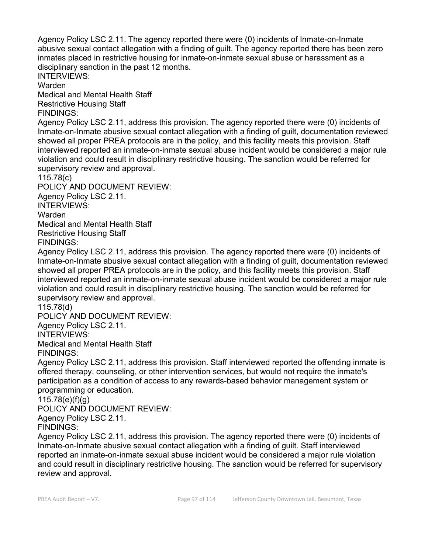Agency Policy LSC 2.11. The agency reported there were (0) incidents of Inmate-on-Inmate abusive sexual contact allegation with a finding of guilt. The agency reported there has been zero inmates placed in restrictive housing for inmate-on-inmate sexual abuse or harassment as a disciplinary sanction in the past 12 months.

INTERVIEWS:

Warden

Medical and Mental Health Staff Restrictive Housing Staff FINDINGS:

Agency Policy LSC 2.11, address this provision. The agency reported there were (0) incidents of Inmate-on-Inmate abusive sexual contact allegation with a finding of guilt, documentation reviewed showed all proper PREA protocols are in the policy, and this facility meets this provision. Staff interviewed reported an inmate-on-inmate sexual abuse incident would be considered a major rule violation and could result in disciplinary restrictive housing. The sanction would be referred for supervisory review and approval.

115.78(c)

POLICY AND DOCUMENT REVIEW: Agency Policy LSC 2.11. INTERVIEWS: Warden Medical and Mental Health Staff Restrictive Housing Staff

FINDINGS: Agency Policy LSC 2.11, address this provision. The agency reported there were (0) incidents of Inmate-on-Inmate abusive sexual contact allegation with a finding of guilt, documentation reviewed showed all proper PREA protocols are in the policy, and this facility meets this provision. Staff interviewed reported an inmate-on-inmate sexual abuse incident would be considered a major rule violation and could result in disciplinary restrictive housing. The sanction would be referred for

supervisory review and approval.

115.78(d)

POLICY AND DOCUMENT REVIEW: Agency Policy LSC 2.11. INTERVIEWS: Medical and Mental Health Staff FINDINGS:

Agency Policy LSC 2.11, address this provision. Staff interviewed reported the offending inmate is offered therapy, counseling, or other intervention services, but would not require the inmate's participation as a condition of access to any rewards-based behavior management system or programming or education.

115.78(e)(f)(g)

POLICY AND DOCUMENT REVIEW:

Agency Policy LSC 2.11.

FINDINGS:

Agency Policy LSC 2.11, address this provision. The agency reported there were (0) incidents of Inmate-on-Inmate abusive sexual contact allegation with a finding of guilt. Staff interviewed reported an inmate-on-inmate sexual abuse incident would be considered a major rule violation and could result in disciplinary restrictive housing. The sanction would be referred for supervisory review and approval.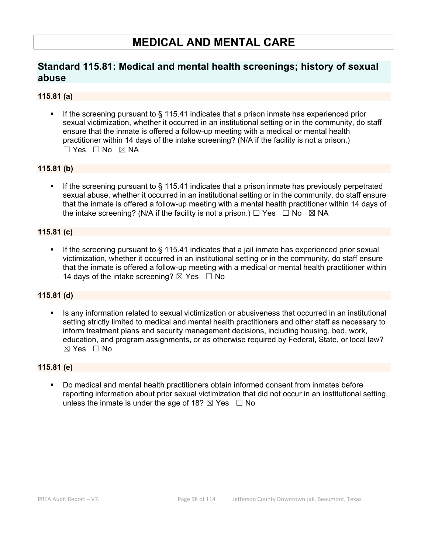# **MEDICAL AND MENTAL CARE**

# **Standard 115.81: Medical and mental health screenings; history of sexual abuse**

### **115.81 (a)**

 If the screening pursuant to § 115.41 indicates that a prison inmate has experienced prior sexual victimization, whether it occurred in an institutional setting or in the community, do staff ensure that the inmate is offered a follow-up meeting with a medical or mental health practitioner within 14 days of the intake screening? (N/A if the facility is not a prison.) ☐ Yes ☐ No ☒ NA

#### **115.81 (b)**

 If the screening pursuant to § 115.41 indicates that a prison inmate has previously perpetrated sexual abuse, whether it occurred in an institutional setting or in the community, do staff ensure that the inmate is offered a follow-up meeting with a mental health practitioner within 14 days of the intake screening? (N/A if the facility is not a prison.)  $\Box$  Yes  $\Box$  No  $\boxtimes$  NA

### **115.81 (c)**

 If the screening pursuant to § 115.41 indicates that a jail inmate has experienced prior sexual victimization, whether it occurred in an institutional setting or in the community, do staff ensure that the inmate is offered a follow-up meeting with a medical or mental health practitioner within 14 days of the intake screening?  $\boxtimes$  Yes  $\Box$  No

#### **115.81 (d)**

Is any information related to sexual victimization or abusiveness that occurred in an institutional setting strictly limited to medical and mental health practitioners and other staff as necessary to inform treatment plans and security management decisions, including housing, bed, work, education, and program assignments, or as otherwise required by Federal, State, or local law?  $\boxtimes$  Yes  $\Box$  No

#### **115.81 (e)**

 Do medical and mental health practitioners obtain informed consent from inmates before reporting information about prior sexual victimization that did not occur in an institutional setting, unless the inmate is under the age of 18?  $\boxtimes$  Yes  $\Box$  No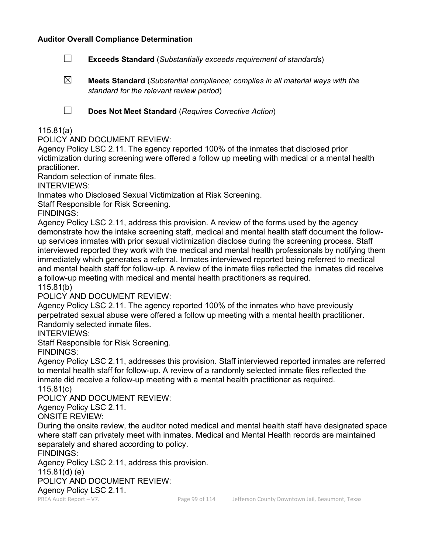- ☐ **Exceeds Standard** (*Substantially exceeds requirement of standards*)
- ☒ **Meets Standard** (*Substantial compliance; complies in all material ways with the standard for the relevant review period*)

☐ **Does Not Meet Standard** (*Requires Corrective Action*)

#### 115.81(a)

POLICY AND DOCUMENT REVIEW:

Agency Policy LSC 2.11. The agency reported 100% of the inmates that disclosed prior victimization during screening were offered a follow up meeting with medical or a mental health practitioner.

Random selection of inmate files.

INTERVIEWS:

Inmates who Disclosed Sexual Victimization at Risk Screening.

Staff Responsible for Risk Screening.

FINDINGS:

Agency Policy LSC 2.11, address this provision. A review of the forms used by the agency demonstrate how the intake screening staff, medical and mental health staff document the followup services inmates with prior sexual victimization disclose during the screening process. Staff interviewed reported they work with the medical and mental health professionals by notifying them immediately which generates a referral. Inmates interviewed reported being referred to medical and mental health staff for follow-up. A review of the inmate files reflected the inmates did receive a follow-up meeting with medical and mental health practitioners as required.

115.81(b)

POLICY AND DOCUMENT REVIEW:

Agency Policy LSC 2.11. The agency reported 100% of the inmates who have previously perpetrated sexual abuse were offered a follow up meeting with a mental health practitioner. Randomly selected inmate files.

INTERVIEWS:

Staff Responsible for Risk Screening.

FINDINGS:

Agency Policy LSC 2.11, addresses this provision. Staff interviewed reported inmates are referred to mental health staff for follow-up. A review of a randomly selected inmate files reflected the inmate did receive a follow-up meeting with a mental health practitioner as required.

115.81(c)

POLICY AND DOCUMENT REVIEW:

Agency Policy LSC 2.11.

ONSITE REVIEW:

During the onsite review, the auditor noted medical and mental health staff have designated space where staff can privately meet with inmates. Medical and Mental Health records are maintained separately and shared according to policy.

FINDINGS:

Agency Policy LSC 2.11, address this provision.

115.81(d) (e)

POLICY AND DOCUMENT REVIEW:

Agency Policy LSC 2.11.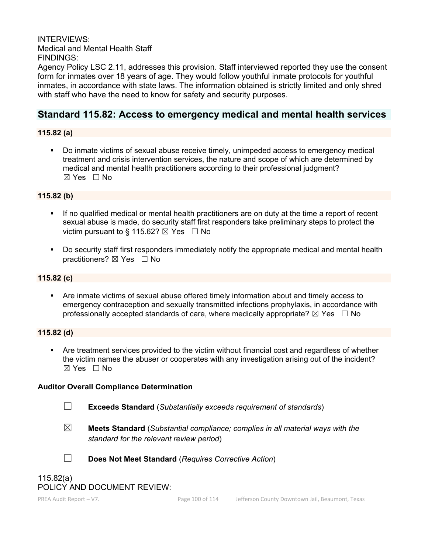INTERVIEWS: Medical and Mental Health Staff FINDINGS:

Agency Policy LSC 2.11, addresses this provision. Staff interviewed reported they use the consent form for inmates over 18 years of age. They would follow youthful inmate protocols for youthful inmates, in accordance with state laws. The information obtained is strictly limited and only shred with staff who have the need to know for safety and security purposes.

# **Standard 115.82: Access to emergency medical and mental health services**

### **115.82 (a)**

 Do inmate victims of sexual abuse receive timely, unimpeded access to emergency medical treatment and crisis intervention services, the nature and scope of which are determined by medical and mental health practitioners according to their professional judgment?  $\boxtimes$  Yes  $\Box$  No

### **115.82 (b)**

- If no qualified medical or mental health practitioners are on duty at the time a report of recent sexual abuse is made, do security staff first responders take preliminary steps to protect the victim pursuant to § 115.62?  $\boxtimes$  Yes  $\Box$  No
- **Do security staff first responders immediately notify the appropriate medical and mental health** practitioners? ⊠ Yes □ No

#### **115.82 (c)**

 Are inmate victims of sexual abuse offered timely information about and timely access to emergency contraception and sexually transmitted infections prophylaxis, in accordance with professionally accepted standards of care, where medically appropriate?  $\boxtimes$  Yes  $\Box$  No

#### **115.82 (d)**

 Are treatment services provided to the victim without financial cost and regardless of whether the victim names the abuser or cooperates with any investigation arising out of the incident? ☒ Yes ☐ No

#### **Auditor Overall Compliance Determination**

☐ **Exceeds Standard** (*Substantially exceeds requirement of standards*)

☒ **Meets Standard** (*Substantial compliance; complies in all material ways with the standard for the relevant review period*)



☐ **Does Not Meet Standard** (*Requires Corrective Action*)

# 115.82(a) POLICY AND DOCUMENT REVIEW: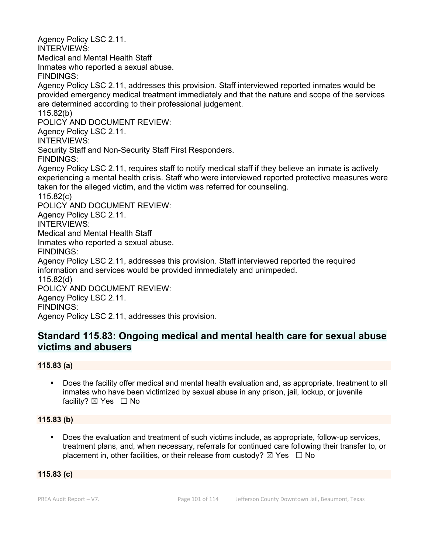Agency Policy LSC 2.11. INTERVIEWS: Medical and Mental Health Staff Inmates who reported a sexual abuse. FINDINGS: Agency Policy LSC 2.11, addresses this provision. Staff interviewed reported inmates would be provided emergency medical treatment immediately and that the nature and scope of the services are determined according to their professional judgement. 115.82(b) POLICY AND DOCUMENT REVIEW: Agency Policy LSC 2.11. INTERVIEWS: Security Staff and Non-Security Staff First Responders. FINDINGS: Agency Policy LSC 2.11, requires staff to notify medical staff if they believe an inmate is actively experiencing a mental health crisis. Staff who were interviewed reported protective measures were taken for the alleged victim, and the victim was referred for counseling. 115.82(c) POLICY AND DOCUMENT REVIEW: Agency Policy LSC 2.11. INTERVIEWS: Medical and Mental Health Staff Inmates who reported a sexual abuse. FINDINGS: Agency Policy LSC 2.11, addresses this provision. Staff interviewed reported the required information and services would be provided immediately and unimpeded. 115.82(d) POLICY AND DOCUMENT REVIEW: Agency Policy LSC 2.11. FINDINGS: Agency Policy LSC 2.11, addresses this provision.

# **Standard 115.83: Ongoing medical and mental health care for sexual abuse victims and abusers**

#### **115.83 (a)**

 Does the facility offer medical and mental health evaluation and, as appropriate, treatment to all inmates who have been victimized by sexual abuse in any prison, jail, lockup, or juvenile facility? ⊠ Yes □ No

#### **115.83 (b)**

 Does the evaluation and treatment of such victims include, as appropriate, follow-up services, treatment plans, and, when necessary, referrals for continued care following their transfer to, or placement in, other facilities, or their release from custody?  $\boxtimes$  Yes  $\Box$  No

#### **115.83 (c)**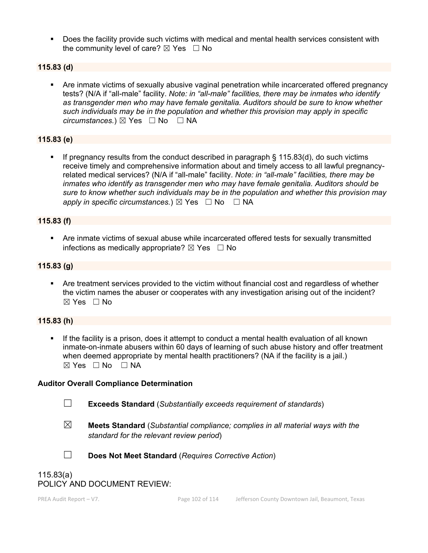Does the facility provide such victims with medical and mental health services consistent with the community level of care?  $\boxtimes$  Yes  $\Box$  No

#### **115.83 (d)**

 Are inmate victims of sexually abusive vaginal penetration while incarcerated offered pregnancy tests? (N/A if "all-male" facility. *Note: in "all-male" facilities, there may be inmates who identify as transgender men who may have female genitalia. Auditors should be sure to know whether such individuals may be in the population and whether this provision may apply in specific circumstances.*) ⊠ Yes  $□$  No  $□$  NA

### **115.83 (e)**

 If pregnancy results from the conduct described in paragraph § 115.83(d), do such victims receive timely and comprehensive information about and timely access to all lawful pregnancyrelated medical services? (N/A if "all-male" facility. *Note: in "all-male" facilities, there may be inmates who identify as transgender men who may have female genitalia. Auditors should be sure to know whether such individuals may be in the population and whether this provision may apply in specific circumstances.*)  $\boxtimes$  Yes  $\Box$  No  $\Box$  NA

#### **115.83 (f)**

 Are inmate victims of sexual abuse while incarcerated offered tests for sexually transmitted infections as medically appropriate?  $\boxtimes$  Yes  $\Box$  No

#### **115.83 (g)**

 Are treatment services provided to the victim without financial cost and regardless of whether the victim names the abuser or cooperates with any investigation arising out of the incident? ☒ Yes ☐ No

#### **115.83 (h)**

 If the facility is a prison, does it attempt to conduct a mental health evaluation of all known inmate-on-inmate abusers within 60 days of learning of such abuse history and offer treatment when deemed appropriate by mental health practitioners? (NA if the facility is a jail.)  $\boxtimes$  Yes  $\Box$  No  $\Box$  NA

#### **Auditor Overall Compliance Determination**

- 
- ☐ **Exceeds Standard** (*Substantially exceeds requirement of standards*)
- 
- ☒ **Meets Standard** (*Substantial compliance; complies in all material ways with the standard for the relevant review period*)



☐ **Does Not Meet Standard** (*Requires Corrective Action*)

# 115.83(a) POLICY AND DOCUMENT REVIEW: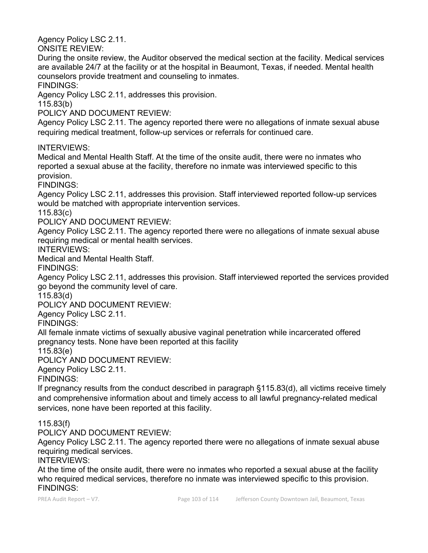Agency Policy LSC 2.11.

ONSITE REVIEW:

During the onsite review, the Auditor observed the medical section at the facility. Medical services are available 24/7 at the facility or at the hospital in Beaumont, Texas, if needed. Mental health counselors provide treatment and counseling to inmates.

FINDINGS:

Agency Policy LSC 2.11, addresses this provision.

115.83(b)

POLICY AND DOCUMENT REVIEW:

Agency Policy LSC 2.11. The agency reported there were no allegations of inmate sexual abuse requiring medical treatment, follow-up services or referrals for continued care.

INTERVIEWS:

Medical and Mental Health Staff. At the time of the onsite audit, there were no inmates who reported a sexual abuse at the facility, therefore no inmate was interviewed specific to this provision.

FINDINGS:

Agency Policy LSC 2.11, addresses this provision. Staff interviewed reported follow-up services would be matched with appropriate intervention services.

115.83(c)

POLICY AND DOCUMENT REVIEW:

Agency Policy LSC 2.11. The agency reported there were no allegations of inmate sexual abuse requiring medical or mental health services.

INTERVIEWS:

Medical and Mental Health Staff.

FINDINGS:

Agency Policy LSC 2.11, addresses this provision. Staff interviewed reported the services provided go beyond the community level of care.

115.83(d)

POLICY AND DOCUMENT REVIEW:

Agency Policy LSC 2.11.

FINDINGS:

All female inmate victims of sexually abusive vaginal penetration while incarcerated offered pregnancy tests. None have been reported at this facility

115.83(e)

POLICY AND DOCUMENT REVIEW:

Agency Policy LSC 2.11.

FINDINGS:

If pregnancy results from the conduct described in paragraph §115.83(d), all victims receive timely and comprehensive information about and timely access to all lawful pregnancy-related medical services, none have been reported at this facility.

115.83(f)

POLICY AND DOCUMENT REVIEW:

Agency Policy LSC 2.11. The agency reported there were no allegations of inmate sexual abuse requiring medical services.

INTERVIEWS:

At the time of the onsite audit, there were no inmates who reported a sexual abuse at the facility who required medical services, therefore no inmate was interviewed specific to this provision. FINDINGS: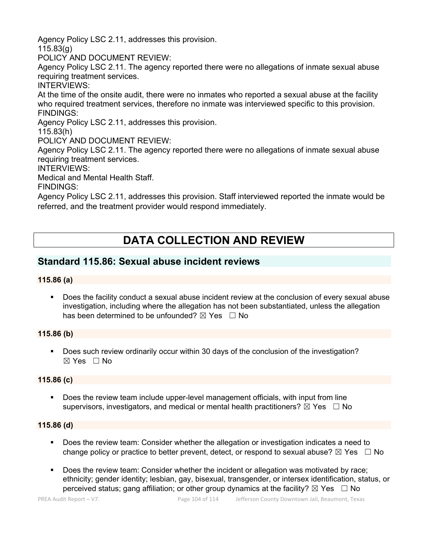Agency Policy LSC 2.11, addresses this provision.

115.83(g)

POLICY AND DOCUMENT REVIEW:

Agency Policy LSC 2.11. The agency reported there were no allegations of inmate sexual abuse requiring treatment services.

INTERVIEWS:

At the time of the onsite audit, there were no inmates who reported a sexual abuse at the facility who required treatment services, therefore no inmate was interviewed specific to this provision. FINDINGS:

Agency Policy LSC 2.11, addresses this provision.

115.83(h)

POLICY AND DOCUMENT REVIEW:

Agency Policy LSC 2.11. The agency reported there were no allegations of inmate sexual abuse requiring treatment services.

INTERVIEWS:

Medical and Mental Health Staff.

FINDINGS:

Agency Policy LSC 2.11, addresses this provision. Staff interviewed reported the inmate would be referred, and the treatment provider would respond immediately.

# **DATA COLLECTION AND REVIEW**

# **Standard 115.86: Sexual abuse incident reviews**

#### **115.86 (a)**

 Does the facility conduct a sexual abuse incident review at the conclusion of every sexual abuse investigation, including where the allegation has not been substantiated, unless the allegation has been determined to be unfounded?  $\boxtimes$  Yes  $\Box$  No

# **115.86 (b)**

 Does such review ordinarily occur within 30 days of the conclusion of the investigation? ☒ Yes ☐ No

# **115.86 (c)**

 Does the review team include upper-level management officials, with input from line supervisors, investigators, and medical or mental health practitioners?  $\boxtimes$  Yes  $\Box$  No

#### **115.86 (d)**

- Does the review team: Consider whether the allegation or investigation indicates a need to change policy or practice to better prevent, detect, or respond to sexual abuse?  $\boxtimes$  Yes  $\Box$  No
- Does the review team: Consider whether the incident or allegation was motivated by race; ethnicity; gender identity; lesbian, gay, bisexual, transgender, or intersex identification, status, or perceived status; gang affiliation; or other group dynamics at the facility?  $\boxtimes$  Yes  $\Box$  No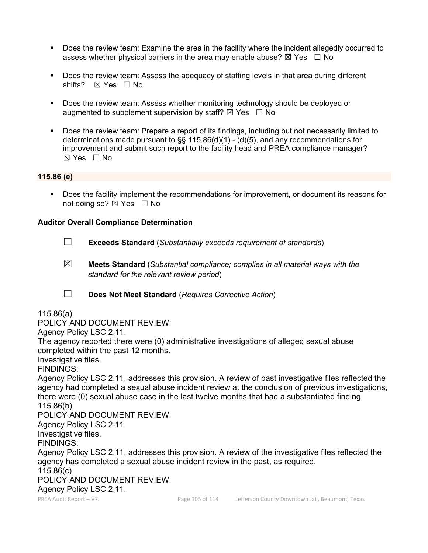- Does the review team: Examine the area in the facility where the incident allegedly occurred to assess whether physical barriers in the area may enable abuse?  $\boxtimes$  Yes  $\Box$  No
- Does the review team: Assess the adequacy of staffing levels in that area during different shifts? ⊠ Yes □ No
- **Does the review team: Assess whether monitoring technology should be deployed or** augmented to supplement supervision by staff?  $\boxtimes$  Yes  $\Box$  No
- Does the review team: Prepare a report of its findings, including but not necessarily limited to determinations made pursuant to §§ 115.86(d)(1) -  $(d)(5)$ , and any recommendations for improvement and submit such report to the facility head and PREA compliance manager? ☒ Yes ☐ No

#### **115.86 (e)**

 Does the facility implement the recommendations for improvement, or document its reasons for not doing so?  $\boxtimes$  Yes  $\Box$  No

#### **Auditor Overall Compliance Determination**

- ☐ **Exceeds Standard** (*Substantially exceeds requirement of standards*)
- ☒ **Meets Standard** (*Substantial compliance; complies in all material ways with the standard for the relevant review period*)
- ☐ **Does Not Meet Standard** (*Requires Corrective Action*)

#### 115.86(a)

POLICY AND DOCUMENT REVIEW:

Agency Policy LSC 2.11.

The agency reported there were (0) administrative investigations of alleged sexual abuse completed within the past 12 months.

Investigative files.

FINDINGS:

Agency Policy LSC 2.11, addresses this provision. A review of past investigative files reflected the agency had completed a sexual abuse incident review at the conclusion of previous investigations, there were (0) sexual abuse case in the last twelve months that had a substantiated finding. 115.86(b)

POLICY AND DOCUMENT REVIEW:

Agency Policy LSC 2.11.

Investigative files. FINDINGS:

Agency Policy LSC 2.11, addresses this provision. A review of the investigative files reflected the agency has completed a sexual abuse incident review in the past, as required.

115.86(c)

POLICY AND DOCUMENT REVIEW:

Agency Policy LSC 2.11.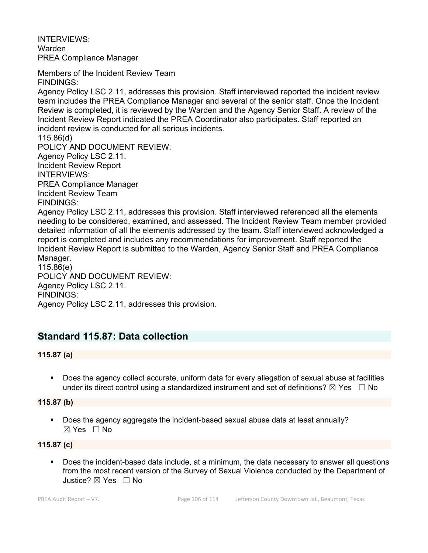INTERVIEWS: Warden PREA Compliance Manager

Members of the Incident Review Team FINDINGS:

Agency Policy LSC 2.11, addresses this provision. Staff interviewed reported the incident review team includes the PREA Compliance Manager and several of the senior staff. Once the Incident Review is completed, it is reviewed by the Warden and the Agency Senior Staff. A review of the Incident Review Report indicated the PREA Coordinator also participates. Staff reported an incident review is conducted for all serious incidents.

115.86(d) POLICY AND DOCUMENT REVIEW: Agency Policy LSC 2.11. Incident Review Report INTERVIEWS: PREA Compliance Manager Incident Review Team FINDINGS:

Agency Policy LSC 2.11, addresses this provision. Staff interviewed referenced all the elements needing to be considered, examined, and assessed. The Incident Review Team member provided detailed information of all the elements addressed by the team. Staff interviewed acknowledged a report is completed and includes any recommendations for improvement. Staff reported the Incident Review Report is submitted to the Warden, Agency Senior Staff and PREA Compliance Manager.

115.86(e) POLICY AND DOCUMENT REVIEW: Agency Policy LSC 2.11. FINDINGS: Agency Policy LSC 2.11, addresses this provision.

# **Standard 115.87: Data collection**

# **115.87 (a)**

 Does the agency collect accurate, uniform data for every allegation of sexual abuse at facilities under its direct control using a standardized instrument and set of definitions?  $\boxtimes$  Yes  $\Box$  No

# **115.87 (b)**

 Does the agency aggregate the incident-based sexual abuse data at least annually? ☒ Yes ☐ No

# **115.87 (c)**

 Does the incident-based data include, at a minimum, the data necessary to answer all questions from the most recent version of the Survey of Sexual Violence conducted by the Department of Justice? ☒ Yes ☐ No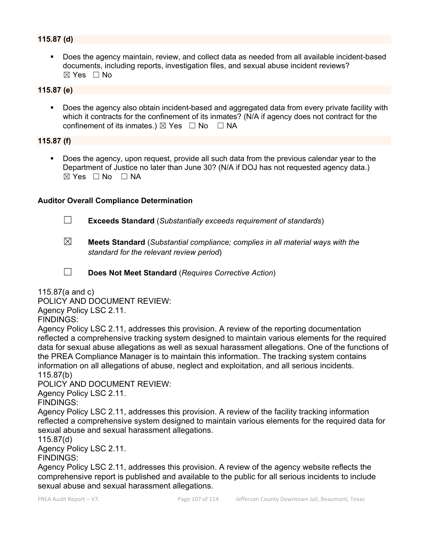### **115.87 (d)**

 Does the agency maintain, review, and collect data as needed from all available incident-based documents, including reports, investigation files, and sexual abuse incident reviews?  $\boxtimes$  Yes  $\Box$  No

#### **115.87 (e)**

 Does the agency also obtain incident-based and aggregated data from every private facility with which it contracts for the confinement of its inmates? (N/A if agency does not contract for the confinement of its inmates.)  $\boxtimes$  Yes  $\Box$  No  $\Box$  NA

#### **115.87 (f)**

 Does the agency, upon request, provide all such data from the previous calendar year to the Department of Justice no later than June 30? (N/A if DOJ has not requested agency data.) ☒ Yes ☐ No ☐ NA

#### **Auditor Overall Compliance Determination**

- ☐ **Exceeds Standard** (*Substantially exceeds requirement of standards*)
- ☒ **Meets Standard** (*Substantial compliance; complies in all material ways with the standard for the relevant review period*)
- ☐ **Does Not Meet Standard** (*Requires Corrective Action*)

115.87(a and c)

POLICY AND DOCUMENT REVIEW:

Agency Policy LSC 2.11.

FINDINGS:

Agency Policy LSC 2.11, addresses this provision. A review of the reporting documentation reflected a comprehensive tracking system designed to maintain various elements for the required data for sexual abuse allegations as well as sexual harassment allegations. One of the functions of the PREA Compliance Manager is to maintain this information. The tracking system contains information on all allegations of abuse, neglect and exploitation, and all serious incidents. 115.87(b)

POLICY AND DOCUMENT REVIEW:

Agency Policy LSC 2.11.

FINDINGS:

Agency Policy LSC 2.11, addresses this provision. A review of the facility tracking information reflected a comprehensive system designed to maintain various elements for the required data for sexual abuse and sexual harassment allegations.

115.87(d)

Agency Policy LSC 2.11.

FINDINGS:

Agency Policy LSC 2.11, addresses this provision. A review of the agency website reflects the comprehensive report is published and available to the public for all serious incidents to include sexual abuse and sexual harassment allegations.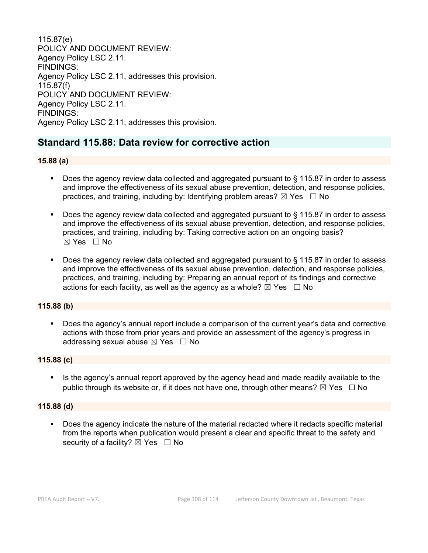115.87(e) POLICY AND DOCUMENT REVIEW: Agency Policy LSC 2.11. FINDINGS: Agency Policy LSC 2.11, addresses this provision. 115.87(f) POLICY AND DOCUMENT REVIEW: Agency Policy LSC 2.11. FINDINGS: Agency Policy LSC 2.11, addresses this provision.

# **Standard 115.88: Data review for corrective action**

#### **15.88 (a)**

- Does the agency review data collected and aggregated pursuant to § 115.87 in order to assess and improve the effectiveness of its sexual abuse prevention, detection, and response policies, practices, and training, including by: Identifying problem areas?  $\boxtimes$  Yes  $\Box$  No
- Does the agency review data collected and aggregated pursuant to § 115.87 in order to assess and improve the effectiveness of its sexual abuse prevention, detection, and response policies, practices, and training, including by: Taking corrective action on an ongoing basis? ☒ Yes ☐ No
- Does the agency review data collected and aggregated pursuant to § 115.87 in order to assess and improve the effectiveness of its sexual abuse prevention, detection, and response policies, practices, and training, including by: Preparing an annual report of its findings and corrective actions for each facility, as well as the agency as a whole?  $\boxtimes$  Yes  $\Box$  No

#### **115.88 (b)**

 Does the agency's annual report include a comparison of the current year's data and corrective actions with those from prior years and provide an assessment of the agency's progress in addressing sexual abuse  $\boxtimes$  Yes  $\Box$  No

#### **115.88 (c)**

 Is the agency's annual report approved by the agency head and made readily available to the public through its website or, if it does not have one, through other means?  $\boxtimes$  Yes  $\Box$  No

#### **115.88 (d)**

 Does the agency indicate the nature of the material redacted where it redacts specific material from the reports when publication would present a clear and specific threat to the safety and security of a facility?  $\boxtimes$  Yes  $\Box$  No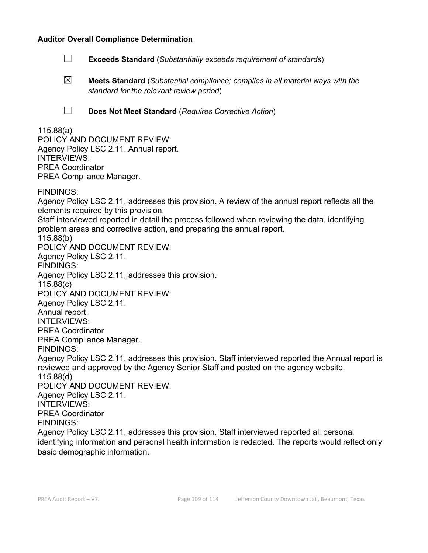#### **Auditor Overall Compliance Determination**

- ☐ **Exceeds Standard** (*Substantially exceeds requirement of standards*)
- ☒ **Meets Standard** (*Substantial compliance; complies in all material ways with the standard for the relevant review period*)
- ☐ **Does Not Meet Standard** (*Requires Corrective Action*)

## 115.88(a) POLICY AND DOCUMENT REVIEW: Agency Policy LSC 2.11. Annual report. INTERVIEWS: PREA Coordinator PREA Compliance Manager. FINDINGS: Agency Policy LSC 2.11, addresses this provision. A review of the annual report reflects all the elements required by this provision. Staff interviewed reported in detail the process followed when reviewing the data, identifying problem areas and corrective action, and preparing the annual report. 115.88(b) POLICY AND DOCUMENT REVIEW: Agency Policy LSC 2.11. FINDINGS: Agency Policy LSC 2.11, addresses this provision. 115.88(c) POLICY AND DOCUMENT REVIEW: Agency Policy LSC 2.11. Annual report. INTERVIEWS: PREA Coordinator PREA Compliance Manager. FINDINGS: Agency Policy LSC 2.11, addresses this provision. Staff interviewed reported the Annual report is reviewed and approved by the Agency Senior Staff and posted on the agency website. 115.88(d) POLICY AND DOCUMENT REVIEW: Agency Policy LSC 2.11. INTERVIEWS: PREA Coordinator FINDINGS: Agency Policy LSC 2.11, addresses this provision. Staff interviewed reported all personal identifying information and personal health information is redacted. The reports would reflect only basic demographic information.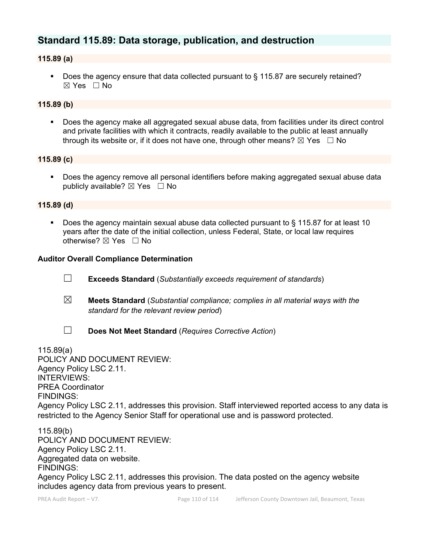# **Standard 115.89: Data storage, publication, and destruction**

### **115.89 (a)**

■ Does the agency ensure that data collected pursuant to § 115.87 are securely retained?  $\boxtimes$  Yes  $\Box$  No

## **115.89 (b)**

 Does the agency make all aggregated sexual abuse data, from facilities under its direct control and private facilities with which it contracts, readily available to the public at least annually through its website or, if it does not have one, through other means?  $\boxtimes$  Yes  $\Box$  No

#### **115.89 (c)**

 Does the agency remove all personal identifiers before making aggregated sexual abuse data publicly available?  $\boxtimes$  Yes  $\Box$  No

#### **115.89 (d)**

 Does the agency maintain sexual abuse data collected pursuant to § 115.87 for at least 10 years after the date of the initial collection, unless Federal, State, or local law requires otherwise? ⊠ Yes □ No

#### **Auditor Overall Compliance Determination**

- ☐ **Exceeds Standard** (*Substantially exceeds requirement of standards*)
- ☒ **Meets Standard** (*Substantial compliance; complies in all material ways with the standard for the relevant review period*)
- 
- ☐ **Does Not Meet Standard** (*Requires Corrective Action*)

115.89(a)

POLICY AND DOCUMENT REVIEW: Agency Policy LSC 2.11. INTERVIEWS: PREA Coordinator FINDINGS: Agency Policy LSC 2.11, addresses this provision. Staff interviewed reported access to any data is restricted to the Agency Senior Staff for operational use and is password protected.

115.89(b) POLICY AND DOCUMENT REVIEW: Agency Policy LSC 2.11. Aggregated data on website. FINDINGS: Agency Policy LSC 2.11, addresses this provision. The data posted on the agency website includes agency data from previous years to present.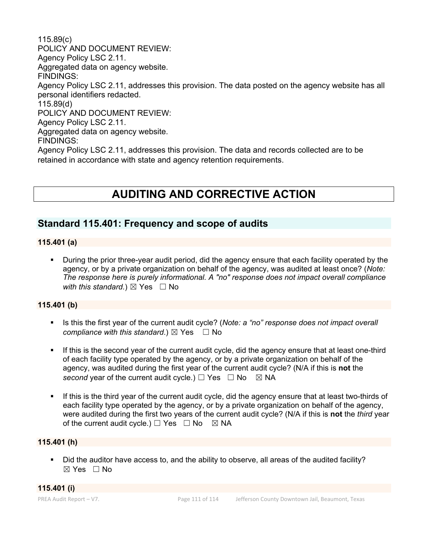115.89(c) POLICY AND DOCUMENT REVIEW: Agency Policy LSC 2.11. Aggregated data on agency website. FINDINGS: Agency Policy LSC 2.11, addresses this provision. The data posted on the agency website has all personal identifiers redacted. 115.89(d) POLICY AND DOCUMENT REVIEW: Agency Policy LSC 2.11. Aggregated data on agency website. FINDINGS: Agency Policy LSC 2.11, addresses this provision. The data and records collected are to be retained in accordance with state and agency retention requirements.

# **AUDITING AND CORRECTIVE ACTION**

## **Standard 115.401: Frequency and scope of audits**

### **115.401 (a)**

 During the prior three-year audit period, did the agency ensure that each facility operated by the agency, or by a private organization on behalf of the agency, was audited at least once? (*Note: The response here is purely informational. A "no" response does not impact overall compliance with this standard.*)  $\boxtimes$  Yes  $\Box$  No

### **115.401 (b)**

- Is this the first year of the current audit cycle? (*Note: a "no" response does not impact overall compliance with this standard.*)  $\boxtimes$  Yes  $\Box$  No
- If this is the second year of the current audit cycle, did the agency ensure that at least one-third of each facility type operated by the agency, or by a private organization on behalf of the agency, was audited during the first year of the current audit cycle? (N/A if this is **not** the *second* year of the current audit cycle.)  $\Box$  Yes  $\Box$  No  $\boxtimes$  NA
- If this is the third year of the current audit cycle, did the agency ensure that at least two-thirds of each facility type operated by the agency, or by a private organization on behalf of the agency, were audited during the first two years of the current audit cycle? (N/A if this is **not** the *third* year of the current audit cycle.)  $\Box$  Yes  $\Box$  No  $\boxtimes$  NA

## **115.401 (h)**

Did the auditor have access to, and the ability to observe, all areas of the audited facility?  $\boxtimes$  Yes  $\Box$  No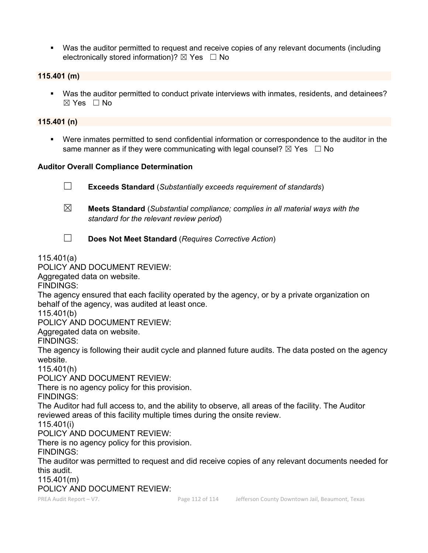Was the auditor permitted to request and receive copies of any relevant documents (including electronically stored information)?  $\boxtimes$  Yes  $\Box$  No

#### **115.401 (m)**

 Was the auditor permitted to conduct private interviews with inmates, residents, and detainees? ☒ Yes ☐ No

#### **115.401 (n)**

 Were inmates permitted to send confidential information or correspondence to the auditor in the same manner as if they were communicating with legal counsel?  $\boxtimes$  Yes  $\Box$  No

#### **Auditor Overall Compliance Determination**

☐ **Exceeds Standard** (*Substantially exceeds requirement of standards*) ☒ **Meets Standard** (*Substantial compliance; complies in all material ways with the standard for the relevant review period*) ☐ **Does Not Meet Standard** (*Requires Corrective Action*) 115.401(a) POLICY AND DOCUMENT REVIEW: Aggregated data on website. FINDINGS: The agency ensured that each facility operated by the agency, or by a private organization on behalf of the agency, was audited at least once. 115.401(b) POLICY AND DOCUMENT REVIEW: Aggregated data on website. FINDINGS: The agency is following their audit cycle and planned future audits. The data posted on the agency website. 115.401(h) POLICY AND DOCUMENT REVIEW: There is no agency policy for this provision. FINDINGS: The Auditor had full access to, and the ability to observe, all areas of the facility. The Auditor reviewed areas of this facility multiple times during the onsite review. 115.401(i) POLICY AND DOCUMENT REVIEW: There is no agency policy for this provision. FINDINGS: The auditor was permitted to request and did receive copies of any relevant documents needed for

this audit.

115.401(m)

POLICY AND DOCUMENT REVIEW: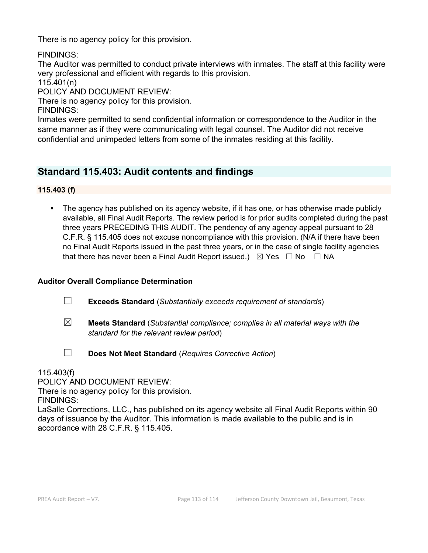There is no agency policy for this provision.

FINDINGS:

The Auditor was permitted to conduct private interviews with inmates. The staff at this facility were very professional and efficient with regards to this provision.

115.401(n)

POLICY AND DOCUMENT REVIEW:

There is no agency policy for this provision.

FINDINGS:

Inmates were permitted to send confidential information or correspondence to the Auditor in the same manner as if they were communicating with legal counsel. The Auditor did not receive confidential and unimpeded letters from some of the inmates residing at this facility.

## **Standard 115.403: Audit contents and findings**

**115.403 (f)**

 The agency has published on its agency website, if it has one, or has otherwise made publicly available, all Final Audit Reports. The review period is for prior audits completed during the past three years PRECEDING THIS AUDIT. The pendency of any agency appeal pursuant to 28 C.F.R. § 115.405 does not excuse noncompliance with this provision. (N/A if there have been no Final Audit Reports issued in the past three years, or in the case of single facility agencies that there has never been a Final Audit Report issued.)  $\boxtimes$  Yes  $\Box$  No  $\Box$  NA

## **Auditor Overall Compliance Determination**

- ☐ **Exceeds Standard** (*Substantially exceeds requirement of standards*)
- ☒ **Meets Standard** (*Substantial compliance; complies in all material ways with the standard for the relevant review period*)
- ☐ **Does Not Meet Standard** (*Requires Corrective Action*)

115.403(f)

POLICY AND DOCUMENT REVIEW:

There is no agency policy for this provision.

FINDINGS:

LaSalle Corrections, LLC., has published on its agency website all Final Audit Reports within 90 days of issuance by the Auditor. This information is made available to the public and is in accordance with 28 C.F.R. § 115.405.